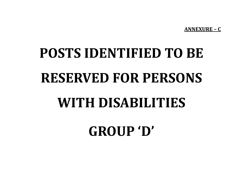**ANNEXURE – C**

# **POSTS IDENTIFIED TO BE RESERVED FOR PERSONS WITH DISABILITIES**

**GROUP 'D'**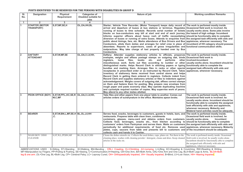| SI.                     | Designation                                | <b>Physical</b>                                                           | <b>Categories of</b>          | Nature of job                                                                                                                                                                                                                                                                                                                                                                                                                                                                                                                                                                                                                                                                                                                                                                                                                                                                                                                                                                                                                                                                                                                                                                                                                                                                                                   | <b>Working condition/ Remarks</b>                                                                                                                                                                                                                                                                       |
|-------------------------|--------------------------------------------|---------------------------------------------------------------------------|-------------------------------|-----------------------------------------------------------------------------------------------------------------------------------------------------------------------------------------------------------------------------------------------------------------------------------------------------------------------------------------------------------------------------------------------------------------------------------------------------------------------------------------------------------------------------------------------------------------------------------------------------------------------------------------------------------------------------------------------------------------------------------------------------------------------------------------------------------------------------------------------------------------------------------------------------------------------------------------------------------------------------------------------------------------------------------------------------------------------------------------------------------------------------------------------------------------------------------------------------------------------------------------------------------------------------------------------------------------|---------------------------------------------------------------------------------------------------------------------------------------------------------------------------------------------------------------------------------------------------------------------------------------------------------|
| No.                     |                                            | Requirement                                                               | Disabled suitable for<br>jobs |                                                                                                                                                                                                                                                                                                                                                                                                                                                                                                                                                                                                                                                                                                                                                                                                                                                                                                                                                                                                                                                                                                                                                                                                                                                                                                                 |                                                                                                                                                                                                                                                                                                         |
| $\overline{1}$          | $\overline{2}$                             | 3                                                                         | 4                             | 5                                                                                                                                                                                                                                                                                                                                                                                                                                                                                                                                                                                                                                                                                                                                                                                                                                                                                                                                                                                                                                                                                                                                                                                                                                                                                                               |                                                                                                                                                                                                                                                                                                         |
| 1                       | <b>STARTER (MOTOR</b><br><b>TRANSPORT)</b> | S, ST, MF, SE, H                                                          | OL, OA, HH, BL                | Starter; Vehicle Time Recorder, (Motor Transport) keeps daily record of The work is perfomed mostly inside.<br>arrival and departure of buses at bus stations or terminus. Regulates Ocassional field work is involved .He<br>running of buses to time schedule. Records serial number of tickets usually works alone. Some jobs involve<br>blocks on bus-conductors way bill at start and end of each journey. the hazard of high voltage Incumbent<br>Informs superior officers about heavy rush of traffic necessitating should be functionally able to complete<br>diversion of buses or running of extra buses. Attends to enquiries from the assigned task efficiently with aids and<br>public about timings, fare, etc. Marks attendance of Bus Drivers and Bus applainces, wherever necessary. The<br>Conductors, allots them duties and arranges for relief crew in place of incumbent of HH category should possess<br>absentees. Reports to supervisors, cases of gross irregularities and functional communication skills.<br>malpractices. May take charge of lost property handed over by Bus<br>Conductors.                                                                                                                                                                                      |                                                                                                                                                                                                                                                                                                         |
| $\overline{2}$          | <b>DAFTARY</b><br><b>ATTENDANT</b>         | S, ST, W, MF, SE                                                          | OL, OA, B, LV, HH,            | Daftary; Attender supplies stationery articles to officials, preparces The work is perfomed mostly inside.<br>evelopes, weighs and affixes postage stamps on outgoing dak, binds Ocassional field work is<br>books<br>files,<br>etc.<br>and<br>performs<br>registers,<br>loose<br>miscellaneous work. Sorts out files according to number or other usually works alone Incumbent should be<br>distinguished marks. Helps Record Clerk in stitching papers or typing functionally able to complete the<br>bundles and marking them. Arranges files in racks or other special assigned task efficiently with aids and<br>receptacles in prescribed order or as instructed by Record Clerk. Takes applainces, whenever necessary.<br>inventory of stationery items received from central stores and helps<br>Record Clerk in getting them entered in registers. Collects indent from<br>Record Clerk and supplies stationery articles or files to indentors against<br>acknowledgement. Weighs covers of outgoing dak, affixes correct stamps<br>on them and fastens them for posting. May prepare new envelops from<br>rough paper and paste economy slips. May operate duplicating machine<br>and cyclostyle required number of copies. May supervise work of peons.<br>May attend to any other duties allotted. | other involved.Incumbent                                                                                                                                                                                                                                                                                |
| 3                       |                                            | PEON OFFICE (BOY) S, ST, W, PP, L, KC, SE, R OL, OA, B, LV, HH,<br>W.C.MF |                               | Take files and other papers from one place/ table to another. Comes out<br>articles orders of sundrynature in the office. Maintains apeon broke.                                                                                                                                                                                                                                                                                                                                                                                                                                                                                                                                                                                                                                                                                                                                                                                                                                                                                                                                                                                                                                                                                                                                                                | The work is perfomed mostly inside.<br>Ocassional field work is involved .he<br>usually works alone. Incumbent should be<br>functionally able to complete the assigned<br>task efficiently with aids and applainces,<br>whenever necessary. Moberity and<br>Bilateral hand activites sould be adequate. |
| $\overline{\mathbf{4}}$ | <b>BEARER</b>                              | S, ST, W, BN, L, MF, SE, H BL, OL, LV, HH<br>c.                           |                               | Serves food, snacks, beverages to customers, guests in hotels, bars, and<br>restaurants. Prepares table with clean linen, condiments<br>containers, glasses, menu-card and obtains orders from customers.<br>Collects food, beverages, snacks etc., from kitchen according to<br>customers' orders from Pantryman and serves them. Waits on customers the assigned task efficiently with aids and<br>periodically for additional requirements, of food etc. Removes used<br>plates, cups, saucers from table and presents bill to customers and of the incumbent should be adequate.<br>collects cash and hands it to Cashier.                                                                                                                                                                                                                                                                                                                                                                                                                                                                                                                                                                                                                                                                                  | The work is perfomed mostly inside.<br>Ocassional field work is involved. he<br>usually works alone.<br>Incumbent<br>should be functionally able to complete<br>applainces, whenever necessary. Moberity                                                                                                |
|                         | <b>WASH BOY/ DISH</b><br><b>CLEANER</b>    | S, ST, W, L, PP, BN, MF                                                   | BL, OL, B, LV, HH             | Cleans the dishes utensils etc. Collects the used dishes, cups, plates etc. Put them in the<br>cleaning place, washes with cleaning powder / detergent, cleans and dries. Keep cleaned<br>articles in the racks etc.                                                                                                                                                                                                                                                                                                                                                                                                                                                                                                                                                                                                                                                                                                                                                                                                                                                                                                                                                                                                                                                                                            | The work is perfomed mostly inside. Ocassional<br>field work is involved. he usually works alone.<br>Incumbent should be functionally able to complete<br>the assigned task efficiently with aids and<br>applainces, wherever necessary.                                                                |

ABBREVIATIONS USED: S=Sitting, ST=Standing , W=Walking, BN=Bending , CRL= Crawling, CL=Climbling, JU=Jumping, L=Lifting, KC=Kneeling & Croutching, RW=Reading & Writing, MF=Manipulation by Fingers, PP=Pulling & Pushing, SE=Seeing, C=Communication,H=Hearing, OA=One Arm, BA=Both Arms, OAL=One Arm and One Leg, BLA=Both Legs & Arms, BLOA=Both leg & one arm ,OL=One Leg, BL=Both Leg, CP= Cerebral Palsy, LC= Leprosy Cured, OH= Orthopaedically Impaired, VH= Visually Impaired, B=Blind, LV=Low Vision, HH= Hearing Impaired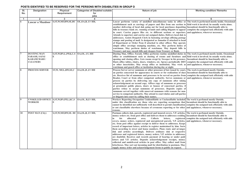| SI. | <b>Designation</b>                                                                   | Physical                                           | <b>Categories of Disabled suitable</b> | Nature of job                                                                                                                                                                                                                                                                                                                                                                                                                                                                                                                                                                                                                                                                                                                                                                                                                                                                                                                                                                                                                                                                                                                      | <b>Working condition/ Remarks</b>                                                                                                                                                                                                         |
|-----|--------------------------------------------------------------------------------------|----------------------------------------------------|----------------------------------------|------------------------------------------------------------------------------------------------------------------------------------------------------------------------------------------------------------------------------------------------------------------------------------------------------------------------------------------------------------------------------------------------------------------------------------------------------------------------------------------------------------------------------------------------------------------------------------------------------------------------------------------------------------------------------------------------------------------------------------------------------------------------------------------------------------------------------------------------------------------------------------------------------------------------------------------------------------------------------------------------------------------------------------------------------------------------------------------------------------------------------------|-------------------------------------------------------------------------------------------------------------------------------------------------------------------------------------------------------------------------------------------|
| No. |                                                                                      | Requirement                                        | for<br>jobs                            |                                                                                                                                                                                                                                                                                                                                                                                                                                                                                                                                                                                                                                                                                                                                                                                                                                                                                                                                                                                                                                                                                                                                    |                                                                                                                                                                                                                                           |
| -1  | $\overline{2}$                                                                       | 3                                                  | 4                                      | 5                                                                                                                                                                                                                                                                                                                                                                                                                                                                                                                                                                                                                                                                                                                                                                                                                                                                                                                                                                                                                                                                                                                                  | 6                                                                                                                                                                                                                                         |
| 6   | <b>Lascar a Mazdoor</b>                                                              | S, ST, W, MF, RW, SE, HC OL, OA, B, LV HH,         |                                        | Lascar performs variety of unskilled miscellaneous tasks in office or<br>establishment such as carringy of papers and files from one section to<br>another delivering of local dak going out for local purchases depositing<br>bills in treasury bank etc. running errands and calling litigants to appear<br>in court. Carries papers files etc. to different sections or superiors.<br>Attends to superiors and carries out assigned duties. Delivers local dak to<br>addressees. Assists Despatch Clerk in fastening envelops affixing postage<br>stamps and posting of mail. Is designated as Jamadar if attached to head<br>of Department or Order Peon if attached to other officer. May operate<br>simple office envelope stamping machine, etc. May perform duties of<br>watchman. May perform duties of watchman. May deposit bills in<br>Treasury and may encash bills and cheques from Treasury or Bank.                                                                                                                                                                                                                | The work is performed mostly inside. Ocassional<br>field work is involved, he usually works alone.<br>Incumbent should be functionally able to<br>complete the assigned task efficiently with aids<br>and applainces, wherever necessary. |
|     | <b>DUSTING MAN</b><br><b>FARASH, SAFAI</b><br><b>KARAMCHARI</b> /<br><b>CLEANERS</b> | S, ST, W, BN, L, PP, K, C, S   OA, OL, LV, HH<br>E |                                        | Dusting Man, Office; Farash, Office performs routine unskilled duties in<br>office or establishment such as dusting of rooms and furniture and<br>opening and closing office. Gets rooms swept by Sweeper in his presence.<br>Dusts office tables, chairs, doors, windows, etc. Sprays periodically DDT<br>or other insecticides. May sweep office or institution. May work as<br>watchman and guard office or institution during day or night.                                                                                                                                                                                                                                                                                                                                                                                                                                                                                                                                                                                                                                                                                    | The work is perfomed mostly inside. Ocassional<br>field work is involved, he usually works alone.<br>Incumbent should be functionally able to<br>complete the assigned task efficiently with aids<br>and applainces, whenever necessary.  |
| 8   | <b>PROCESS SERVER</b>                                                                | ST, W, MF, L, RW, SE, C                            | OA, OL, B, LV HH                       | Process Server server summons or other processes of law issued by court,<br>on parties concerned for appearance in courts or for realization of dues<br>etc. Receives list of summons and processes to be served on parties from<br>Reader, Court or from other competent authority. Serves summons or<br>process on parties by delivering one copy of summons after taking<br>acknowledgement on second copy. Affixes copy of summons or processes<br>at prominent public places, doors or houses of concerned parties, if<br>parties refuse to accept summons of processes. Deposits copies of<br>summons served together with unserved summons with reasons for non-<br>service to competent authority. May attend to court duties and call parties<br>or litigants into court by calling their names.                                                                                                                                                                                                                                                                                                                          | The work is perfomed mostly Outside.<br>Incumbent should be functionally able to<br>complete the assigned task efficiently with aids<br>and applainces, whenever necessary.                                                               |
| 9   | <b>UNSKILLED OFFICE</b><br><b>WORKER</b>                                             | S, ST, W, BN, PP, L, KC, S                         | OA, OL, B, LV HH,                      | Workers Reporting Occupation Unidentifiable or Unclassifiable included The work is perfomed mostly Outside.<br>under this classification are those who are reporting occupations that Incumbent should be functionally able to<br>cannot be identified not sufficiently well described to permit classification<br>or not classifiable elsewhere because of crroneous reporting or for other and applainces, whenever necessary.<br>reasons.                                                                                                                                                                                                                                                                                                                                                                                                                                                                                                                                                                                                                                                                                       | complete the assigned task efficiently with aids                                                                                                                                                                                          |
| 10  | <b>POST MAN (City)</b>                                                               | S, ST, W, MF, RW, SE. HC OA, OL, B, LV HH,         |                                        | Postman collects dak, parcels, registered and insured covers, V.P. articles,<br>money orders etc. from post office and delivers them to addresses residing Incumbent should be functionally able to<br>his<br>allocated<br><b>Collects</b><br>area.<br>letters,<br>registered<br>in<br>covers, money orders, registered and unregistered parcels. V.P. articles,<br>etc. from post office against receipt to deliver them to addresses. Keeps<br>record of important letters, articles in register maintained by him. Sorts<br>them according to street and house numbers. Plans route and arranges<br>dak and articles accordingly. Delivers ordinary dak at respective<br>addresses and registered letters, money orders, V.P. articles to addressee<br>are doubtful. Receives and records payment of bearing or under paid<br>letters and V.P. articles. Deposits acknowledgement receipts, money<br>collected and undelivered articles in post office. May collect mail from<br>letterboxes. May sort out incoming mail for distribution to postmen. May<br>supply money order and acknowledgement forms to public on request. | The work is perfomed mostly Outside.<br>complete the assigned task efficiently with aids<br>and applainces, whenever necessary.                                                                                                           |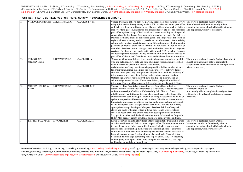### **POST IDENTIFIED TO BE RESERVED FOR THE PERSONS WITH DISABILITIES IN GROUP D**

| 11            | VILLAGE POSTMAN S, ST, W, MF, SE, H, C |                      | OA, OL, B, LV, HH | Village Postman collects letters, parcels, registered and insured covers,<br>telegraphic and ordinary money orders, V.P. articles, etc. from post office<br>and delivers them to addressees in villages. Collects dak such as letters,<br>money orders, parcels, registered and insured letters etc. oof his beat from<br>post office against receipt. Checks and sorts them according to villages and<br>enters them in his book. Arranges dak according to route for delivery.<br>Delivers ordinary mail at addressees given and important dak such as<br>registered letters, money orders, parcels, etc. to addressees, after obtaining<br>acknowledgements or receipts from them. Takes signatures of witnesses for<br>payment of money order when identify of addressee in not known or<br>doubtful. Receives postal charges and maintains records of payment<br>received for bearing or underpaid letters and V.P. articles. Deposits<br>acknowledgement receipts, money collected and undelivered articles in<br>post office. Collects mail from letter boxes and delivers them to post office. | The work is perfomed mostly Outside<br>.Incumbent should be functionally able to<br>complete the assigned task efficiently with aids<br>and applainces, wherever necessary.    |
|---------------|----------------------------------------|----------------------|-------------------|--------------------------------------------------------------------------------------------------------------------------------------------------------------------------------------------------------------------------------------------------------------------------------------------------------------------------------------------------------------------------------------------------------------------------------------------------------------------------------------------------------------------------------------------------------------------------------------------------------------------------------------------------------------------------------------------------------------------------------------------------------------------------------------------------------------------------------------------------------------------------------------------------------------------------------------------------------------------------------------------------------------------------------------------------------------------------------------------------------|--------------------------------------------------------------------------------------------------------------------------------------------------------------------------------|
| <sup>12</sup> | <b>TELEGRAPH</b><br><b>MESSENGERS</b>  | S,STW,MF,SE,H,C      | OA, OL, HH, LV    | Telegraph Messenger delivers telegrams to addressees in quickest possible<br>way and gets signature, date and time of delivery recorded on prescribed<br>from. Collects telegrams and delivery slip bearing<br>serial numbers of telegrams from telegraph office. Tallies number of each<br>telegram with number in delivery slip to ensure correct delivery. Takes<br>chortest route, generally riding auto or bicycle, for expeditious delivery of<br>telegrams to addressees, their Authorised agents or nearest relatives.<br>Obtains signature of recipient with date and time on delivery slip as<br>acknowledgement of receipt. Hands over delivery slip and undelivered<br>telegrams, if any, to office concerned. May also work as Despatch Rider.                                                                                                                                                                                                                                                                                                                                            | The work is perfomed mostly Outside.Incumbent<br>should be functionally able to complete the<br>assigned task efficiently with aids and applainces,<br>wherever necessary.     |
| 13            | <b>MESSENGER DAK,</b><br><b>PEON</b>   | S, STW, MF, SE, H, C | OA, OL, HH, B, LV | Messenger; Dak Peon takes letters, files etc. from office, industrial<br>establishments, institutions or individuals for delivery to local addressees<br>and obtains receipt of delivery. Collects daily dak, files, etc. from<br>establishment, institution, oofice etc. where employed, tallies them with<br>entires made in peon book, puts them in dak bag for security and walks or<br>cycles to respective addressees to deliver them. Distributes letters, dockets,<br>files, etc. to addressees or officials marked and obtains acknowledgement<br>in slip or on peon book. Weighs letters, documents, files etc. for affixing<br>appropriate stamps for dispatch by post. Receives dak from Despatch<br>clerks and posts ordicnary letters in letter box. Hands over registered<br>covers to Postal clerk and obtain receipt of posting with date and time.<br>May perform other unskilled office routine work. May work as Despatch<br>Rider. May prepare empty envelopes and paste economy slips on them.                                                                                   | The work is perfomed mostly Outside.<br>Incumbent should be<br>functionally able to complete the assigned task<br>efficiently with aids and applainces, wherever<br>necessary. |
| 14            | <b>LETTER BOX PEON</b>                 | S, W, CMF, SE, H     | OA, OL, B, LV, HH | Letter Box Peon collects letters from letter boxes installed within his areas<br>at sc heculed hours and delivers them to post office. Follows planned route<br>to clear letter boxes in his beat at fixed hours. Unlocks letter box and<br>collects mail into mail bag. Removes plate indicating hours of clearance<br>and replaces it with new plate indicating next clearance hour. Locks letter<br>box and ensures proper fixation of hour plate and lock. Clear all letter<br>boxes and delivers bags containing mail to post office. May sort incoming<br>and outgoing mail a post office. May stamp letters and covers, seal bags<br>and load or unload them in mail van.                                                                                                                                                                                                                                                                                                                                                                                                                       | The work is perfomed mostly Outside.<br>Incumbent should be functionally able to<br>complete the assigned task efficiently with aids<br>and applainces, whenever necessary.    |

ABBREVIATIONS USED : S=Sitting, ST=Standing , W=Walking, BN=Bending , CRL= Crawling, CL=Climbling, JU=Jumping, L=Lifting, KC=Kneeling & Croutching, RW=Reading & Writing, MF=Manipulation by Fingers, PP=Pulling & Pushing, SE=Seeing, C=Communication,H=Hearing, OA=One Arm, BA=Both Arms, OAL=One Arm and One Leg, BLA=Both Legs & Arms, BLOA=Both leg & one arm ,OL=One Leg, BL=Both Leg, CP= Cerebral Palsy, LC= Leprosy Cured, OH= Orthopaedically Impaired, VH= Visually Impaired, B=Blind, LV=Low Vision, HH= Hearing Impaired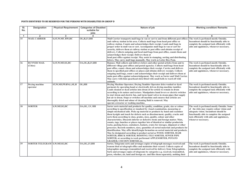| SI.<br>No. | <b>Designation</b>               | <b>Physical Requirement</b>                           | <b>Categories of Disabled</b><br>suitable for<br>jobs | Nature of job                                                                                                                                                                                                                                                                                                                                                                                                                                                                                                                                                                                                                                                                                                                                                                                                                                                                                                                                                                                                                                                                      | <b>Working condition/ Remarks</b>                                                                                                                                                                                                                 |
|------------|----------------------------------|-------------------------------------------------------|-------------------------------------------------------|------------------------------------------------------------------------------------------------------------------------------------------------------------------------------------------------------------------------------------------------------------------------------------------------------------------------------------------------------------------------------------------------------------------------------------------------------------------------------------------------------------------------------------------------------------------------------------------------------------------------------------------------------------------------------------------------------------------------------------------------------------------------------------------------------------------------------------------------------------------------------------------------------------------------------------------------------------------------------------------------------------------------------------------------------------------------------------|---------------------------------------------------------------------------------------------------------------------------------------------------------------------------------------------------------------------------------------------------|
| -1         | $\overline{2}$                   | 3                                                     |                                                       | 5                                                                                                                                                                                                                                                                                                                                                                                                                                                                                                                                                                                                                                                                                                                                                                                                                                                                                                                                                                                                                                                                                  | 6                                                                                                                                                                                                                                                 |
| 15         | <b>MAIL CARRIER</b>              | S, ST, W, MF, RW, HC                                  | OL, B, LV, HH                                         | Mail Carrier transports mail bags in van or cart to and from different post offices<br>and railway station in his area. Collects mail bags from head post office or<br>railway station. Counts and acknowledges their receipt. Loads mail bags in<br>proper order in mail van or cart. Accompanies mail bags in van or cart for<br>security, delivers them at railway station or post office and obtains receipt of<br>delivery. Collects outgoing and local mail bags from post office, counts them and<br>acknowledges their receipt. Delivers them at<br>head post office against receipt. May assist in stamping, sorting and distributing<br>letters. May carry mail bags manually. May work as Letter Box Peon.                                                                                                                                                                                                                                                                                                                                                              | The work is perfomed mostly Outside.<br>Incumbent should be functionally able to<br>complete the assigned task efficiently with<br>aids and applainces, whenever necessary.                                                                       |
| 16         | <b>RUNNER MAIL</b><br>(Cities)   | S, ST, W, MF, SE, HC                                  | OA, OL, B, LV, HH                                     | Runner, Mail collects and delivers letters and other postal articles from and to<br>different village post offices and postal agencies. Collects mail bags from head<br>post office, count s them and acknowledges their receipt. Carries and delivers<br>them to specified post offices or places and obtains delivery receipts. Collects<br>outgoing mail bags, count s and acknowledges their receipt and delivers them at<br>main post office against acknowledgement. May work as Sorter and Mail Carrier.<br>May carry with him spearhead stick fitted with small bells to ward off wild<br>animals.                                                                                                                                                                                                                                                                                                                                                                                                                                                                         | The work is perfomed mostly Outside.<br>Incumbent should be functionally able to<br>complete the assigned task efficiently with<br>aids and applainces, whenever necessary.                                                                       |
| 17         | Drying machine<br>operator       | <b>ST,W,MF,PP</b> <sub>f</sub> BN <sub>f</sub> L,SE,H | OL, HH                                                | Drying Machine Operator; Drying Tumbler Operator dries washed or dyed<br>garments by operating hand or electrically driven drying-machine tumbler.<br>Loads cleaned or dyed articles into drum of for article to remain in drum<br>according to its nature and texture. Manipulates hand levers or electric switches<br>to start drum and electric fan, and turns hand valves in steam pipes that supply<br>hot air to drum. Stops or switches off machine and ensures that articles are<br>thoroughly dried and odour of cleaning fluid is removed. May<br>operate extractor or washing machine.                                                                                                                                                                                                                                                                                                                                                                                                                                                                                  | The work is perfomed mostly Outside.<br>Incumbent should be functionally able to<br>complete the assigned task efficiently with<br>aids and applainces, whenever necessary.                                                                       |
| 18         | <b>SORTER</b>                    | S, W, MF, SE, HC                                      | OA, OL, LV, HH                                        | Sorter sorts material and products for quality, condition, grade, size or colour<br>according to specification or standard by visual examination, measuring or<br>simple mechanical aids. Picks up material or products by hand and examines<br>them bysight and touch for defects such as discolourment, quality, cracks and<br>sorts them according to class, grades, sizes, quality, colour and other<br>characteristics. Discards inferior or defective items and foreign matter. Mats,<br>counts, tags, bunches or places together lots of identical or similar productsin<br>racks, packing boxes, containers, baskets, crates for storages, shipment or other<br>processes. Records numbers, sizes, quantities of sorted materials and products for<br>identification. May affix identifyingin formation on sorted material and products.<br>May be designated according to product sorted as WOOL SORTER, HAIR<br>SORTER, BRICK SORTER; ROOFING-TILE SORTER, SEWER PIPE<br>SORTER, or according to work performed APPLESORTER, POTATO<br><b>GRADER; COCOON SORTER etc.</b> | The work is perfomed mostly Outside. Some<br>of the Jobs may require colour vision and<br>adequate vision. Incumbent should be<br>functionally able to complete the assigned<br>task efficiently with aids and applainces,<br>whenever necessary. |
| 19         | SORTER TELEGRAM S, W, MF, SE, HC |                                                       | OA, OL, LV, HH                                        | Sorter, Telegrams sorts and arranges copies of telegraph messages received and<br>transm itted at telegraph office and maintains their record. Collects copies of<br>telegraphics messages transmitted and received for delivery from Telegraphists.<br>Sorts and arranges copies of telegrams by categories e.g. received, transmitted,<br>press, whether, air, land and foreign etc. and files them separately, nothing their                                                                                                                                                                                                                                                                                                                                                                                                                                                                                                                                                                                                                                                    | The work is perfomed mostly Outside.<br>Incumbent should be functionally able to<br>complete the assigned task efficiently with<br>aids and applainces, whenever necessary.                                                                       |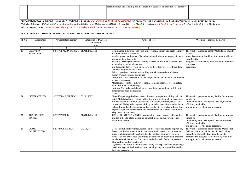|                                                                                                                                                                                           |  |  |  | serial number and labeling, and ties them into separate bundles for safe custody. |  |
|-------------------------------------------------------------------------------------------------------------------------------------------------------------------------------------------|--|--|--|-----------------------------------------------------------------------------------|--|
|                                                                                                                                                                                           |  |  |  |                                                                                   |  |
|                                                                                                                                                                                           |  |  |  |                                                                                   |  |
|                                                                                                                                                                                           |  |  |  |                                                                                   |  |
| ARRREVIATIONS LISED : S=Sitting ST=Standing W=Walking RN=Rending CRL=Crawling CL=Climbling ILL=Lumning L=Lifting KC=Kneeling & Croutching RW=Reading & Writing ME=Manipulation by Eingers |  |  |  |                                                                                   |  |

| Sl. No. | <b>Designation</b>   | <b>Physical Requirement</b>                        | <b>Categories of Disabled</b> | Nature of job                                                                                                                                            | <b>Working condition/ Remarks</b>                                                     |
|---------|----------------------|----------------------------------------------------|-------------------------------|----------------------------------------------------------------------------------------------------------------------------------------------------------|---------------------------------------------------------------------------------------|
|         |                      |                                                    | suitable for<br>jobs          |                                                                                                                                                          |                                                                                       |
|         | $\overline{2}$       | 3                                                  |                               | 5                                                                                                                                                        |                                                                                       |
| 20      | <b>DELIVERY</b>      | S, ST, W, PP, L, BN, MF, SE, C   BL, OL, B, LV, HH |                               | Deliveryman delivers goods such as provisions, bakery products, laundry                                                                                  | The work is perfomed mostly Outside. He usually                                       |
|         | <b>ASSISTANT</b>     |                                                    |                               | etc. at customer's residence                                                                                                                             | works                                                                                 |
|         |                      |                                                    |                               | or other places as directed. Places indents with stores for supply of goods                                                                              | alone. Incumbent should be functionally able to                                       |
|         |                      |                                                    |                               | according to orders to be                                                                                                                                | complete the                                                                          |
|         |                      |                                                    |                               | executed. Arranges orders according to areas or localities. Ensures that                                                                                 | assigned task efficiently with aids and applainces,                                   |
|         |                      |                                                    |                               | all articles are properly packed                                                                                                                         | whenever                                                                              |
|         |                      |                                                    |                               | and loaded in delivery van, push-cart, trolly or tricycle. Goes from door<br>to door along with vehicle and                                              | necessary.                                                                            |
|         |                      |                                                    |                               | delivers goods to customers according to their instructions. Collects                                                                                    |                                                                                       |
|         |                      |                                                    |                               | money from customers and issues                                                                                                                          |                                                                                       |
|         |                      |                                                    |                               | receipt for same. Ascertains further requirements of customers and books                                                                                 |                                                                                       |
|         |                      |                                                    |                               | orders if necessary.<br>Maintains accounts of deliveries made, cash and cheques, etc. collected.                                                         |                                                                                       |
|         |                      |                                                    |                               | Returns undelivered packages                                                                                                                             |                                                                                       |
|         |                      |                                                    |                               | to stores. May take additional goods usually in demand and sell them to                                                                                  |                                                                                       |
|         |                      |                                                    |                               | customers in area or localities                                                                                                                          |                                                                                       |
|         |                      |                                                    |                               | visited.                                                                                                                                                 |                                                                                       |
| 21      | <b>LINEN KEEPER</b>  | S, ST, W, BN, L, MF, SE, C                         | OL, B.LV, HH                  | Linen Keeper supplies linen needs of rooms, lounges and dining halls of                                                                                  | The work is perfomed mostly Inside .Incumbent                                         |
|         |                      |                                                    |                               | hotel. Maintains linen register indiciating stock position of various types                                                                              | should be                                                                             |
|         |                      |                                                    |                               | of linen. Issues clean linen (bedcovers, table-cloth, napkins, towels) to<br>rooms and dining halls in place of dirty or soiled ones. Sends soiled linen | functionally able to complete the assigned task<br>efficiently with aids              |
|         |                      |                                                    |                               | to laundry, and collects washed and pressed articles. Sorts out linen that                                                                               | and applainces, whenever necessary.                                                   |
|         |                      |                                                    |                               | requires repair or replacement and recommends purchase of fresh linen.                                                                                   |                                                                                       |
|         |                      |                                                    |                               | May mend or sew linen.                                                                                                                                   |                                                                                       |
| 22      | <b>TEA/COFFEE</b>    | S, ST, W, MF, L, B                                 | BL, OL, B, LV, HH             | TEA AND COFFEE MAKER brews and prepares beverages like coffee                                                                                            | The work is perfomed mostly Inside. Incumbent                                         |
|         | <b>MAKER</b>         |                                                    |                               | and tea in hotels, clubs or similar establishments and ensures proper                                                                                    | should be                                                                             |
|         |                      |                                                    |                               | cleanliness of stall.                                                                                                                                    | functionally able to complete the assigned task                                       |
|         |                      |                                                    |                               |                                                                                                                                                          | efficiently with aids                                                                 |
| 23      | COOK.                | ST, W, BN, L, MF, SE, C                            | OL, LV, HH                    | Cook Institutional prepares, seasons and cooks soups, meats, vegetables,                                                                                 | and applainces, whenever necessary.<br>The work is perfomed mostly inside. Ocassional |
|         | <b>INSTITUTIONAL</b> |                                                    |                               | desserts and other foodstuffs for consumption in hotels, restaurants and                                                                                 | field work is involved, he usually works alone.                                       |
|         |                      |                                                    |                               | other establishments. Fries, boils, broils, roasts or steams vegetables,                                                                                 | Incumbent should be functionally able to                                              |
|         |                      |                                                    |                               | meats, fish and other food to prepare dishes listed on menu and prepares                                                                                 | complete the assigned task efficiently with aids                                      |
|         |                      |                                                    |                               | salads, sandwiches, cakes, fruit juices and other cold foods. Supervises                                                                                 | and applainces, whenever necessary.                                                   |
|         |                      |                                                    |                               | dish washing and preparing of                                                                                                                            |                                                                                       |
|         |                      |                                                    |                               | vegetables and other foodstuffs for cooking. May specialize in preparing a                                                                               |                                                                                       |
|         |                      |                                                    |                               | particular type of food, such as meat, salad, pastry or vegetables, and be                                                                               |                                                                                       |
|         |                      |                                                    |                               | designed accordingly.                                                                                                                                    |                                                                                       |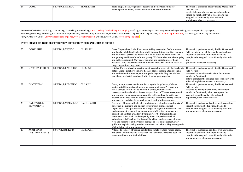| <b>COOK</b> | <b>ST,W,BN,L,MF,SE,C</b> | BL,OL,LV,HH | cooks soups, meats, vegetables, desserts and other foodstuffs for | The work is perfomed mostly inside. Ocassional |
|-------------|--------------------------|-------------|-------------------------------------------------------------------|------------------------------------------------|
|             |                          |             | consumption in hotels, restaurants and other establishments.      | field work is-                                 |
|             |                          |             |                                                                   | involved, he usually works alone .Incumbent    |
|             |                          |             |                                                                   | should be functionally able to complete the    |
|             |                          |             |                                                                   | assigned task efficiently with aids and        |
|             |                          |             |                                                                   | applainces, whenever necessary.                |

| 25 | <b>COOK, SHIP</b>                     | ST, W, BN, L, MF, SE, C     | OL, LV, HH     | Cook, Ship on board hip. Plans menu taking account of foods in season<br>and local availability. Cooks food stuffs in quanitities according to menu<br>and number of persons to be served. Cleans, cuts and cooks meat, fish<br>and poultry and bakes breads and pastry. Washes dishes and cleans galley<br>and galley equipment. May order supplies and maintain record and<br>accounts. May supervise activities of one or more workers who assist in<br>preparing and serving, meals.                                                                                                                                                                                                       | The work is perfomed mostly inside. Ocassional<br>field work is involved. he usually works alone.<br>Incumbent should be functionally able to<br>complete the assigned task efficiently with aids<br>and<br>pplainces, whenever necessary.   |
|----|---------------------------------------|-----------------------------|----------------|------------------------------------------------------------------------------------------------------------------------------------------------------------------------------------------------------------------------------------------------------------------------------------------------------------------------------------------------------------------------------------------------------------------------------------------------------------------------------------------------------------------------------------------------------------------------------------------------------------------------------------------------------------------------------------------------|----------------------------------------------------------------------------------------------------------------------------------------------------------------------------------------------------------------------------------------------|
| 26 | <b>KITCHEN PORTER</b>                 | ST, W, BN, L, PP, MFSE, C   | OL, B, LV, HH  | Kitchen Porter, Masalchi carries, meat, vegetable water etc. for kitchen in<br>hotels. Cleans crockery, cutlery, disches, plates, cooking utencils; lights<br>and maintains fire; washes, cuts and peels vegetable. May use kitchen<br>machines e.g. electric washers, knife cleaners, potato-peeler.                                                                                                                                                                                                                                                                                                                                                                                          | The work is perfomed mostly inside .Ocassional<br>field work is<br>in volved. he usually works alone. Incumbent<br>should be functionally<br>able to complete the assigned task efficiently with<br>aids and applainces, whenever necessary. |
| 27 | <b>PANTRYMAN</b>                      | ST, W, BN, L, PP, MFSE, C   | OL, LV, HH     | Pantryman prepares snacks and beverages in large hotels, clubs or<br>similar establishments and maintains account of sales. Prepares and<br>mixes various infredients to be used in salads, fruit cocktails,<br>beverages and sandwiches. Serves preparations to Waiters as requested<br>and supplies sugar, cream, pepper, milk, coffee and tea to waiters as<br>ordered and keeps account of sales or issues. Maintains pantry in clean<br>and orderly condition. May work as such in ship's dining rooms.                                                                                                                                                                                   | The work is perfomed mostly inside. Ocassional<br>field work is<br>involved he usually works alone. Incumbent<br>should be functionally able to complete the<br>assigned task efficiently with aids and<br>applainces, whenever necessary.   |
| 28 | <b>CARETAKER,</b><br><b>MONUMENTS</b> | ST, W, BN, L, MF, RW, SE, C | OA, OL, LV, HH | Caretaker, Monument looks after maintenance, cleanliness and safety of<br>historical monuments and ancient structures of archaeological<br>importance. Visits premises under charges at regular intervals and sees<br>that monument is cleaned by subordinate staff, safety measures are<br>carried out, visitors are allowed within prescribed time limits and<br>monument is not spoilt or damaged by them. Supervises work of<br>subordinate staff such as Gardener, Chowkidar and sweepers (dry and<br>wet) and reports to authorities of damage or loss to monument. May<br>guide and explain background of monument to visitors. May arrange sale<br>of tickets for entry into monument. | The work is performed inside as well as outside.<br>Incumbent should be functionally able to<br>complete the assigned task efficiently with aids<br>and applainces, whenever necessary.                                                      |
| 29 | <b>AYAH MAID</b><br>(INSTITUTIONAL)   | S, ST, W, F, PP, L, KC, B   | OL, B, LV, HH  | Attends to comfort of women residents in hotels, waiting rooms, clubs,<br>and other institutions and looks after their children. Prepares beds for<br>women residents and their children                                                                                                                                                                                                                                                                                                                                                                                                                                                                                                       | The work is performed inside as well as outside.<br>Incumbent should be functionally able to<br>complete the assigned task efficiently with aids<br>and applainces, whenever necessary.                                                      |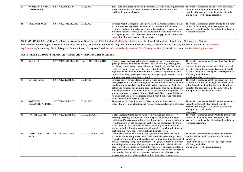| 30 <sup>°</sup> | AYAH; NURSE MAID S, ST, W, F, PP, L, KC, B<br>(DOMESTIC) |                              | OL, B, LV, HH | Takes care of children in private households. Attends to the requirements The work is performed inside as well as outside.<br>of the children and watches over their activities. Assists children in<br>bathing, dressing and feeding.                                                                                                                                                                                       | Incumbent should be functionally able to<br>complete the assigned task efficiently with aids<br>and applainces, whenever necessary.                                         |
|-----------------|----------------------------------------------------------|------------------------------|---------------|------------------------------------------------------------------------------------------------------------------------------------------------------------------------------------------------------------------------------------------------------------------------------------------------------------------------------------------------------------------------------------------------------------------------------|-----------------------------------------------------------------------------------------------------------------------------------------------------------------------------|
| 31              | <b>SWEEPER, WET</b>                                      | <b>S.ST.W.KC, MF.PP.L.SE</b> | OL.B.LV.HH    | Sweeper, Wet, Scavenger cleans and washes bathrooms, lavatories drains<br>etc. and removes night-soil. Sweeps and washes floor of bath-rooms,<br>I avatories and operation theatre rooms in hospital and removes garbage<br>and other material in closed buckets to dustbin. Scrubs floor with cloth,<br>wet in phenyl and water. Removes night soil using spade and broom and<br>carries it to dumping ground in hand-cart. | The work is performed mostly inside. Incumbent<br>should be functionally able to complete the<br>assigned task efficiently with aids and applainces,<br>whenever necessary. |

| 32 | <b>Sweeper, Dry</b>                       | S, ST, W, KC, MF, PP, L, SE | OA, OL, BL, OAL, LV, HH, | Cleans, sweeps and scrubs buildings, streets, parks, etc. and removes<br>garbage. Sweeps with broom or brush floors of buildings, roads, parks,<br>etc. Removes dust and garbage in basket to dustbin. Scrubs floor with<br>cloth, wet in phenyl and water to remove fine dust. May clean carpets and<br>rugs with brush and dust furniture and fixt ures. May prepare his own<br>broom. May dump garbage in cart and carry garbage in hand cart or in<br>animal driven cart to dumping ground.                                                                                                                                                                                           | The work is perfomed mostly outside. Ocassional<br>field work is<br>involved. he usually works alone. Bilateral hand<br>activities should be adequate. Incumbent should<br>be functionally able to complete the assigned task<br>efficiently with aids and<br>applainces, whenever necessary. |
|----|-------------------------------------------|-----------------------------|--------------------------|-------------------------------------------------------------------------------------------------------------------------------------------------------------------------------------------------------------------------------------------------------------------------------------------------------------------------------------------------------------------------------------------------------------------------------------------------------------------------------------------------------------------------------------------------------------------------------------------------------------------------------------------------------------------------------------------|-----------------------------------------------------------------------------------------------------------------------------------------------------------------------------------------------------------------------------------------------------------------------------------------------|
| 33 | <b>Sweeper, Sewer</b>                     | S,ST,W,KC,F,PP,L,SE         | OL, LV, HH               | Sweeper Sewer; Sewer Cleaner cleans blocked underground drains and<br>sewage system by various cleaning instruments. Removes iron-cover from<br>manhole and descends in manhole with drainage equipment. Collects<br>debris and refuse in bucket using spade and hands over bucket to helper<br>outside manhole. Uses bamboo or iron rod to clean sewer by pushing it in<br>and out and repeats process till sewer is cleaned. May remove debris and<br>refuse in garbage carts to dumping ground. May flush sewer with hose<br>connected with underground hydrant.                                                                                                                       | The work is perfomed mostly outside. The job is<br>hazardous at times, involving work in deep man<br>holes. Incumbent should be functionally able to<br>complete the assigned task efficiently with aids<br>and applainces, whenever necessary.                                               |
| 34 | <b>SWEEPER</b><br><b>CLEANERS AND REI</b> | S, ST, W, BN, PP, L, MF     | OL, B, LV, HH            | Sweepers and Related Labourers, Other include all other workers<br>engaged in sweeping, cleaning, and related work, not elsewhere classified.                                                                                                                                                                                                                                                                                                                                                                                                                                                                                                                                             | The work is performed insided as well as outside.<br>Incumbent should be functionally able to<br>complete the assigned task efficiently with aids<br>and applainces, whenever<br>necessary.                                                                                                   |
| 35 | <b>WATER CARRIER</b>                      | S,ST,W,KC,F,PP,L,SE,        | OL, OA, B, LV, HH        | Water Carrier; Bhishti draws water from wells, rivers pons etc. for<br>drinking, washing, cleaning and other purposes in house, building or<br>institution. Collects water in big leather bags, buckets or other containers<br>from taps, pons or well and carries leather bag or containers filled with<br>water and delivers at house of clients for drinking, cleaning of drains,<br>storage in tanks. Supplies water to work sites. May work whole- time or<br>part-time in private houses for supplying drinking water.                                                                                                                                                              | The work is perfomed mostly Outside. Incumbent<br>should be functionally able to complete the<br>assigned task efficiently with aids and applainces,<br>whenever necessary.                                                                                                                   |
| 36 | <b>DHOBI/LAUNDRY</b><br><b>MAN</b>        | S, ST, KC, F, PP, L, F, SE  | OL, OA, OAL, B, LV, HH   | Dhobi; Washerman washes and cleans garments and other articles of<br>washable fabrics and presses them. Collects soiled clothes and garments<br>from clients, marks them with marking ink for identification. Sorts soiled<br>articles according to type and treatment to be given. Fills tub with water<br>and adds proper amount of soap, washing soda or other chemicals and<br>dips coloured or delicate garments into soapy water or chemical solution<br>and agitates it by hand. Spreads wet garments on flat surface, and scrubs<br>with hand or brush and rinses garment in clear water till dirty water<br>stops coming our. Treats excessively soiled garments of coarse cloth | The work is perfomed mostly Outside. Bilateral<br>hand activities should be adequate. Incumbent<br>should be<br>functionally able to complete the assigned task<br>efficiently with aids<br>and applainces, whenever necessary.                                                               |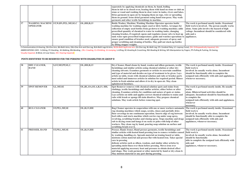|    |                 |                                            |               | separately by applying chemicals on them, by hand, boiling<br>them in tub or in closed oven, beating them with hand on stone or club on<br>stone or wood and washing them in clear water in tanks, rivers and lakes.<br>Dries garments in open air by hanging them on rope, wire or spreading<br>them on ground. Irons dried garments using hand iron-press. May wash<br>garments and other textile furnishings in machine.                                                                                                                                                                                                                                                    |                                                                                                                                                                                                   |
|----|-----------------|--------------------------------------------|---------------|--------------------------------------------------------------------------------------------------------------------------------------------------------------------------------------------------------------------------------------------------------------------------------------------------------------------------------------------------------------------------------------------------------------------------------------------------------------------------------------------------------------------------------------------------------------------------------------------------------------------------------------------------------------------------------|---------------------------------------------------------------------------------------------------------------------------------------------------------------------------------------------------|
| 37 | <b>OPERATOR</b> | WASHING MACHINE ST, W, BN, PP, L, MF, SE.C | OL, HH, B, LV | Bottle Washer, Machine; Washing Machine Operator operates bottle<br>washing machine for washing empty used or dirty bottles. Arranges for<br>collection of empty used bottles from go-down to washing machine; adds<br>prescribed quantity of chemical to water in washing tanks, changing<br>$\alpha$ cleaning brushes, if required; opens and regulates steam valve to heat up $\alpha$ aids and a<br>tank water upto prescribed temperature; guide and watches operations to appliances.<br>ensure good condition of brushes used, adequate pressure of spray and<br>proper scrubbing and cleaning of bottles. May pull out stuck-up bottles<br>by lifting stopper weights. | The work is perfomed mostly inside. Ocassional<br>field work is involved. The person usually works<br>alone. Some jobs involve the hazard of high<br>voltage .Incumbent should be considered with |

C=Communication,H=Hearing, OA=One Arm, BA=Both Arms, OAL=One Arm and One Leg, BLA=Both Legs & Arms, BLOA=Both leg & one arm ,OL=One Leg, BL=Both Leg, CP= Cerebral Palsy, LC= Leprosy Cured, OH= Orthopaedically Impaired, VH= ABBREVIATIONS USED:S=Sitting, ST=Standing, W=Walking, BN=Bending, CRL= Crawling, CL=Climbling, JU=Jumping, L=Lifting, KC=Kneeling & Croutching, RW=Reading & Writing, MF=Manipulation by Fingers, PP=Pulling & Pushing, SE=See Visually Impaired, B=Blind, LV=Low Vision, HH= Hearing Impaired

| 38 | <b>DRY CLEANER,</b><br><b>HAND</b> | S, ST, MF, PP, SE, C. | OL, HH, B, LV               | Dry-Cleaner, Hand cleans by hand, woolen and silken garments, textile<br>furnishings and similar articles using chemical solution or other dry<br>cleaning solvents. Examines garments or articles to ascertain condition<br>and type of material and decides on type of treatment to be given. Lays<br>article on table, treats with chemical solution and rubs or brushes parts<br>most soiled and immerses articles in solution for required period. Rinses<br>article in fresh solution and allows it to dry in open air. May clean<br>upholstered furniture.                                                                                                                     | The work is perfomed mostly inside. Ocassional<br>field work is<br>involved .he usually works alone. Incumbent<br>should be functionally able to complete the<br>assigned task efficiently with aids and applainces,<br>whenever necessary.                  |
|----|------------------------------------|-----------------------|-----------------------------|---------------------------------------------------------------------------------------------------------------------------------------------------------------------------------------------------------------------------------------------------------------------------------------------------------------------------------------------------------------------------------------------------------------------------------------------------------------------------------------------------------------------------------------------------------------------------------------------------------------------------------------------------------------------------------------|--------------------------------------------------------------------------------------------------------------------------------------------------------------------------------------------------------------------------------------------------------------|
| 39 | <b>SPOT REMOVER</b>                | <b>S.L.MF.SE</b>      | OL, BL, OA, OLA, B, LV, HH, | Spot Remover removes with chemical solution spots and stains from<br>clothings, textile furnishings and similar articles, either before or after<br>cleaning. Examines articles for condition and nature of spots or stains.<br>Lays articles on table and applies correct chemical solution to stains and<br>rubs with brush or sponge till stain dissolves. May prepare chemical<br>solutions. May wash article before removing spot.                                                                                                                                                                                                                                               | The work is perfomed mostly inside. He usually<br>works<br>alone. Bilateral hand activities should be<br>adequate. Incumbent should be functionally able<br>to complete the<br>assigned task efficiently with aids and applainces,<br>whenever<br>necessary. |
| 40 | <b>RUG CLEANER</b>                 | ST, PP, L, MF, SE     | OL, B, LV, HH               | Rug Cleaner operates in cooperation with one or more workers automatic<br>rug cleaning machines which soaps, scrubs, rinses and partially dries<br>floor coverings in one continuous operation. Inserts edge of rug between<br>feed rollers and starts machine which carries rug under soap spray,<br>revolving, scrubbing brushes and rinsing spray. Stops machine and drags<br>rub to drying room and hangs it on racks or poles with help of other<br>workers. May clean rug by hand, pouring soap solution on surface and<br>scrubbing brush over it.                                                                                                                             | The work is perfomed mostly inside. Ocassional<br>field work is<br>involved, he usually works alone. Incumbent<br>should be functionally able to complete the<br>assigned task efficiently with aids and<br>applainces, whenever necessary.                  |
| 41 | PRESSER, HAND                      | ST, PP, L, MF, SE     | OL, B, LV, HH               | Presser, Hand; Ironer, Hand presses garments, textile furnishings and<br>similar articles with heated hand pressing iron to remove wrinkles caused<br>by washing, handling etc. Spreads material on ironing board or table,<br>moistens cotton material and presses flat with heated iron. Takes special<br>care in pressing<br>delicate articles such as silken, woolens, and similar other articles by<br>spreading moist linen over them before pressing. Moves iron over<br>material applying necessary heat and pressure to obtain desired effect<br>and shape. May wash garment or other material by hand or dry-clean it.<br>May moisten material or any part during pressing. | The work is perfomed mostly inside. Ocassional<br>field work is<br>involved, he usually works alone. Incumbent<br>should be functionally<br>able to complete the assigned task efficiently with<br>aids and<br>applainces, whenever necessary.               |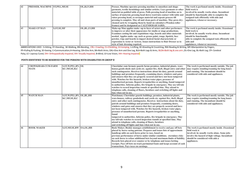| 42 | PRESSER, MACHINE ST, PP, L, MF, SE |                   | OL, B, LV, HH  | Presser, Machine operates pressing machine to smoothen and shape           | The work is perfomed mostly inside. Ocassional      |
|----|------------------------------------|-------------------|----------------|----------------------------------------------------------------------------|-----------------------------------------------------|
|    |                                    |                   |                | garments, textile furnishings and similar articles. Lays garments or other | field work is                                       |
|    |                                    |                   |                | material on padded table of press. Pulls pressing head of machine on to    | involved he usually works alone. Incumbent          |
|    |                                    |                   |                | surface of material, pressing head down ward into contact with table and   | should be functionally able to complete the         |
|    |                                    |                   |                | raises pressing head, re-arranges material and repeats process till        | assigned task efficiently with aids and             |
|    |                                    |                   |                | pressing is complete. May oil and clean parts of machine. May press dry-   | applainces, whenever necessary.                     |
|    |                                    |                   |                | cleaned saris by wrapping them by hand on calendars (Wooden-roller         |                                                     |
|    |                                    |                   |                | frames) and be designated as CALENDERAR SARIS.                             |                                                     |
| 43 | <b>MAKE-UP MAN</b>                 | <b>S.ST.SE.MF</b> | OL, BL, LV, HH | Make-up Man applies make -up to faces of actors and other performers       | The work is perfomed mostly inside. Ocassional      |
|    |                                    |                   |                | to improve or alter their appearance for studio or stage productions.      | field work is                                       |
|    |                                    |                   |                | Examines casting list and requisitions wigs, beards and other materials    | involved, he usually works alone. Incumbent         |
|    |                                    |                   |                | needed. Applies make -up, such as grease paint, rouge, lipstick, face      | should be functionally                              |
|    |                                    |                   |                | powder, wigs and beards to impart desired facial characteristic or         | able to complete the assigned task efficiently with |
|    |                                    |                   |                | expression to Actor or Actress. Issues instructions to Hair Dresser as to  | aids and                                            |
|    |                                    |                   |                | style of hair dressing required.                                           | applainces, whenever necessary.                     |

| 44 | <b>CHOWKIDAR-CUM-FARM</b><br><b>MATE</b> | $S, ST, W, PP, L, BN, \vert$ OL<br>KC, MF, SE, H, C | Chowkidar cum farmate guards farms premises, industrial plants, ware-<br>houses, goods-sheds and yards etc. against fire, theft, illegal entry and other<br>such contingencies. Receives instructions about his duty, patrols around<br>buildings and premises frequently, examining doors, windows and gates<br>and ensures that they are properly secured and have not been tampered<br>with. Watches for fire hazards, broken water pipes, presence of<br>unauthorized persons. Reports irregularities or anything, found tampered<br>to authorities. Informs police, fire brigade in emergency. May use tell-tale<br>watches to record inspection rounds at specified time. May attend to<br>telephone calls, cleaning of floors, furniture and switching off lights and<br>fans when not in use.             | The work is performed mostly outside. The job<br>may require standing/roaming for long hours<br>and running. The incumbent should be<br>considered with aids and appliances.                                       |
|----|------------------------------------------|-----------------------------------------------------|-------------------------------------------------------------------------------------------------------------------------------------------------------------------------------------------------------------------------------------------------------------------------------------------------------------------------------------------------------------------------------------------------------------------------------------------------------------------------------------------------------------------------------------------------------------------------------------------------------------------------------------------------------------------------------------------------------------------------------------------------------------------------------------------------------------------|--------------------------------------------------------------------------------------------------------------------------------------------------------------------------------------------------------------------|
| 45 | <b>WATCH MAN</b>                         | S,ST,W,PP,L,BN, OL,BL,HH<br>KC, MF, SE, H, C        | Watchman; Chowkidar guards buildings, premises, industrial plants,<br>ware-houses, railway goodssheds and yards etc. against fire, theft, illegal<br>entry and other such contingencies. Receives instructions about his duty,<br>patrols around buildings and premises frequently, examining doors,<br>windows and gates and ensures that they are properly secured and have<br>not been tampered with. Watches for fire hazards, broken water pipes,<br>presence of unauthorized persons. Reports irregularities or anything,<br>found<br>tampered to authorities. Informs police, fire brigade in emergency. May<br>use tell-tale watches to record inspection rounds at specified time. May<br>attend to telephone calls, cleaning of floors, furniture<br>and switching off lights and fans when not in use. | The work is performed mostly outside. The job<br>may require standing/roaming for long hours<br>and running. The incumbent should be<br>considered with aids and appliances.                                       |
| 46 | <b>BOOK MAKER</b>                        | S, ST, MF, SE, RW   OA, OL, HH                      | Book Maker; Bookie manages establishment to receive and pay off bets<br>placed by horse racing patrons. Prepares and issues lists of approximate<br>handicap odds on each horse prior to race, based on<br>previous performance of horse under similar conditions. etermines risks<br>on each horse to refuse additional bets beyond maximum limits of liability.<br>Records bets placed over counter or by telephone and issues betting<br>receipts. Pays off bets on track parimutuel basis and keeps account of cash<br>transactions. Pays taxes on earnings.                                                                                                                                                                                                                                                  | The work is perfomed mostly inside .Ocassional<br>field work is<br>involved. he usually works alone. Some jobs<br>involve the hazard of high voltage. Incumbent<br>should be considered with aids a<br>appliances. |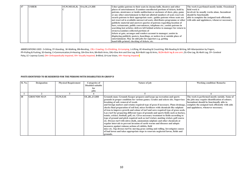| 47 | <b>USHER</b> | ST, W, MF, SE, H, | OA, OL, LV, HH | Usher guides patrons to their seats in cinema halls, theatres and other         | The work is perfomed mostly inside. Ocassional |
|----|--------------|-------------------|----------------|---------------------------------------------------------------------------------|------------------------------------------------|
|    |              |                   |                | places of entertainment. Examines uncollected portions of tickets, held by      | field work is                                  |
|    |              |                   |                | patrons, atentrance or inside auditorium or enclosure of show, play, game       | involved, he usually works alone. Incumbent    |
|    |              |                   |                | or any other entertainment to find out allotted numbers of seats reserved;      | should be functionally                         |
|    |              |                   |                | escorts patrons to their appropriate seats; guides patrons whose seats are      | able to complete the assigned task efficiently |
|    |              |                   |                | not reserved to available unreserved seats; distributes programme or other      | with aids and applainces, whenever necessary.  |
|    |              |                   |                | publicity material and answers queries of patrons regarding location of         |                                                |
|    |              |                   |                | bars, restaurants, public conveniences, telephone etc.; assists patrons in      |                                                |
|    |              |                   |                | searching lost articles; delivers left behind articles to manager for return to |                                                |
|    |              |                   |                | owners: examines collected portions of                                          |                                                |
|    |              |                   |                | tickets at gate, arranges and renders account to manager; assists in            |                                                |
|    |              |                   |                | displaying publicity posters, hoardings, or notices in or outside place of      |                                                |
|    |              |                   |                | entertainment. May do odd jobs for superiors e.g. getting                       |                                                |
|    |              |                   |                | hand-bills printed, checking of tickets, etc.                                   |                                                |

| <b>Sl. No.</b> | <b>Designation</b> | <b>Physical Requirement</b> | <b>Categories of</b><br>Disabled suitable<br>for<br>jobs | Nature of job                                                                                                                                                                                                                                                                                                                                                                                                                                                                                                                                                                                                                                                                                                                                                                                                                                                                                                                                                                                                                                                                                                                                                   | <b>Working condition/ Remarks</b>                                                                                                                                                                                                       |
|----------------|--------------------|-----------------------------|----------------------------------------------------------|-----------------------------------------------------------------------------------------------------------------------------------------------------------------------------------------------------------------------------------------------------------------------------------------------------------------------------------------------------------------------------------------------------------------------------------------------------------------------------------------------------------------------------------------------------------------------------------------------------------------------------------------------------------------------------------------------------------------------------------------------------------------------------------------------------------------------------------------------------------------------------------------------------------------------------------------------------------------------------------------------------------------------------------------------------------------------------------------------------------------------------------------------------------------|-----------------------------------------------------------------------------------------------------------------------------------------------------------------------------------------------------------------------------------------|
|                |                    |                             |                                                          |                                                                                                                                                                                                                                                                                                                                                                                                                                                                                                                                                                                                                                                                                                                                                                                                                                                                                                                                                                                                                                                                                                                                                                 |                                                                                                                                                                                                                                         |
| 48             | <b>GROUNDS MAN</b> | <b>ST.W.F.SE</b>            | OL, BL, LV, HH                                           | Grounds man; Grounds Keeper prepares and keeps up recreation and sports<br>grounds in proper condition for various games. Grades and selects site. Supervises<br>breaking of soil, removal of weeds<br>and foreign matters and retains required type of grass if necessary. Plans drainage,<br>checks final preparation of soil bed, mixes fertilizers with chemicals like sulphate<br>of iron to improve growth and colour of turf and sows required type of grass seeds.<br>Lays turf for preparing different types of grounds and sports fields such as hockey,<br>tennis, cricket, football, golf, etc. Gives necessary treatment to fields according to<br>type of ground and pitch required such as turf wicket, matting wicket, golf course<br>etc. Dresses turf with nitro-chalk, ammonium sulphate and other chemicals at<br>regular intervals to prevent invasion of earth worms and diseases and adopts<br>measures against ruinous actions of rabbits, field<br>mice etc. Top dresses turf by moving grass cutting and rolling. Investigates causes<br>of bad lawns and takes appropriate steps to renovate neglected lawns, fields and<br>grounds. | The work is performed mostly outside. Some of<br>the jobs may require identification of colours.<br>Incumbent should be functionally able to<br>complete the assigned task efficiently with aids<br>and applainces, whenever necessary. |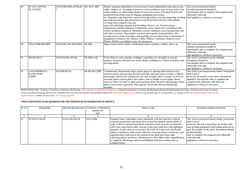| 49 | <b>PLANT ASSTTS./</b> | S,ST,W,BN,MF,L,PP,SE,H,                 | OL, B,LV, HH      | Planter manages plantation on own account to grow plantation crops such as tea,      | The work is perfomed mostly                     |
|----|-----------------------|-----------------------------------------|-------------------|--------------------------------------------------------------------------------------|-------------------------------------------------|
|    | <b>PLANTERS</b>       |                                         |                   | coffee, rubber, etc. Arranges to procure seed according to type of crop such as tea, | <b>Outside.Incumbent should be</b>              |
|    |                       |                                         |                   | coffee, rubber, etc. Determines kinds of crop to be grown. Gets land cleared and     | functionally able to complete the assigned task |
|    |                       |                                         |                   | prepared forgrowing crops by digging, ploughing, harrowing                           | efficiently with aids                           |
|    |                       |                                         |                   | etc. Organises and supervises various farm operations, sowing, manuring, weeding,    | and applainces, whenever necessary.             |
|    |                       |                                         |                   | spraying insecticide, and protection of crop from destruction by wild animals.       |                                                 |
|    |                       |                                         |                   | Arranges harvesting of crop and                                                      |                                                 |
|    |                       |                                         |                   | supervises plucking, tapping and threshing of leaves, etc. Ensures proper            |                                                 |
|    |                       |                                         |                   | maintenance and development of plantation estate. Supervises recruitment and         |                                                 |
|    |                       |                                         |                   | welfare of labour employed. Maintains records relating to cost of production, sale   |                                                 |
|    |                       |                                         |                   | and other accounts. Mayconduct research and organise demonstration. May              |                                                 |
|    |                       |                                         |                   | arrange preservation of produce and partially process them prior to marketing. Is    |                                                 |
|    |                       |                                         |                   | designated as Planter, Tea; Planter, Coffee; Planter, Cinchona; Planter, Cocoa;      |                                                 |
|    |                       |                                         |                   | Planter, Rubber according to type of crop grown.                                     |                                                 |
| 50 | <b>TRACTOR HELPER</b> | S, ST, W, KC, BN, MF, SE, H, C   OL, HH |                   | Helps tractor driver. Faster attachement such as graders, trailors, plows etc        | The work is perfomed mostly                     |
|    |                       |                                         |                   |                                                                                      | Outside.Incumbent should be                     |
|    |                       |                                         |                   |                                                                                      | functionally able to complete the assigned task |
|    |                       |                                         |                   |                                                                                      | efficiently with aids                           |
|    |                       |                                         |                   |                                                                                      | and applainces, whenever necessary.             |
| 51 | <b>HEAD MALI</b>      | S, ST, W, F, PP, L, BN, SE              | OL, HH, LV, B     | Grows flowers, trees, shrubs, seedlings, vegetables, etc. in public or private       | The work is perfomed mostly Outside.            |
|    |                       |                                         |                   | gardens. Prepares soil and sows seeds, plants, seedlings etc. Waters seed-beds and   | Incumbent should be                             |
|    |                       |                                         |                   | growing plants.                                                                      | functionally able to complete the assigned task |
|    |                       |                                         |                   |                                                                                      | efficiently with aids                           |
|    |                       |                                         |                   |                                                                                      | and applainces, whenever necessary.             |
| 52 | <b>CALENDERMAN,</b>   | <b>S,ST,MF,BN,SE</b>                    | OL, BL, B, LV, HH | Calenderman, Hand-made Paper glazes paper by placing sheets between two              | The work is perfomed mostly inside. Ocassional  |
|    | <b>HAND MADE</b>      |                                         |                   | zinc/iron plates and pressing them in manually operated stack of rollers. Collects   | field work is                                   |
|    | <b>PAPER</b>          |                                         |                   | dried paper sheets to be calendered; sets and arranges sheets of paper in between    | involved. he usually works alone. Incumbent     |
|    |                       |                                         |                   | iron/zinc plates; inserts plates into rollers; moves handle to press paper sheets    | should be functionally able to complete the     |
|    |                       |                                         |                   | between rollers in order to glaze and smoothen them. Removes glazed paper from       | assigned task efficiently with aids and         |
|    |                       |                                         |                   | plates, stacks them separately. May operate electrically driven calendering          | applainces, whenever necessary.                 |
|    |                       |                                         |                   | machine.                                                                             |                                                 |

| Sl. No. | <b>Designation</b> |                        | <b>Physical Requirement   Categories of Disabled  </b> | Nature of job                                                                  | <b>Working condition/ Remarks</b>              |
|---------|--------------------|------------------------|--------------------------------------------------------|--------------------------------------------------------------------------------|------------------------------------------------|
|         |                    |                        | suitable for                                           |                                                                                |                                                |
|         |                    |                        | iobs                                                   |                                                                                |                                                |
|         |                    |                        |                                                        |                                                                                |                                                |
| 53      | <b>PANMAN SOAP</b> | <b>S,ST,L,BN,MF,SE</b> | OL.LV,HH                                               | Panman Soap; Soap Boiler mixes chemicals with fats and fatty acids in          | The work is perfomed mostly inside. Ocassional |
|         |                    |                        |                                                        | required proportions and heats them in pan for making various kinds of         | field work is                                  |
|         |                    |                        |                                                        | soap. Collects required ingredients and mixes them in proper proportion        | involved. The job is hazardous involving work  |
|         |                    |                        |                                                        | with water and caustic soda; charges it into pan; boils pan with minimum       | near heating equipment and boiling material in |
|         |                    |                        |                                                        | quantity of salf, wherever necessary, for removal of glycerin, and finally     | pan. He usually works alone. Incumbent should  |
|         |                    |                        |                                                        | adjusts consistency with caustic alkali for ensuring proper consistency and    | be functionally                                |
|         |                    |                        |                                                        | saponification with lowest salt content in the final neat soap; adds           | able to complete the assigned task efficiently |
|         |                    |                        |                                                        | colouring matter, perfumes, disinfectant or other fillers after saponification | with aids and                                  |
|         |                    |                        |                                                        | is complete; discharges cooked and finished stuff into settling tank or        | applainces, whenever necessary.                |
|         |                    |                        |                                                        | cooling frames.                                                                |                                                |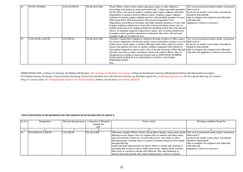| 54 | <b>PASTE MAKER</b>      | S, ST, L, B, MF, SE | OL, BL, B, LV, HH | Paste Maker; Glue Cooker makes glue paste, gum, or other adhesives                           | The work is perfomed mostly inside. Ocassional |
|----|-------------------------|---------------------|-------------------|----------------------------------------------------------------------------------------------|------------------------------------------------|
|    |                         |                     |                   | according to formulae in steam jacketed kettles. Collects specified quantities field work is |                                                |
|    |                         |                     |                   | of dry flour, corn-starch, tapioca, washing soda, copper sulphate and other                  | involved, he usually works alone. Incumbent    |
|    |                         |                     |                   | ingredients to prepare desired adhesive paste. Prepares copper sulphate                      | should be functionally                         |
|    |                         |                     |                   | solution by mixing copper sulphate powder with specified quantity of water;                  | able to complete the assigned task efficiently |
|    |                         |                     |                   | fills drum fitted with steam jacket with measured quantity of dry                            | with aids and                                  |
|    |                         |                     |                   | ingredients accordin g to formulae and adds requisite quantity of water and                  | applainces, whenever necessary.                |
|    |                         |                     |                   | copper sulphate solution in it; closes lid or drum and opens steam valve to                  |                                                |
|    |                         |                     |                   | admit steam into it for boiling solution for specified period observing thermo               |                                                |
|    |                         |                     |                   | meter to maintain required temperature; opens valve to drain solution into                   |                                                |
|    |                         |                     |                   | container when specified consistency is obtained. May draw off and send                      |                                                |
|    |                         |                     |                   | sample of glue to Chemist for test.                                                          |                                                |
| 55 | <b>STRAINER, LIQUID</b> | <b>S,ST,MF,SE</b>   | OL, BL, B, LV, HH | Strainer, Liquid filters liquids or solutions through strainers or filter papers             | The work is perfomed mostly inside. Ocassional |
|    |                         |                     |                   | to remove impurities and foreign matter. Selects and places strainer, covered field work is  |                                                |
|    |                         |                     |                   | with canvas, cloth, paper or mother filtering media below outlet of cooker;                  | involved, he usually works alone. Incumbent    |
|    |                         |                     |                   | mixes and agitates saw dust or mother settling compound with solution to                     | should be functionally                         |
|    |                         |                     |                   | precipitate impurities; opens outlet valve to permit material to filter through              | able to complete the assigned task efficiently |
|    |                         |                     |                   | strainer into tubs or other containers; cleans and replaces filters. May be                  | with aids and applainces, whenever necessary.  |
|    |                         |                     |                   | designated according to material treated such as STRAINER, RUBBER                            |                                                |
|    |                         |                     |                   | <b>STRAINER PAPER PULP; STRAINER CANNING AND FOOD</b>                                        |                                                |
|    |                         |                     |                   | <b>PRESERVATION</b>                                                                          |                                                |
|    |                         |                     |                   | etc.                                                                                         |                                                |

| Sl. No. | <b>Designation</b>      | <b>Physical Requirement</b> | <b>Categories of Disabled</b> | Nature of job                                                                 | <b>Working condition/ Remarks</b>              |
|---------|-------------------------|-----------------------------|-------------------------------|-------------------------------------------------------------------------------|------------------------------------------------|
|         |                         |                             | suitable for                  |                                                                               |                                                |
|         |                         |                             | iobs                          |                                                                               |                                                |
|         |                         |                             |                               |                                                                               |                                                |
| 56      | <b>FILTERMAN LIQUID</b> | <b>S.ST,MF.SE</b>           | OL,B,LV,HH                    | Filterman, Liquid; Filterer, Rotary Drum filters liquids, using rotary drum   | The work is perfomed mostly inside. Ocassional |
|         |                         |                             |                               | filtering screen. Opens valves to regulate flow of solution into filter tanks | field work is                                  |
|         |                         |                             |                               | and starts drums (which are covered with canvas, wire cloth, or other         | involved, he usually works alone, Incumbent    |
|         |                         |                             |                               | filtering media), rotating valves to control vacuum in drum to draw liquid    | should be functionally                         |
|         |                         |                             |                               | through filtering                                                             | able to complete the assigned task efficiently |
|         |                         |                             |                               | media and hold solid particles on drum. Observes intake side of drum to       | with aids and                                  |
|         |                         |                             |                               | ascertain that scrapers remove solids from drum. Adjusts drum rotation,       | applainces, whenever necessary.                |
|         |                         |                             |                               | lifter feed, or vacuum to obtain clear filterate. May add chemicals to        |                                                |
|         |                         |                             |                               | destroy bacterial growth. May tend washing sprays, setters or related         |                                                |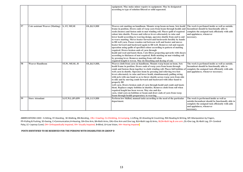|    |                                        |                     |                | equipment. May make minor repairs to equipment. May be designated<br>according to type of solution filtered or solid separated.                                                                                                                                                                                                                                                                                                                                                                                                                                                                                                                                                                                                                                                                                                                                                                                                                                                                                                         |                                                                                                                                                                                            |
|----|----------------------------------------|---------------------|----------------|-----------------------------------------------------------------------------------------------------------------------------------------------------------------------------------------------------------------------------------------------------------------------------------------------------------------------------------------------------------------------------------------------------------------------------------------------------------------------------------------------------------------------------------------------------------------------------------------------------------------------------------------------------------------------------------------------------------------------------------------------------------------------------------------------------------------------------------------------------------------------------------------------------------------------------------------------------------------------------------------------------------------------------------------|--------------------------------------------------------------------------------------------------------------------------------------------------------------------------------------------|
| 57 | <b>Coir assistant Weaver (Matting)</b> | S, ST, MF, SE       | OL, B, LV, HH  | Weaves coir matting on handloom. Mounts wrap beam on loom. Sets heald<br>frame in position. Draws ends of warp yarn from beam through healds and<br>reeds (beater) and fasten ends to mat winding roll. Places quill of required<br>colour into shuttle. Presses and relieves levers alternately to raise and<br>lower heald according to weaving design, operates shuttle from end to end<br>to weave matting. Moves beater forward and backwards forcibly by hands<br>to fill weft yarn. Passes wooden rod between weft and beater and moves<br>beater forward and backward again to fill weft. Removes rod and repeats<br>operation using quills of specified colour according to pattern of matting<br>required. Draws broken ends of yarn through<br>heald and reed and knots them. Cuts fibres projecting upwards with shears<br>according to thickness of mat required. Rolls matting on mat winding roll<br>by pressing lever. Removes matting from roll when<br>required length is woven. May do bleaching and dyeing of coir. | The work is perfomed inside as well as outside.<br>Incumbent should be functionally able to<br>complete the assigned task efficiently with aids<br>and applainces, whenever<br>necessary.  |
| 58 | <b>Weaver Handloom</b>                 | ST, W, MF, SE, H    | OL, B, LV, HH, | Weaves cloth from yarn on handloom. Mounts warp beam on loom. Sets<br>heald frame in position. Draws ends of warp yarn from beam through<br>comb and fastens them together to cloth winding roll. Places full bobbins o<br>weft yarn in shuttle. Operates loom by pressing and relieving two foot<br>levers alternately to raise and lower heald, simultaneously pulling string<br>with jerk with one hand so as to throw shuttle across warp yarn from side<br>to side and by moving comb forward and backward with other hand to<br>properly fill<br>weft yarn. Draws broken ends of yarn through heald and comb and knots<br>them. Replaces empty bobbins in shuttles. Removes cloth from roll when<br>required length has been woven. May size and dye<br>yarn, wind yarn on bobbins or beam and draw ends of yarn from warp<br>beam through healds preparatory to weaving.                                                                                                                                                         | The work is perfomed inside as well as outside.<br>Incumbent should be functionally able to<br>complete the assigned task efficiently with aids<br>and applainces, whenever necessary.     |
| 59 | <b>Store Attendant</b>                 | S, ST, W, L, BN, RW | OL, B, LV, HH  | Perform low Skilled, manual tasks according to the need of the particular<br>department.                                                                                                                                                                                                                                                                                                                                                                                                                                                                                                                                                                                                                                                                                                                                                                                                                                                                                                                                                | The work is performed inside as well as<br>outside. Incumbent should be functionally able to<br>complete the assigned task efficiently with aids<br>and applainces, whenever<br>necessary. |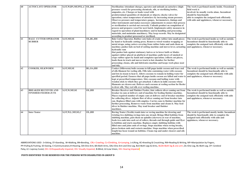| 60 | <b>AUTOCLAVE OPERATOR</b>                                  | S, ST, W, BN, MF, PP, L, C   OL, HH |                 | Sterilisation Attendant charges, operates and unloads an autoclave (high-<br>pressure vessel) for processing chemicals, oils, or sterilizing bottles,<br>ampoules, etc. Charges or loads vessel with<br>predetermined quantities of chemicals or objects; checks valves for<br>operation; raises temperature of autoclave by increasing steam pressure.<br>Observes pressure and temperature gauges, hermometers, timings and<br>other instruments and makes necessary adjustments to ensure that process<br>or sterilization is carried out correctly. Unloads product on completion of<br>process and prepares vessel for next batch. Implements safety measures in<br>regard to operation of plant/machinery and in handling and processing<br>materials, and maintains machinery. May keep records. May be designated<br>according to product processed or sterilized. | The work is perfomed mostly inside. Ocassional<br>field work is<br>involved. he usually works alone. Incumbent<br>should be functionally<br>able to complete the assigned task efficiently<br>with aids and applainces, whenever necessary. |
|----|------------------------------------------------------------|-------------------------------------|-----------------|----------------------------------------------------------------------------------------------------------------------------------------------------------------------------------------------------------------------------------------------------------------------------------------------------------------------------------------------------------------------------------------------------------------------------------------------------------------------------------------------------------------------------------------------------------------------------------------------------------------------------------------------------------------------------------------------------------------------------------------------------------------------------------------------------------------------------------------------------------------------------|---------------------------------------------------------------------------------------------------------------------------------------------------------------------------------------------------------------------------------------------|
| 61 | <b>BALE CUTTER OPERATOR</b><br><b>RUBBER</b>               | <b>S,ST,MF,SE</b>                   | OL, BL, HH      | Bale Cutter Operator, Rubber cuts bales of crude rubber into small pieces<br>by hand or hydraulic cutting press. Removes wired wooden wrapping or<br>metal straps, using cutters covering from rubber bales and oads them on<br>machine; pushes bale on bed of cutting machine and moves lever, actuating<br>hydraulic ram<br>that pushes bale against stationary knives or to lower knife or blades<br>against rubber placed on platform of machine; pulls layers of smoked or<br>crepe rubber apart by hand and completes operation; collects cut pieces,<br>loads them in truck and moves truck to hot chamber for further<br>processing; cleans, oils and lubricates machine and keeps work place neat<br>and tidy.                                                                                                                                                    | The wrok is performed inside as well as outside.<br>Incumbent should be functionally able to<br>complete the assigned task efficiently with aids<br>and applainces, whenever necessary.                                                     |
| 62 | <b>COOKER, SILKWORM</b>                                    | <b>S,ST,MF,SE</b>                   | <b>BL,OA,HH</b> | Cooker (Silkworm) boils cocoons to kill pupa inside cocoon and trace end<br>of silk filament for reeling silk. Fills tube containing water with cocoons<br>and lets in steam to heat it. Allows cocoons to remain in boiling water for<br>specified period. Ensures that all pupa inside cocoon are killed and water is<br>kept at prescribed temperature. Stirs cocoons and boiling water with<br>wooden stick to which they get attached. Collects in ladle cocoons whose<br>filaments are drawn out. Delivers such cocoons at reeling section for Reeler<br>to draw silk. May reel silk over reeling machine.                                                                                                                                                                                                                                                           | The wrok is performed inside as well as outside.<br>Incumbent should be functionally able to<br>complete the assigned task efficiently with aids<br>and applainces, whenever necessary.                                                     |
| 63 | <b>BREAKER RECEIVER AND</b><br><b>FINISHER FEEDER JUTE</b> | <b>S,ST,W,MF,SE</b>                 | OL, HH          | Breaker Receiver and Finisher Feeder, Jute collects sliver coming out from<br>breaker in cans at delivery end of machine for feeding finisher machine.<br>Places required number of empty cans at delivery end of breaker machine<br>for collecting sliver. Adjusts flow of sliver coming out from breaker into<br>can. Replaces filled cans with empties. Carries cans to finisher machine for<br>further processing. Removes waste from machine and cleans it. May feed<br>sliver in finisher machine. May tend breaker and finisher<br>machines.                                                                                                                                                                                                                                                                                                                        | The wrok is performed inside as well as outside.<br>Incumbent should be functionally able to<br>complete the assigned task efficiently with aids<br>and applainces, whenever necessary.                                                     |
| 64 | <b>Inter Tenter</b>                                        | S, ST, W, L, MF, SE, C              | OL, HH          | Roving Tenter (Textile) tends inter or roving machine for drawing and<br>twisting two slubbing rovings into one strand. Brings filled bobbins from<br>slubbing machine, puts them on spindles (skewers) at rear of machine,<br>feeds two ends into each set of rollers, threads end through guide and flyer<br>to bobbins and starts machine. Replaces empty slubbing bobbins with<br>filled ones and joins ends of rovings. Stops machine when roving breaks,<br>pieces broken ends and restarts machine. Stops machine when prescribed<br>length has been wound on bobbins. Cleans top and under clearers and oils<br>machine.                                                                                                                                                                                                                                           | The wrok is performed mostly inside. Incumbent<br>should be functionally able to complete the<br>assigned task efficiently with aids and<br>applainces, whenever necessary.                                                                 |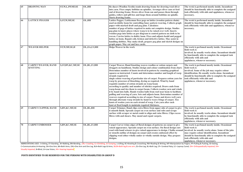| 65 | <b>DRAWING MAN</b>                            | ST, W, L, PP, MF, SE  | OL, HH         | Re ducer (Woollen Textile) tends drawing frame for drawing wool sliver<br>into yarn. Fixes empty bobbins on spindles. Arranges sliver cans at feed<br>end of drawing frame. Draws sliver from can and passes them through<br>guides, rollers and gill-box and loops them around bobbins on spindle.<br><b>Starts drawing frame.</b>                                                                                                                                                                                                                                                                                                                                                                                                                                                                                                                                                                                                                                                                                                                                                                                           | The wrok is performed mostly inside. Incumbent<br>should be functionally able to complete the assigned<br>task efficiently with aids and applainces, whenever<br>necessary.                                                                                                                        |
|----|-----------------------------------------------|-----------------------|----------------|-------------------------------------------------------------------------------------------------------------------------------------------------------------------------------------------------------------------------------------------------------------------------------------------------------------------------------------------------------------------------------------------------------------------------------------------------------------------------------------------------------------------------------------------------------------------------------------------------------------------------------------------------------------------------------------------------------------------------------------------------------------------------------------------------------------------------------------------------------------------------------------------------------------------------------------------------------------------------------------------------------------------------------------------------------------------------------------------------------------------------------|----------------------------------------------------------------------------------------------------------------------------------------------------------------------------------------------------------------------------------------------------------------------------------------------------|
| 66 | <b>LATTICE PEGGER</b>                         | S, ST, W, MF, SE      | OL, HH         | Lattice Pegger; Latticeman fixes pegs on lattice (wooden pattern chain)<br>used on dobby loom for controlling fancy pattern weaving. Collects graph<br>paper with marked draft and peg plan. Calculates<br>number of pegs of lattice required to make out complete design. Studies<br>peg plan to know places where warp is to be raised over weft. Inserts<br>wooden pegs into lattice as per diagram to control pattern on cloth to be<br>woven. Carries lattice to dobby loom. Fixes and adjusts heald and pegged<br>lattice on loom. Repairs old, broken and defective lattice. May assist in<br>handling dobbies. May make draft, prepare peg plan and sketch designs on<br>graph paper. May cut and lace cards.                                                                                                                                                                                                                                                                                                                                                                                                         | The wrok is performed mostly inside. Incumbent<br>should be functionally able to complete the assigned<br>task efficiently with aids and applainces, whenever<br>necessary.                                                                                                                        |
| 67 | <b>WEAVER HELPER</b>                          | ST,W,MF,SE,H          | OL, OA, LV, HH | <b>Helps Weaver in the work</b>                                                                                                                                                                                                                                                                                                                                                                                                                                                                                                                                                                                                                                                                                                                                                                                                                                                                                                                                                                                                                                                                                               | The work is perfomed mostly inside. Ocassional<br>field work is<br>involved. he usually works alone. Incumbent should<br>be functionally able to complete the assigned task<br>efficiently with aids and<br>applainces, whenever necessary.                                                        |
| 68 | <b>CARPET WEAVER, HAND</b><br><b>KNITTING</b> | S, ST, BN, KC, MF, SE | OL, BL, LV, HH | Carpet Weaver, Hand Knotting weaves woollen or cotton carpets and<br>druggets on handloom. Studies design and colour combination from chart.<br>Determines number of knots involved in pattern by counting graphical<br>squares as instructed. Counts and determines number and length of warp<br>strands required in<br>single colour weaving of particular size of carpet. Prepares cotton yarn for<br>warp by processes of bleaching, dyeing as required. Wind by hand<br>requisite number of cotton strands on warp beam<br>according to quality and number of stitches required. Draws ends from<br>warp-beam and ties them to carpet beam. Collects woolen yarn and winds<br>it by hand into balls. Hands woolen balls from roof near loom to facilitate<br>pulling and weaving of yarn. Sets and adjusts loom. Determines number of<br>weavers required according to size of carpet. Passes and draws weft yarn<br>through alternate warp strands by hand to weave fringe of carpet. Ties<br>knots of woolen yarn on each strand of warp. Cuts yarn after each<br>knot at fixed length to maintain required thickness. | The work is perfomed mostly inside. Ocassional<br>field work is<br>involved. Some of the job may require colour<br>identification. He usually works alone. Incumbent<br>should be functionally able to complete the assigned<br>task efficiently with aids and<br>applainces, whenever necessary.  |
| 69 | <b>CARPET CLIPPER, HAND</b>                   | S, BN, KC, MF, SE     | OL, BL, HH     | Carpet Trimmer, Hand clips extra fibres from upper side of carpet to give<br>it smooth finish. Spreads carpet on even surface and rubs and scraps<br>surface with scraper or metal comb to align and raise fibres. Clips excess<br>fibres with and shears. May mend and repair carpets.                                                                                                                                                                                                                                                                                                                                                                                                                                                                                                                                                                                                                                                                                                                                                                                                                                       | The work is perfomed mostly inside. Ocassional<br>field work is<br>involved. he usually works alone. Incumbent should<br>be functionally able to complete the assigned task<br>efficiently with aids and<br>applainces, whenever necessary.                                                        |
| 70 | <b>CARPET EMBOSSER</b>                        | S, BN, KC, MF, SE     | OL, BL, LV, HH | Carpet Carver trims edges of floral designs of patterns on carpet to give<br>raised appearance. Spreads carpet on even surface. On floral design cuts<br>wool with hand scissors to give raised appearance to design. Chalks around<br>or stencils outline of designs on carpet and creates embossed effect by<br>clipping wool either wholly under or wholly outside design. May prepare<br>designs.                                                                                                                                                                                                                                                                                                                                                                                                                                                                                                                                                                                                                                                                                                                         | The work is perfomed mostly inside. Ocassional<br>field work is<br>involved. he usually works alone. Some of the jobs<br>may require colour identification. Incumbent<br>should be functionally able to complete the assigned<br>task efficiently with aids and<br>applainces, whenever necessary. |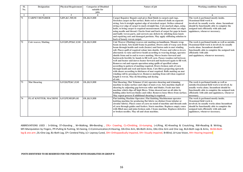| SI.<br>No. | <b>Designation</b>                     | <b>Physical Requirement</b> | <b>Categories of Disabled</b><br>suitable for<br>jobs | Nature of job                                                                                                                                                                                                                                                                                                                                                                                                                                                                                                                                                                                                                                                                                                                                                                                                                                                                                                                                                                                                                                                    | <b>Working condition/ Remarks</b>                                                                                                                                                                                                                       |
|------------|----------------------------------------|-----------------------------|-------------------------------------------------------|------------------------------------------------------------------------------------------------------------------------------------------------------------------------------------------------------------------------------------------------------------------------------------------------------------------------------------------------------------------------------------------------------------------------------------------------------------------------------------------------------------------------------------------------------------------------------------------------------------------------------------------------------------------------------------------------------------------------------------------------------------------------------------------------------------------------------------------------------------------------------------------------------------------------------------------------------------------------------------------------------------------------------------------------------------------|---------------------------------------------------------------------------------------------------------------------------------------------------------------------------------------------------------------------------------------------------------|
|            | $\overline{2}$                         | 3                           | Δ                                                     | $\overline{5}$                                                                                                                                                                                                                                                                                                                                                                                                                                                                                                                                                                                                                                                                                                                                                                                                                                                                                                                                                                                                                                                   | 6                                                                                                                                                                                                                                                       |
| 71         | <b>CARPET REPAIRER</b>                 | S,BN,KC,MF,SE               | OL, B, LV, HH                                         | Carpet Repairer Repairs and gives final finish to carpets and rugs.<br>Stretches carpet on flat surface. Rubs red or coloured chalk on separate<br>string. Sets it straight against edge of stretched carpet. Strikes coloured<br>string over edge of carpet to mark straight line. Cuts marked edges, using<br>knife, to bring carpet to required measurement. Binds and trims cut edges<br>using needle and thread. Checks front and back of carpet for gaps in knots<br>and badly woven parts, and corrects any defects by stitching loose knots<br>and repairing cuts and damaged portions. May apply stiffening solution to<br>back of loosely woven carpet.                                                                                                                                                                                                                                                                                                                                                                                                | The work is perfomed mostly inside.<br>Ocassional field work is<br>involved, he usually works alone, Incumbent<br>should be functionally able to complete the<br>assigned task efficiently with aids and<br>applainces, whenever necessary.             |
| 72         | <b>Coir weaver, Matting</b>            | S, ST, BN, PP, KC, F, SE    | OL, B, LV, HH                                         | Coir Weaver (Matting) weaves coir matting on handloom. Mounts wrap<br>beam on loom. Sets heald frame in position. Draws ends of warp yarn from<br>beam through healds and reeds (beater) and fasten ends to mat winding<br>roll. Places quill of required colour into shuttle. Presses and relieves levers<br>alternately to raise and lower heald according to weaving design, operates<br>shuttle from end to end to weave matting. Moves beater forward and<br>backwards forcibly by hands to fill weft yarn. Passes wooden rod between<br>weft and beater and moves beater forward and backward again to fill weft.<br>Removes rod and repeats operation using quills of specified colour<br>according to pattern of matting required. Draws broken ends of yarn<br>through heald and reed and knots them. Cuts fibres projecting upwards<br>with shears according to thickness of mat required. Rolls matting on mat<br>winding roll by pressing lever. Removes matting from roll when required<br>length is woven. May do bleaching and dyeing<br>of coir. | The work is perfomed inside as well as outside.<br>Ocassional field work is involved, he usually<br>works alone. Incumbent should be<br>functionally able to complete the assigned task<br>efficiently with aids<br>and applainces, whenever necessary. |
| 73         | <b>Mat Shearing</b>                    | S, ST, B, PP, KC, F, SE     | OL, B, LV, HH                                         | Mat Shearing; Mat Trimmer (Coir) operates shearing and trimming<br>machine to make surface and edges of mats even. Sets machine depth of<br>shearing by adjusting gap between roller and blades. Feeds mat into<br>machine which clips off high fibres. Trims sheared mat on all sides by<br>holding aides between blades and roller. Removes loose fibres from surface.<br>May repeat process if additional shearing is required.                                                                                                                                                                                                                                                                                                                                                                                                                                                                                                                                                                                                                               | The work is perfomed inside as well as<br>outside.Ocassional field work is involved. he<br>usually works alone. Incumbent should be<br>functionally able to complete the assigned task<br>efficiently with aids and applainces, whenever<br>necessary.  |
| 74         | FLAT KNITTER, MACHINE S,ST,PP,MF,BN,SE |                             | OL, B, LV, HH                                         | Flat knitting Machine Operator; Flat Knitting Machineman operates<br>knitting machine for producing flat fabric (as distinct from tubular or<br>circular fabric). Places cones of yarn on stand of machine and threads ends<br>of yarn through guides and feeders. Starts machine. Replaces empty cones<br>with filled ones and joins broken ends. Cleans machine. Replaces defective<br>or broken needles. May oil and clean machine.                                                                                                                                                                                                                                                                                                                                                                                                                                                                                                                                                                                                                           | The work is perfomed mostly inside.<br>Ocassional field work is<br>involved. he usually works alone Incumbent<br>should be functionally able to complete the<br>assigned task efficiently with aids and<br>applainces, whenever necessary.              |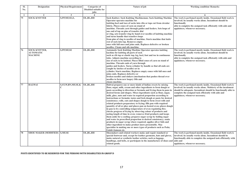| SI. | <b>Designation</b>                                         | <b>Physical Requirement</b> | <b>Categories of</b>          | Nature of job                                                                                                                                                                                                                                                                                                                                                                                                                                                                                                                                                                                                                                                                                                                                                                                                                                                                                                                                                                                                                                                                                                                                                                                            | <b>Working condition/ Remarks</b>                                                                                                                                                                                                                                                      |
|-----|------------------------------------------------------------|-----------------------------|-------------------------------|----------------------------------------------------------------------------------------------------------------------------------------------------------------------------------------------------------------------------------------------------------------------------------------------------------------------------------------------------------------------------------------------------------------------------------------------------------------------------------------------------------------------------------------------------------------------------------------------------------------------------------------------------------------------------------------------------------------------------------------------------------------------------------------------------------------------------------------------------------------------------------------------------------------------------------------------------------------------------------------------------------------------------------------------------------------------------------------------------------------------------------------------------------------------------------------------------------|----------------------------------------------------------------------------------------------------------------------------------------------------------------------------------------------------------------------------------------------------------------------------------------|
| No. |                                                            |                             | Disabled suitable for<br>jobs |                                                                                                                                                                                                                                                                                                                                                                                                                                                                                                                                                                                                                                                                                                                                                                                                                                                                                                                                                                                                                                                                                                                                                                                                          |                                                                                                                                                                                                                                                                                        |
| -1  | $\overline{2}$                                             | $\mathbf{3}$                |                               | $\overline{5}$                                                                                                                                                                                                                                                                                                                                                                                                                                                                                                                                                                                                                                                                                                                                                                                                                                                                                                                                                                                                                                                                                                                                                                                           | 6                                                                                                                                                                                                                                                                                      |
| 75  | <b>SOCK KNITTER</b>                                        | S, PP, MF, SE, E,           | OL, BL, HH                    | <b>Sock Knitter; Sock Knitting Machineman; Sock Knitting Machine</b><br>Operator operates machine for<br>knitting heel and toes of socks into ribs or tops cut from circular<br>fabric. Places cones of yarn on stand of<br>machine. Threads yarn through guides and feeders. Sets loops of<br>one end of top on pins of transfer dial<br>or ring, sets transfer ring by hand over needles of knitting machine<br>and turns handle that transfers loops<br>from pins of ring to needles of machine. Starts machine that knits<br>rest of sock into top. Removes empty<br>ones with full ones and joins ends. Replaces defective or broken<br>needles. Cleans and oils machine.                                                                                                                                                                                                                                                                                                                                                                                                                                                                                                                           | The work is perfomed mostly inside. Ocassional field work is<br>involved, he usually works alone. Incumbent should be<br>functionally<br>able to complete the assigned task efficiently with aids and<br>applainces, whenever necessary.                                               |
| 76  | <b>SOCK KNITTER,</b><br><b>AUTOMATIC</b><br><b>MACHINE</b> | S, PP, MF, SE               | OL, BL, HH                    | <b>Automatic Sock Knitting Machine Operator operates knitting</b><br>kachine for knitting all parts of sock<br>such as rib top or elastic top, leg, heel, foot and toe in continuous<br>tube. Adjusts machine according to<br>size of sock to be knitted. Places filled cones of yarn on stand of<br>machine. Threads ends of yarn through<br>guides and feeders. Turns cylinder by handle so that all ends are<br>caught by latches of needles set in<br>cylinder. Starts machine. Replaces empty cones with full ones and<br>joins ends. Replaces defective or<br>broken needles and sinkers (mechanism that pushes thread over<br>needles to form new loops). Oils and<br>cleans machine.                                                                                                                                                                                                                                                                                                                                                                                                                                                                                                             | The work is perfomed mostly inside. Ocassional field work is<br>involved. he usually works alone. Incumbent should be<br>functionally<br>able to complete the assigned task efficiently with aids and<br>applainces, whenever necessary.                                               |
| 77  | <b>HALWAI</b>                                              | S, ST, W, BN, MF, SE, K     | OL, BL, HH                    | Halwai prepares one or more kinds of Indian sweets by mixing<br>flour, sugar, milk, cream and other ingredients to form dough or<br>paste according to direction or formula and frying them in pans in<br>desired forms and shapes. Mixes ingredients such as flour, sugar,<br>milk, ghee, nuts and water in required proportion according to<br>instructions or formula; tastes and feels dough or paste for desired<br>consistency; rolls, cuts and shapes dough to form sweet rolls and<br>related products preparatory to frying; fills pan with required<br>quantity of oil or ghee and places pan on heated oven; places dough<br>in pan to fry controlling temperature of oven regulating fire;<br>checks progress of frying by observing colour of products and<br>noting length of time in oven; removes fried products and keeps<br>them aside for a cooling; prepares sugar syrup by boiling sugar<br>and water in prescribed proportion to desired consistency; soaks<br>products in sugar syrup where required; applies silver foils and<br>other ingredient to make product more presentable. May<br>specialise in making one or more types of products such as Peda;<br>Gulab Jamoon etc. | The work is perfomed mostly inside. Ocassional field work is<br>involved. he usually works alone. Mobierty of the incubment<br>should be adequate. Incumbent should be functionally able to<br>complete the assigned task efficiently with aids and<br>applainces, whenever necessary. |
| 78  | <b>SHOE MAKER (MODIFIED) S, MF, SE</b>                     |                             | OL, BL, HH                    | Shoemakers and related workers make and repair standard or<br>special footwear and, except for leather garments, hats and gloves,<br>make natural or synthetic leather articles, such as luggage,<br>handbags, and belts, or participate in the manufacture of shoes and aids and<br>related goods.                                                                                                                                                                                                                                                                                                                                                                                                                                                                                                                                                                                                                                                                                                                                                                                                                                                                                                      | The work is perfomed mostly inside. Ocassional field work is<br>involved, he usually works alone. Incumbent should be<br>functionally able to complete the assigned task efficiently with<br>applainces, whenever necessary.                                                           |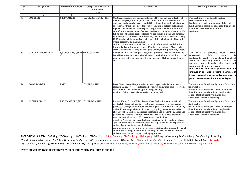| SI.<br>No. | <b>Designation</b>       | <b>Physical Requirement</b>                        | <b>Categories of Disabled</b><br>suitable for | Nature of job                                                                                                                                                                                                                                                                                                                                                                                                                                                                                                                                                                                                                                                                                                                                                                                                                                                                                                                                                                                      | <b>Working condition/ Remarks</b>                                                                                                                                                                                                                                                                                                                                                                                                                                            |
|------------|--------------------------|----------------------------------------------------|-----------------------------------------------|----------------------------------------------------------------------------------------------------------------------------------------------------------------------------------------------------------------------------------------------------------------------------------------------------------------------------------------------------------------------------------------------------------------------------------------------------------------------------------------------------------------------------------------------------------------------------------------------------------------------------------------------------------------------------------------------------------------------------------------------------------------------------------------------------------------------------------------------------------------------------------------------------------------------------------------------------------------------------------------------------|------------------------------------------------------------------------------------------------------------------------------------------------------------------------------------------------------------------------------------------------------------------------------------------------------------------------------------------------------------------------------------------------------------------------------------------------------------------------------|
|            |                          |                                                    | jobs                                          |                                                                                                                                                                                                                                                                                                                                                                                                                                                                                                                                                                                                                                                                                                                                                                                                                                                                                                                                                                                                    |                                                                                                                                                                                                                                                                                                                                                                                                                                                                              |
|            | $\overline{2}$           | 3                                                  |                                               | 5                                                                                                                                                                                                                                                                                                                                                                                                                                                                                                                                                                                                                                                                                                                                                                                                                                                                                                                                                                                                  |                                                                                                                                                                                                                                                                                                                                                                                                                                                                              |
| 79         | <b>COBBLER</b>           | S,L,BN,MF,SE                                       | OA, OL, BL, OLA, LV, HH,                      | Cobbler; Mochi repairs and reconditions old, worn out and defective shoes,<br>sandals, slippers, etc. using hand tools to make them serviceable. Carries<br>own tools and materials goes round different localities, and collects worn<br>out footwear from customers for repairs. Examines defects, determines<br>repairs to be done and settles repair charges with customer. Removes or<br>cuts off worn out portion of footwear and repairs them by re-soling (either<br>full or half) attaching heels, stitching ripped seams, skiving and patching<br>with new pieces of leather after softening in water, etc. as necessary, using.<br>Knife (rapi) awl, hammer, last, nails, waxed thread, glass, etc. Fixes nails<br>where necessary by placing shoe<br>on iron last and ensures that sharp ends of nails are well bedded inside<br>leather. Polishes shoes after repairs if desired by customer. May repair<br>other leather articles. May work as paid employee at big repairing shops. | The work is perfomed mostly inside.<br>Ocassional field work is<br>involved. he usually works alone. Bilateral<br>hand activities should be adequate. Incumbent<br>should be considered with aids &<br>appliances.                                                                                                                                                                                                                                                           |
| 80         | <b>CARPENTER, HELPER</b> | S, ST, W, MF, PP, L, SE, H OL, BL, B, LV, HH<br>.C |                                               | Carpentry and Joinery Operatives, other perform variety of routine and<br>low skilled tasks such as sawing, cleaning, rough planning, drilling etc., and<br>may be designated as Carpenter Mate, Carpenter Helper, Joiner Helper,<br>etc.                                                                                                                                                                                                                                                                                                                                                                                                                                                                                                                                                                                                                                                                                                                                                          | The work<br>is<br>perfomed<br>mostly<br>inside.<br><b>Ocassional</b><br>work<br>field<br>is<br>involved, he usually works alone. Incumbent<br>should be functionally able to complete the<br>assigned task efficiently with aids and<br>applainces, whenever necessary.<br>*Not identified for Railways personnel who are<br>involeved in opreation of trains, maintence of<br>tracks, movement of engine and compartment in<br>yards, telecommunication and signalling etc. |
| 81         | <b>BOOK BINDER</b>       | S,MF,L                                             | OL, BL, LV, HH                                | Book Binder assembles printed or written pages in the form of books,<br>magazines, ledgers, etc. Performs all or any of operations connected with<br>book binding such as reeling, perforating, cutting,<br>stitching, fixing covers, fixing leather or calico back.                                                                                                                                                                                                                                                                                                                                                                                                                                                                                                                                                                                                                                                                                                                               | The work is perfomed mostly inside. Ocassional<br>field work is<br>involved. he usually works alone. Incumbent<br>should be functionally able to complete the<br>assigned task efficiently with aids and<br>appliances, whenever necessary.                                                                                                                                                                                                                                  |
| 82         | PACKER, HAND             | S, ST, BN, MF, PP, L, SE                           | OL, BL, B, LV, HH                             | Packer, Hand; Carton Filler; Boxer; Case Packer Packs material and<br>products by hand in bags, barrels, baskets, boxes, cartons, and crates for<br>purpose of storage or transport performing any combination of following<br>duties. Examines product for brittleness, fragility, moisture and other<br>characteristics. Collects packaging containers and cleans them. Lines and<br>pads crates. Assembles cartons from flattened state. Wraps protective<br>material around product. Weighs containers and adjusts<br>quantity. Places or pours product into containers or fills containers from<br>spout or chute. Inserts excelsior, shredded paper, wood wool or paper trays<br>on top of product. Sews bag, fits lids on<br>container, nails, wires or otherwise closes containers. Stamps grade, brand,<br>and date of packing on containers. Visually inspects materials, products<br>and containers at each step of packaging process.                                                  | The work is perfomed mostly inside. Ocassional<br>field work is<br>involved. he usually works alone. Incumbent<br>should be functionally able to complete the<br>assigned task efficiently with aids and<br>appliances, whenever necessary.                                                                                                                                                                                                                                  |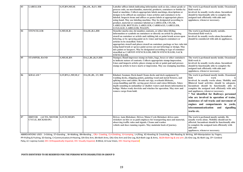| 83 | <b>LABELLER</b>                                             | S, ST, BN, MF, SE       | BL, OL, B, LV, HH    | Labeller affixes labels indicating information such as size, colour grade or<br>process code, on merchandise, material, products, containers or bottles by<br>hand or machine. Collects appropriate labels markings, descriptions or<br>designs to be affixed on container. Lines articles and containers to be<br>labeled. Inspects items and affixes or pastes labels at appropriate places<br>using hand. May use labeling machine. May be designated according to<br>product, material or container labeled as LABELLER, CIGAR,<br>LABELLER, BOTTLES; LABELLER, CARRIAGE; LABELLER,<br>LUGGAGE; LABELLER, WAGON.                                                 | The work is perfomed mostly inside. Ocassional<br>field work is<br>involved. he usually works alone. Incumbent<br>should be functionally able to complete the<br>assigned task efficiently with aids and<br>applainces, whenever necessary.                                                                                                                                                                                                                                                                                                          |
|----|-------------------------------------------------------------|-------------------------|----------------------|----------------------------------------------------------------------------------------------------------------------------------------------------------------------------------------------------------------------------------------------------------------------------------------------------------------------------------------------------------------------------------------------------------------------------------------------------------------------------------------------------------------------------------------------------------------------------------------------------------------------------------------------------------------------|------------------------------------------------------------------------------------------------------------------------------------------------------------------------------------------------------------------------------------------------------------------------------------------------------------------------------------------------------------------------------------------------------------------------------------------------------------------------------------------------------------------------------------------------------|
| 84 | <b>STENCILLER</b>                                           | S, MF, SE, B            | OA, OL, B.L, HH      | Stenciler marks size, lot number, contents, or other iden tifyling<br>information or symbols on containers or directly on article by placing<br>stencil on container or article and rubbing ink or paint brush across open<br>lettering, or by spraying paint on it. Lines and inspects containers or<br>articles to be stencilled. Selects<br>appropriate stencil and places stencil on container, package or box rubs ink<br>using hand brush or sprays paint across cut-out letterings or design. May<br>mix paints or lacquers. May be designated according to type of container<br>stencilled as CARTON STENCILLER; DRUM STENCILLER; SACK<br><b>STENCILLER.</b> | The work is perfomed mostly outside.<br>Ocassional field work is<br>involved. he usually works alone.Incumbent<br>should be considered with aids & appliances.                                                                                                                                                                                                                                                                                                                                                                                       |
| 85 | <b>STAMPER, HAND</b>                                        | S, MF, SE, BN           | OA, L, BL, B, LV, HH | Stamper, Hand impresses stamp on bales, bags, boxes or other containers<br>to indicate nature of contents. Collects appropriate stamp-impression.<br>Lines and inspects article; places stamp on ink or paint pad and presses<br>stamp on article to leave mark or impression. May use stamping machine.                                                                                                                                                                                                                                                                                                                                                             | The work is perfomed mostly inside. Ocassional<br>field work is<br>involved. he usually works alone. Incumbent<br>should be functionally able to complete the<br>assigned task efficiently with aids and<br>applainces, whenever necessary.                                                                                                                                                                                                                                                                                                          |
| 86 | <b>KHALASI*</b>                                             | S, ST, BN, L, MF, SE, C | OA, OL, BL, LV, HH   | Khalasi; Seaman; Deck-hand Cleans decks and deck equipment by<br>washing decks, chipping points, painting wood and metal fixtures, and<br>splicing wires and cables. Breaks out rigs, overhauls lifeboats,<br>cargo-handling and life -saving gears lowers and raises lifeboats. Takes<br>depth sounding in unfamiliar or shallow waters and shouts information to<br>bridge. Makes ready derricks and winches for operation. May stow and<br>remove cargo from hold.                                                                                                                                                                                                | The work is perfomed mostly inside. Ocassional<br>field<br>work<br>is<br>involved. he usually works alone. Mobility and<br>Bilateral hand activities should be adequate.<br>Incumbent should be functionally able to<br>complete the assigned task efficiently with aids<br>and appliances, whenever necessary.<br>* Not identified for Railways personnel<br>who are involved in operation of trains,<br>maintence of rail tracks and movement of<br>engines and compartments in yards,<br>telecommunicatication<br>and<br>signalling<br>works etc. |
| 87 | DRIVER (AUTO, MOTOR S,ST,W,MF,BN<br><b>CYCLE, RICKSHAW)</b> |                         | <b>OL</b>            | Driver, Auto Rickshaw; Driver, Motor Cycle Rickshaw drives auto<br>rickshaw on hire or as paid employee for transporting men and material,<br>observing traffic rules and signals. Cleans and washes<br>vehicle and does running repairs. May maintain book of journey.                                                                                                                                                                                                                                                                                                                                                                                              | The work is perfomed mostly outside. He<br>usually works alone. Mobility should not be<br>affected. Incumbent should be functionally able<br>to complete the assigned task efficiently with<br>aids and<br>appliances, whenever necessary.                                                                                                                                                                                                                                                                                                           |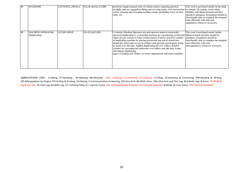| 88 | <b>MAZDOOR</b>                           | S, ST, W, BN, L, MF, SE, C | OA, OL, B, OAL, LV, HH | performs simple manual tasks of routine nature requiring physical<br>strength, and are engaged in lifting and carrying loads, civil construction or outside. He usually works alone.<br>works, cleaning and sweeping machine rooms, sprinkling water on khas<br>tattis, etc.                                                                                                                                                                                                                                                                                                                                                                                                            | The work is perfomed mostly in the field<br><b>Mobility and Bilateral hand activities</b><br>should be adequate. Incumbent should be<br>functionally able to complete the assigned<br>task efficiently with aids and<br>appliances, whenever necessary. |
|----|------------------------------------------|----------------------------|------------------------|-----------------------------------------------------------------------------------------------------------------------------------------------------------------------------------------------------------------------------------------------------------------------------------------------------------------------------------------------------------------------------------------------------------------------------------------------------------------------------------------------------------------------------------------------------------------------------------------------------------------------------------------------------------------------------------------|---------------------------------------------------------------------------------------------------------------------------------------------------------------------------------------------------------------------------------------------------------|
| 89 | <b>MACHINE OPERATOR</b><br>(Duplicating) | <b>S,ST,BN,MF,SE</b>       | OA, OL, B, LV, HH      | <b>Cyclostyle Machine Operator sets and operates hand or electrically</b><br>operated duplicating or cyclostyling machine for reproducing cyclostyled   Bilateral hand activities should be<br>copies of type written or hand written matter. Fastens stencil to cylinder<br>of duplicating machine by placing perforated top end of stencil into<br>identically fixed nails on top of cylinder and spreads stencil paper gently<br>by hand over silk skin. Applies duplicating ink over rollers. Rotates<br>cylinder for spreading ink uniformly over rollers and silk skin. Loads<br>and adjusts duplicating<br>paper at feeding end. Makes necessary adjustments and starts machine. | The work is perfomed mostly inside.<br>adequate. Incumbent should be<br>functionally able to complete the assigned<br>task efficiently with aids<br>and applainces, whenever necessary.                                                                 |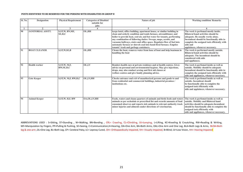| Sl. No. | <b>Designation</b>       | <b>Physical Requirement</b>     | <b>Categories of Disabled</b><br>suitable for<br>jobs | Nature of job                                                                                                                                                                                                                                                                                                                                                                                                                                                                      | <b>Working condition/ Remarks</b>                                                                                                                                                                                                                         |
|---------|--------------------------|---------------------------------|-------------------------------------------------------|------------------------------------------------------------------------------------------------------------------------------------------------------------------------------------------------------------------------------------------------------------------------------------------------------------------------------------------------------------------------------------------------------------------------------------------------------------------------------------|-----------------------------------------------------------------------------------------------------------------------------------------------------------------------------------------------------------------------------------------------------------|
|         | $\mathbf{2}$             | 3                               |                                                       |                                                                                                                                                                                                                                                                                                                                                                                                                                                                                    |                                                                                                                                                                                                                                                           |
| 90      | <b>JANITORIAL ASSTT.</b> | S, ST, W, BN, MF,<br>SE, H, C   | OL, HH                                                | keeps hotel, office building, apartment house, or similar building in<br>clean and orderly condition and tends furnace, airconditioner, and<br>boiler to provide heat, cool air, and hot water for tenants, performing<br>any combination of following duties: Sweeps, mops, scrubs, and<br>vacuums hallways, stairs and office space. Regulates flow of fuel into<br>automatic furnace or shovels coal into hand-fired furnace. Empties<br>tenants' trash and garbage containers. | The work is perfomed mostly inside.<br>Bilateral hand activities should be<br>adequate. He usually works alone.<br>Incumbent should be functionally able to<br>complete the assigned task efficiently with<br>aids and<br>applainces, whenever necessary. |
| 91      | <b>BOAT CLEANER</b>      | S, ST, W, SE, B                 | OL, HH                                                | Cleans the boat, removes water from base of boat and help boatman in<br>handling the boat                                                                                                                                                                                                                                                                                                                                                                                          | The work is performed mostly outside.<br><b>Bilateral hand activities should be</b><br>adequate. The incumbent should be<br>considered with aids<br>and appliances.                                                                                       |
| 92      | <b>Health worker</b>     | S, ST, W, M, F,<br>RW, SE, H, C | OL,LV                                                 | Renders health care at private residence and at health centres. Gives<br>advice on personal and environmental hygiene. May give injections,<br>drops, may also conduct sewing and first aid classes at<br>welfare centres and give family planning advice.                                                                                                                                                                                                                         | The work is perfomed inside as well as<br>outside. Mobility should be adequate<br>Incumbent should be functionally able to<br>complete the assigned task efficiently with<br>aids and appliances, whenever necessary.                                     |
| 93      | <b>Gate Keeper</b>       | S, ST, W, M, F, RW, H, C        | OL, LV, HH                                            | Cheeks entrance and exit of unauthorized persons and goods to and<br>from residential and commercial buildings, industrial premises /<br>institutions etc.                                                                                                                                                                                                                                                                                                                         | The work is perfomed inside as well as<br>outside. Incumbent should<br>be functionally able to complete the<br>assigned task efficiently with<br>aids and applainces, whenever necessary.                                                                 |
| 94      | <b>Animal Keeper</b>     | S, ST, W, H, F, RW              | OA, OL, LV, HH                                        | Feeds, waters and cleans quarters of animals and birds feeds and waters<br>animals as per sechedule or prescribed list and records amounts of food<br>consumed observes and reports sick animals to relevant authority track<br>minor injuries and ailments under directions of veterinarian.                                                                                                                                                                                      | The work is perfomed inside as well as<br>outside. Mobility and Bilateral hand<br>activities should be adequate. Incumbent<br>should be functionally able to complete the<br>assigned task efficiently with<br>aids and appliances, whenever necessary.   |

ABBREVIATIONS USED : S=Sitting, ST=Standing, W=Walking, BN=Bending, CRL= Crawling, CL=Climbling, JU=Jumping, L=Lifting, KC=Kneeling & Croutching, RW=Reading & Writing, MF=Manipulation by Fingers, PP=Pulling & Pushing, SE=Seeing, C=Communication,H=Hearing, OA=One Arm, BA=Both Arms, OAL=One Arm and One Leg, BLA=Both Legs & Arms, BLOA=Both leg & one arm ,OL=One Leg, BL=Both Leg, CP= Cerebral Palsy, LC= Leprosy Cured, OH= Orthopaedically Impaired, VH= Visually Impaired, B=Blind, LV=Low Vision, HH= Hearing Impaired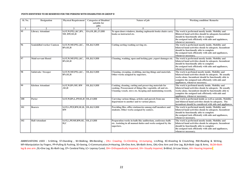| Sl. No. | <b>Designation</b>                | <b>Physical Requirement</b>                            | <b>Categories of Disabled</b> | Nature of job                                                                                                                                                                           | <b>Working condition/ Remarks</b>                                                                                                                                                                                                                                |
|---------|-----------------------------------|--------------------------------------------------------|-------------------------------|-----------------------------------------------------------------------------------------------------------------------------------------------------------------------------------------|------------------------------------------------------------------------------------------------------------------------------------------------------------------------------------------------------------------------------------------------------------------|
|         |                                   |                                                        | suitable for<br>jobs          |                                                                                                                                                                                         |                                                                                                                                                                                                                                                                  |
|         | $\mathcal{D}$                     | 3                                                      |                               | 5                                                                                                                                                                                       | 6                                                                                                                                                                                                                                                                |
| 95      | <b>Library Attendant</b>          | S, ST, W, PP, L, KC, BN<br>MF, RW, SE, H               | OA, OL, BL, LV, HH            | To open doors windows, dusting cupboards books chairs carry<br>books as instructed etc.                                                                                                 | The work is performed mostly inside. Mobility and<br>Bilateral hand activities should be adequate.Incumbent<br>should be functionally able to complete<br>the assigned task efficiently with aids and applainces,<br>whenever necessary.                         |
| 96      | <b>Semiskilled worker Canteen</b> | S,ST,W,MF,PP,L,KC,<br><b>BN,SE,H</b>                   | OL, B, LV, HH                 | Cutting sorting washing serving etc.                                                                                                                                                    | The work is performed mostly inside. Mobility and<br>bilateral hand activities shoule be adequete. Incumbent<br>should be functionally able to complete<br>the assigned task efficiently with aids and appliances,<br>whenever necessary.                        |
| 97      | <b>Maid servant Hostel</b>        | S,ST,W,MF,PP,L,KC,<br><b>BN,SE,H</b>                   | OL, B, LV, HH                 | Cleaning, washing, open and locking gate , report damages etc.                                                                                                                          | The work is performed mostly inside. Mobility and<br>bilateral hand activities shoule be adequete. Incumbent<br>should be functionally able to complete<br>the assigned task efficiently with aids and appliances,<br>whenever necessary.                        |
| 98      | Safaiwala / Sweeper               | S,ST,W,MF,PP,L,KC,<br><b>BN,SE,H</b>                   | OL, B, LV, HH                 | Cleaning, sweeping, swabbing, moving things and materials.<br>Other works assigned by superiors.                                                                                        | The work is perfomed mostly inside. Mobility and<br>bilateral hand activities shoule be adequete. He usually<br>works alone. Incumbent should be functionally able to<br>complete the assigned task efficiently with aids and<br>appliances, whenever necessary. |
| 99      | <b>Kitchen Attendant</b>          | S, ST, W, BN, MF, RW<br>SE,H                           | OL, B, LV, HH                 | Cooking, cleaning, cutting and preserving materials for<br>cooking. Procurement of things like vegetable, oil and etc.<br>Cleaning vessels. stove etc. Keeping and maintaining records. | The work is perfomed mostly inside. Mobility and<br>bilateral hand activities shoule be adequete. He usually<br>works alone. Incumbent should be functionally able to<br>complete the assigned task efficiently with aids and<br>appliances, whenever necessary. |
| 100     | Porter                            | S, ST, W, BN, L, PP, SE, H   OL, LV, HH                |                               | Carrying various things, articles and parcels from one<br>department to another and to various places.                                                                                  | The work is performed inside as well as outside. Mobility<br>and bilateral hand activities shoule be adequete. The<br>incumbent should be considered with aids and appliances.                                                                                   |
| 101     | <b>Bearers</b>                    | S, ST, L, PP, F, BW, SE, H, OL, B, LV, HH<br><b>RW</b> |                               | Providing files, office stationeries among staff members and<br>students. Other works assigned by seniors.                                                                              | The work is performed mostly inside. Mobility and<br>bilateral hand activities shoule be adequete. Incumbent<br>should be functionally able to complete<br>the assigned task efficiently with aids and appliances,<br>whenever necessary.                        |
| 102     | <b>Hall Attendant</b>             | S, ST, L, PP, MF, RW, SE, OL, LV, HH<br>H, C           |                               | Preparation works in halls like auditorium, conference halls<br>etc. Assisting in all manual duties and works assigned by the<br>superiors.                                             | The work is performed mostly inside. Mobility and<br>bilateral hand activities shoule be adequete. Incumbent<br>should be functionally able to complete<br>the assigned task efficiently with aids and appliances,<br>whenever necessary.                        |

ABBREVIATIONS USED : S=Sitting, ST=Standing , W=Walking, BN=Bending , CRL= Crawling, CL=Climbling, JU=Jumping, L=Lifting, KC=Kneeling & Croutching, RW=Reading & Writing, MF=Manipulation by Fingers, PP=Pulling & Pushing, SE=Seeing, C=Communication,H=Hearing, OA=One Arm, BA=Both Arms, OAL=One Arm and One Leg, BLA=Both Legs & Arms, BLOA=Both leg & one arm ,OL=One Leg, BL=Both Leg, CP= Cerebral Palsy, LC= Leprosy Cured, OH= Orthopaedically Impaired, VH= Visually Impaired, B=Blind, LV=Low Vision, HH= Hearing Impaired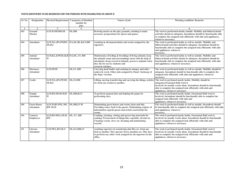| Sl. No. | <b>Designation</b>                     | <b>Physical Requirement</b>                                | <b>Categories of Disabled</b><br>suitable for | Nature of job                                                                                                                                                                                                                               | <b>Working condition/ Remarks</b>                                                                                                                                                                                                                     |
|---------|----------------------------------------|------------------------------------------------------------|-----------------------------------------------|---------------------------------------------------------------------------------------------------------------------------------------------------------------------------------------------------------------------------------------------|-------------------------------------------------------------------------------------------------------------------------------------------------------------------------------------------------------------------------------------------------------|
|         |                                        |                                                            | jobs                                          |                                                                                                                                                                                                                                             |                                                                                                                                                                                                                                                       |
|         | $\overline{2}$                         | 3                                                          | $\overline{4}$                                | 5                                                                                                                                                                                                                                           | 6                                                                                                                                                                                                                                                     |
| 103     | Ground<br><b>Marker</b>                | S, ST, W, MF, RW, SE                                       | OL, HH                                        | Drawing marks on the play grounds, assisting to make<br>necessary preparations for sports and games.                                                                                                                                        | The work is performed mostly outside. Mobility and bilateral hand<br>activities shoule be adequete. Incumbent should be functionally able<br>to complete the assigned task efficiently with aids and appliances,<br>whenever necessary.               |
| 104     | <b>Attendant</b>                       | S, ST, W, L, BN, PP, RW, OA, OL, BL, B, LV, HH<br>SE, H, C |                                               | Assisting in all manual duties and works assigned by the<br>superiors.                                                                                                                                                                      | The work is performed inside as well as outside. Mobility and<br>biliteral hand activities should be adequate. Incumbent should be<br>functionally able to complete the assigned task efficiently with aids<br>and appliances, whenever<br>necessary. |
| 105     | Animal<br><b>Attendant</b>             | S, ST, B, L, F, PP, SE, H, R OA, OL, LV, HH<br>W           |                                               | Maintenance (Feeding & breeding) of living animals, keep<br>the animals room and surroundings clean with the help of<br>attendants. Keep record of animals, preserve animals when<br>they die for use by students and<br>research scholars. | The work is performed inside as well as outside. Mobility and<br>bilateral hand activities shoule be adequete. Incumbent should be<br>functionally able to complete the assigned task efficiently with aids<br>and applainces, whenever necessary.    |
| 106     | <b>Mortuary</b><br><b>Attendant</b>    | S, ST, PP, SE                                              | OL, LV, HH                                    | Carrying dead bodies and assisting in autopsy and other<br>cadaveric work. Other jobs assigned by Head / Incharge of<br>the Dept./ Section.                                                                                                 | The work is performed inside as well as outside. Mobility should be<br>adequate. Incumbent should be functionally able to complete the<br>assigned task efficiently with aids and applainces, whenever<br>necessary.                                  |
| 107     | Coolie                                 | S, ST, W, L, BN, PP, MF, OL, LV, HH<br>SE, H, C            |                                               | Lifting, moving transferring and carrying the things, articles The work is perfomed mostly inside. Mobility should be<br>etc from one section to another.                                                                                   | adequate.Ocassional field work is<br>involved. he usually works alone. Incumbent should be functionally<br>able to complete the assigned task efficiently with aids and<br>applainces, whenever necessary.                                            |
| 108     | <b>Temple</b><br><b>Attendant</b>      | S, ST, BN, MF, SE, H, R<br>W                               | OL, HH, B, LV                                 | To perform manual jobs and helping the pujari in<br>performing rites.                                                                                                                                                                       | The work is perfomed mostly inside. Ocassional field work is<br>involved. Incumbent should be functionally able to complete the<br>assigned task efficiently with aids and<br>applainces, whenever necessary.                                         |
| 109     | <b>Guest House</b><br><b>Attendant</b> | S, ST, W, BN, PP, L, MF, OL, HH, LV/B<br><b>RW SE,H</b>    |                                               | Maintaining guest houses and rooms clean and tidy.<br>Providing water, food to the guests. Maintaining register of<br>information regards guests and articles used inside the<br>rooms.                                                     | The work is performed inside as well as outside. Incumbent should<br>be functionally able to complete the assigned task efficiently with aids<br>and applainces, whenever<br>necessary.                                                               |
| 110     | Canteen<br><b>Employees</b>            | S, ST, BN, MF, L, SE, H, OL, LV, HH<br>$\mathbf{RW}$       |                                               | Cooking, cleaning, cutting and preserving materials for<br>cooking. Procurement of things like vegetable, oil and etc.<br>Cleaning vessels. stove etc. Keeping and maintaining<br>records.                                                  | The work is perfomed mostly inside. Ocassional field work is<br>involved, he usually works alone. Incumbent should be functionally<br>able to complete the assigned task efficiently with aids and<br>applainces, whenever necessary.                 |
| 111     | Literate<br><b>Attendant</b>           | S, ST, PP, L, BN, SE, C                                    | OL, OA, HH, LV                                | Assisting superiors in transfering dak files etc. from one<br>desk to another. May operate Xerox machine etc. May have<br>to perform any other work assigned by his superiors in the<br>office.                                             | The work is perfomed mostly inside. Ocassional field work is<br>involved. he usually works alone. Incumbent should be functionally<br>able to complete the assigned task efficiently with aids and<br>applainces, whenever necessary.                 |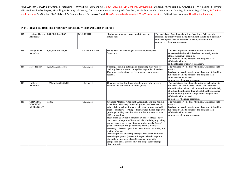| 112 | <b>Attendant</b>                                      | Lecture Theatre S, ST, PP, L, BN, SE, C | OL, B, LV, HH     | Closing, opening and proper maintenance of<br>lecture hall.                                                                                                                                                                                                                                                                                                                                                                                                                                                                                                                                                                                                                                                                                                                                                                                                                                                                                 | The work is perfomed mostly inside. Occasional field work is<br>involved, he usually works alone. Incumbent should be functionally<br>able to complete the assigned task efficiently with aids and<br>applainces, whenever necessary. |                                                                                                                                                                                                                                                                                 |
|-----|-------------------------------------------------------|-----------------------------------------|-------------------|---------------------------------------------------------------------------------------------------------------------------------------------------------------------------------------------------------------------------------------------------------------------------------------------------------------------------------------------------------------------------------------------------------------------------------------------------------------------------------------------------------------------------------------------------------------------------------------------------------------------------------------------------------------------------------------------------------------------------------------------------------------------------------------------------------------------------------------------------------------------------------------------------------------------------------------------|---------------------------------------------------------------------------------------------------------------------------------------------------------------------------------------------------------------------------------------|---------------------------------------------------------------------------------------------------------------------------------------------------------------------------------------------------------------------------------------------------------------------------------|
| 113 | <b>Village Work</b><br><b>Attendant</b>               | S, ST, PP, L, BN, MF, SE                | OL, BL, B, LV, HH | Doing works in the villages, works assigned by the<br>Superiors.                                                                                                                                                                                                                                                                                                                                                                                                                                                                                                                                                                                                                                                                                                                                                                                                                                                                            | alone. Incumbent should be<br>efficiently with aids<br>and applainces, whenever necessary.                                                                                                                                            | The work is perfomed inside as well as outside.<br>Ocassional field work is involved. he usually works<br>functionally able to complete the assigned task                                                                                                                       |
| 114 | <b>Mess Helper</b>                                    | S, ST, W, L, BN, MF, SE                 | OL, LV, HH        | Cooking, cleaning, cutting and preserving materials for<br>cooking. Procurement of things like vegetable, oil and etc.<br>Cleaning vessels. stove etc. Keeping and maintaining<br>records.                                                                                                                                                                                                                                                                                                                                                                                                                                                                                                                                                                                                                                                                                                                                                  | work is<br>efficiently with aids and<br>applainces, whenever necessary.                                                                                                                                                               | The work is perfomed mostly inside. Ocassional field<br>involved. he usually works alone. Incumbent should be<br>functionally able to complete the assigned task                                                                                                                |
| 115 | Gallery<br><b>Attendant</b>                           | ST, W, L, BN, MF, SE, H, C              | OL, LV, HH        | Opening, closing the doors of gallery, providing necessary<br>facilities like water and etc to the guests.                                                                                                                                                                                                                                                                                                                                                                                                                                                                                                                                                                                                                                                                                                                                                                                                                                  | efficiently with aids and<br>applainces, whenever necessary.                                                                                                                                                                          | The work is perfomed mostly inside as welloutside in<br>the field. He usually works alone. The incubment<br>should be able to hear and communicate with the help<br>of aids and appliances. Incumbent should be assessed<br>and functionally able to complete the assigned task |
| 116 | <b>GRINDING</b><br><b>MACHINE</b><br><b>ATTENDANT</b> | <b>ST,SE</b>                            | OL, LV, HH        | <b>Grinding Machine Attendant (Abrasive), Shifting Machine</b><br>Attendant (Abrasive) shifts and grades powdered ore or<br>minerals by machine for use as abrasive powder and collects<br>them separately according to their grades. Loads hopper of<br>grading or sifting machine with powder ore; ensures that<br>different grades or<br>mesh of sieves are set to machine by Fitter; places empty<br>containers or bags at delivery end of each sizing or grading<br>compartment; starts machine; maintains steady flow of<br>powder into sieve and pokes rod to remove blocks as<br>necessary; observes operations to ensure correct sifting and<br>sorting of powder<br>according to size of sieving mesh; collects sifted materials<br>according to grades (coarse to fine particles) in bags and<br>stores them in central place. Cleans machine with<br>compressed air at close of shift and keeps surroundings<br>clean and tidy. | work is<br>efficiently with aids and<br>applainces, whenever necessary.                                                                                                                                                               | The work is perfomed mostly inside. Ocassional field<br>involved, he usually works alone. Incumbent should be<br>functionally able to complete the assigned task                                                                                                                |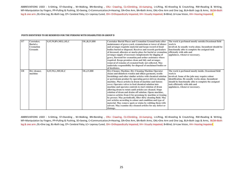### **POSTS IDENTIFIED TO BE RESERVED FOR THE PERSONS WITH DISABILITIES IN GROUP D**

| 117 | Caretaker,<br>Burial a<br><b>Cremation</b><br><b>Grounds</b> | S, ST, W, BN, MF, L, SE, C | OL, B, LV, HH | <b>Caretaker Burial Places and Cremation Ground looks after</b><br>maintenance of grave-yard, crematorium or tower of silence<br>and arranges requisite material and keeps record of dead<br>bodies buried or disposed. Receives and records particulars<br>of deceased, allocates or marks place for burial or cremation,<br>arranges supply of necessary inmplements for digging of<br>grave, firewood for cremation, and orther assistance where<br>required. Keeps premises clean and tidy and arranges<br>removal of remains of cremated body not collected. May<br>undertake responsibility for disposal of unclaimed bodies or<br>of destitutes.                                                                                                                                                                                                                                       | The work is perfomed mostly outside.Ocassional field<br>work is<br>involved, he usually works alone. Incumbent should be<br>functionally able to complete the assigned task<br>efficiently with aids and<br>applainces, whenever necessary.                                                        |
|-----|--------------------------------------------------------------|----------------------------|---------------|-----------------------------------------------------------------------------------------------------------------------------------------------------------------------------------------------------------------------------------------------------------------------------------------------------------------------------------------------------------------------------------------------------------------------------------------------------------------------------------------------------------------------------------------------------------------------------------------------------------------------------------------------------------------------------------------------------------------------------------------------------------------------------------------------------------------------------------------------------------------------------------------------|----------------------------------------------------------------------------------------------------------------------------------------------------------------------------------------------------------------------------------------------------------------------------------------------------|
| 118 | Dry cleaner,<br>machine                                      | S, ST, W, L, MF, SE, C     | OL, LV, HH    | Dry-Cleaner, Machine; Dry Cleaning Machine Operator<br>cleans and disinfects woolen and silken garments, textile<br>furnishings and other similar articles with chemical solution<br>or pertroleum product by operating power-driven cleaning<br>machine. Places articles in drum of machine and fastens<br>cover. Operates valves to feed chemical solution into<br>machine and operates controls to start rolation of drum<br>allowing drum to rotate until articles are cleaned. Stops<br>rolation of drum and drains off solution. Opens machine,<br>removes articles from it for pressiung by machine or ironing<br>by presser. May periodically, filter dirty cleaning fluid. May<br>sort articles according to colour and condition and type of<br>material. May remove spots or stains by rubbing them with<br>solvent. May examine dry-cleaned articles for any defect or<br>damage. | The work is perfomed mostly inside. Ocassional field<br>work is<br>involved. Some of the jobs may require colour<br>identification. He usually works alone. Incumbent<br>should be functionally able to complete the assigned<br>task efficiently with aids and<br>applainces, whenever necessary. |

ABBREVIATIONS USED: S=Sitting, ST=Standing, W=Walking, BN=Bending, CRL= Crawling, CL=Climbling, JU=Jumping, L=Lifting, KC=Kneeling & Croutching, RW=Reading & Writing, MF=Manipulation by Fingers, PP=Pulling & Pushing, SE=Seeing, C=Communication,H=Hearing, OA=One Arm, BA=Both Arms, OAL=One Arm and One Leg, BLA=Both Legs & Arms, BLOA=Both leg & one arm ,OL=One Leg, BL=Both Leg, CP= Cerebral Palsy, LC= Leprosy Cured, OH= Orthopaedically Impaired, VH= Visually Impaired, B=Blind, LV=Low Vision, HH= Hearing Impaired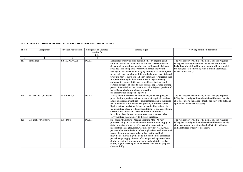| Sl. No. | <b>Designation</b>           | <b>Physical Requirement</b> | <b>Categories of Disabled</b> | Nature of job                                                                                                                                                                                                                                                                                                                                                                                                                                                                                                                                                                                                                                                                                                                                                                                           | <b>Working condition/ Remarks</b>                                                                                                                                                                                                                        |
|---------|------------------------------|-----------------------------|-------------------------------|---------------------------------------------------------------------------------------------------------------------------------------------------------------------------------------------------------------------------------------------------------------------------------------------------------------------------------------------------------------------------------------------------------------------------------------------------------------------------------------------------------------------------------------------------------------------------------------------------------------------------------------------------------------------------------------------------------------------------------------------------------------------------------------------------------|----------------------------------------------------------------------------------------------------------------------------------------------------------------------------------------------------------------------------------------------------------|
|         |                              |                             | suitable for                  |                                                                                                                                                                                                                                                                                                                                                                                                                                                                                                                                                                                                                                                                                                                                                                                                         |                                                                                                                                                                                                                                                          |
|         |                              |                             | jobs                          |                                                                                                                                                                                                                                                                                                                                                                                                                                                                                                                                                                                                                                                                                                                                                                                                         |                                                                                                                                                                                                                                                          |
|         | $\overline{2}$               | 3                           | 4                             |                                                                                                                                                                                                                                                                                                                                                                                                                                                                                                                                                                                                                                                                                                                                                                                                         |                                                                                                                                                                                                                                                          |
| 119     | <b>Embalmer</b>              | S, ST, L, PP, KC, SE        | OL, HH                        | Embalmer preserves dead human bodies by injecting and<br>applying preserving medicines to retard or arrest process of<br>decay or decomposition. Washes body with germicidal soap;<br>sews lips shut, and packs orifices with cotton to prevent<br>leakage; drains blood from body by cutting artery and injects<br>preservative or embalming fluid into body under gravitational<br>pressure. Moves parts of dead body manually for injected fluid<br>to spread thoroughly. Punctures internal organs through<br>abdomen to remove fluids and gases. Closes incisions and<br>restores disfigured bodies to their normal appearance affixing<br>pieces of moulded wax or other material to injured portions of<br>body. Dresses body and places it in coffin<br>for preservation till specified period. | The work is performed mostly inside. The job requires<br>lefting heavy weights handling chemicals and human<br>body. Incumbent should be functionally able to complete<br>the assigned task efficiently with aids and applainces,<br>whenever necessary. |
| 120     | <b>Mixer hand (Chemical)</b> | B, W, PP, SE, F             | OL, HH                        | Mixer, Hand (Chemical) mixes by hand, solid or liquids, in<br>prescribed proportions to form mixture of required standard.<br>Loads prescribed quantities of chemical ingredients in mixing<br>bowls or tanks. Adds prescribed quantity of water or other<br>liquids to form a mixture. Mixes by hand all ingredients to<br>make mixture of required moisture, thickness and consistency.<br>Cleans bowls, tanks and place with water, after mixed<br>ingredients kept in bowl or tank have been removed. May<br>carry mixture in containers to digester machine.                                                                                                                                                                                                                                       | The work is performed mostly inside. The job requires<br>lefting heavy weights. Incumbent should be functionally<br>able to complete the assigned task fficiently with aids and<br>applainces, whenever necessary.                                       |
| 121     | Size maker (Abrasive)        | F,ST,B,SE                   | OL, HH                        | Size Maker (Abrasive); Mixing Machine Man (Abrasive)<br>prepares sizing mixture and ensures its continuous supply to<br>sizing machine (abrasive). Weighs and measures sizing<br>materials such as glue, resin, varnish, solvents, water, etc. as<br>per formulae and fills them in heating kettle or tank fitted with<br>steam pipes; opens steam valve to heat kettle and boil<br>ingredients; allows ingredients to mix and boil for prescribed<br>period; stops supply of steam after set period; opens outlet or<br>drain valve of kettle or tank to drain and maintain regular<br>supply of glue to sizing machine; cleans tank and keeps place<br>clean and tidy.                                                                                                                                | The work is performed mostly inside. The job requires<br>lefting heavy weights. Incumbent should be functionally<br>able to complete the assigned task efficiently with aids<br>and applainces, whenever necessary.                                      |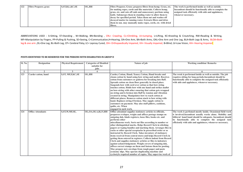| 122 | <b>Fibre Preparer, grass</b> | S, ST, B, L, KC, SE | OL, HH | <b>Fibre Preparer, Grass; prepares fibres from hemp. Grass, etc.</b> | The work is performed inside as well as outside.      |
|-----|------------------------------|---------------------|--------|----------------------------------------------------------------------|-------------------------------------------------------|
|     |                              |                     |        | for making ropes, cords and like materials. Collects hemp,           | Incumbent should be functionally able to complete the |
|     |                              |                     |        | grass, etc. and cuts off ends and unnecessary portions using         | assigned task efficiently with aids and applainces,   |
|     |                              |                     |        | knife. Submerges them in standing water to allow them to             | whenever necessary.                                   |
|     |                              |                     |        | decay for specified period. Takes them out and washes off            |                                                       |
|     |                              |                     |        | decayed matter in running water. Extracts fibres and dries           |                                                       |
|     |                              |                     |        | them in sun, may manually make ropes, cords, etc. with dried         |                                                       |
|     |                              |                     |        | fibres.                                                              |                                                       |

| <b>Sl. No.</b> | <b>Designation</b><br><b>Physical Requirement</b><br><b>Categories of Disabled</b><br>suitable for<br>jobs |                      | Nature of job          | <b>Working condition/ Remarks</b>                                                                                                                                                                                                                                                                                                                                                                                                                                                                                                                                                                                                                                                                                                                                                                                                                                                                                                                                                                                                         |                                                                                                                                                                                                                                                                                                     |
|----------------|------------------------------------------------------------------------------------------------------------|----------------------|------------------------|-------------------------------------------------------------------------------------------------------------------------------------------------------------------------------------------------------------------------------------------------------------------------------------------------------------------------------------------------------------------------------------------------------------------------------------------------------------------------------------------------------------------------------------------------------------------------------------------------------------------------------------------------------------------------------------------------------------------------------------------------------------------------------------------------------------------------------------------------------------------------------------------------------------------------------------------------------------------------------------------------------------------------------------------|-----------------------------------------------------------------------------------------------------------------------------------------------------------------------------------------------------------------------------------------------------------------------------------------------------|
|                | $\overline{2}$                                                                                             | 3                    |                        |                                                                                                                                                                                                                                                                                                                                                                                                                                                                                                                                                                                                                                                                                                                                                                                                                                                                                                                                                                                                                                           | 6                                                                                                                                                                                                                                                                                                   |
| 123            | Carder catton, hand                                                                                        | S, ST, MF, F, KC, SE | OL, HH                 | Carder, Cotton, Hand; Teaser, Cotton, Hand breaks and<br>cleans cotton by hand using bow string and mallet. Receives<br>cotton from customers or godown for breaking into fluff.<br>Spreads cotton on clean floor generally in closed place.<br>Suspends bow with cord over cotton so that bow string<br>touches cotton. Holds bow with one hand and strikes mallet<br>on bow-string with other ensuring that cotton gets wrapped<br>on string and is broken into fluff by tension and vibration<br>created in string. Manipulates bow to reach cotton at<br>different places. Removes cotton stuck to bow string with<br>hand. Replaces string if broken. May supply cotton to<br>customers on payment. May also stuff pillows, cushions,<br>quilts, etc. When<br>engaged in such work.                                                                                                                                                                                                                                                  | The wrok is performed inside as well as outside. The job<br>requires sitting for long periods. Incumbent should be<br>functionally able to complete the assigned task efficiently<br>with aids and applainces, whenever necessary.                                                                  |
| 124            | <b>Office Attendants</b>                                                                                   | S, ST, W, MF, SE,    | OL, OA, OLA, B, LV, HH | Office attendant supplies stationery articles to officials,<br>preparces evelopes, weighs and affixes postage stamps on<br>outgoing dak, binds registers, loose files, books etc. and<br>performs other<br>miscellaneous work. Sorts out files according to number or<br>other distinguished marks. Helps Record Clerk in stitching<br>papers or typing bundles and marking them. Arranges files in<br>racks or other special receptacles in prescribed order or as<br>instructed by Record Clerk. Takes inventory of stationery<br>items received from central stores and helps Record Clerk in<br>getting them entered in registers. Collects indent from Record<br>Clerk and supplies stationery articles or files to indentors<br>against acknowledgement. Weighs covers of outgoing dak,<br>affixes correct stamps on them and fastens them for posting.<br>May prepare new envelops from rough paper and paste<br>economy slips. May operate duplicating machine and<br>cyclostyle required number of copies. May supervise work of | The work is perfomed mostly inside. Ocassional field work<br>is involved.Incumbent usually works alone. Mobility and<br>biliteral hand hand should be adequate. Incumbent should<br>be functionally able to complete the assigned task<br>efficiently with aids and applainces, whenever necessary. |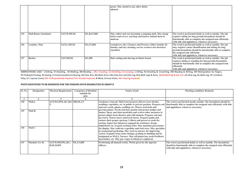|     |                             |                     |               | peons. May attend to any other duties<br>allotted.                                                                                 |                                                                                                                                                                                                                                                                     |
|-----|-----------------------------|---------------------|---------------|------------------------------------------------------------------------------------------------------------------------------------|---------------------------------------------------------------------------------------------------------------------------------------------------------------------------------------------------------------------------------------------------------------------|
|     |                             |                     |               |                                                                                                                                    |                                                                                                                                                                                                                                                                     |
| 125 | <b>Mail Room Attendants</b> | <b>S.ST.W.MF.SE</b> | OL, B, LV, HH | May collect and sort incoming a outgoing mail. May stamp<br>letters and covers, seal begs and load or unload them in<br>mailvan.   | The wrok is performed inside as well as outside. The job<br>requires sitting for long periods. Incumbent should be<br>functionally able to complete the assigned task efficiently<br>with aids and applainces, whenever necessary.                                  |
| 126 | Laundry, Man                | S, ST, L, MF, SE    | OL, LV, HH    | Launderers, Dry Cleaners and Pressers, Other include all<br>laundry and dry cleaning, service workers not elsewhere<br>classified. | The wrok is performed inside as well as outside. The job<br>may requires colour identification and sitting for long<br>periods. Incumbent should be functionally able to complete<br>the assigned task efficiently<br>with aids and applainces, whenever necessary. |
| 127 | <b>Barber</b>               | <b>S,ST,MF,SE</b>   | OL, HH        | Hair cutting and shaving of clients beard.                                                                                         | The wrok is performed inside as well as outside. The job<br>requires sitting or standing for long periods. Incumbent<br>should be functionally able to complete the assigned task<br>efficiently<br>with aids and applainces, whenever necessary.                   |

| Sl. No. | <b>Designation</b> | <b>Physical Requirement</b>   | <b>Categories of Disabled</b> | Nature of job                                                         | <b>Working condition/ Remarks</b>                                                                                                            |
|---------|--------------------|-------------------------------|-------------------------------|-----------------------------------------------------------------------|----------------------------------------------------------------------------------------------------------------------------------------------|
|         |                    |                               | suitable for                  |                                                                       |                                                                                                                                              |
|         |                    |                               | jobs                          |                                                                       |                                                                                                                                              |
|         |                    |                               |                               |                                                                       |                                                                                                                                              |
| 128     | MaliA,             | S,ST,W,F,PP,L,KC,B,S HH,OL,LV |                               | Gardener, General; Mali General grows flowers trees shrubs,           | The work is performed mostly outside. The Incumbent should be                                                                                |
|         |                    |                               |                               |                                                                       | seedlings vegetables, etc. in public or private gardens. Prepares soil functionally able to complete the assigned task efficiently with aids |
|         |                    |                               |                               | and sows seeds, plants, seedlings etc. Waters seed-beds and           | and applainces, whenever necessary.                                                                                                          |
| 129     | Mali B,            |                               |                               | growing plants. Weeds and hoes garden and prunes hedges and           |                                                                                                                                              |
|         |                    |                               |                               | bushes. Spray and dusts pesticides and evolves other measures to      |                                                                                                                                              |
|         |                    |                               |                               | protect plants from diseases and wild animals. Prepares soil and      |                                                                                                                                              |
|         |                    |                               |                               | lays lawn. Waters mows and levels lawns. Prepares paths and           |                                                                                                                                              |
|         |                    |                               |                               | ensures their proper up-keep. Collects and preserves seeds for        |                                                                                                                                              |
|         |                    |                               |                               | sowing. Supervises labourers engaged for assistance. Keeps            |                                                                                                                                              |
|         |                    |                               |                               | implements etc. in good working order. May maintain green house       |                                                                                                                                              |
| 130     | Mali C             |                               |                               | for display. May cultivate vegetables and fruit trees. May specialize |                                                                                                                                              |
|         |                    |                               |                               | in ornamental gardening. May work in nursery for improving            |                                                                                                                                              |
|         |                    |                               |                               | variety of plants from seeds cuttings, grafting or budding and be     |                                                                                                                                              |
|         |                    |                               |                               | designated as MALI, Nursery. May sell plants buy seeds fertilizers    |                                                                                                                                              |
|         |                    |                               |                               | insecticides, etc. May pay wages to labourers employed.               |                                                                                                                                              |
| 131     | Mazdoor Gr. II,    | S, ST, W, MF, PP, L, KC,      | OL, LV, HH                    | Performing all manual works. Works given by the superior              | The work is performed inside as well as outside. The Incumbent                                                                               |
|         |                    | <b>B,SE,H,RW</b>              |                               | officers.                                                             | should be functionally able to complete the assigned task efficiently                                                                        |
|         |                    |                               |                               |                                                                       | with aids and applainces, whenever necessary.                                                                                                |
|         |                    |                               |                               |                                                                       |                                                                                                                                              |
|         |                    |                               |                               |                                                                       |                                                                                                                                              |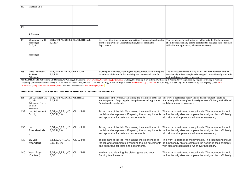| 132 | Mazdoor Gr. I,          |                                                           |                                                                                                                                                                                                            |                                                                                                                        |
|-----|-------------------------|-----------------------------------------------------------|------------------------------------------------------------------------------------------------------------------------------------------------------------------------------------------------------------|------------------------------------------------------------------------------------------------------------------------|
|     |                         |                                                           |                                                                                                                                                                                                            |                                                                                                                        |
|     |                         |                                                           |                                                                                                                                                                                                            |                                                                                                                        |
|     |                         |                                                           |                                                                                                                                                                                                            |                                                                                                                        |
|     |                         |                                                           |                                                                                                                                                                                                            |                                                                                                                        |
|     |                         |                                                           |                                                                                                                                                                                                            |                                                                                                                        |
| 133 |                         |                                                           |                                                                                                                                                                                                            |                                                                                                                        |
|     |                         |                                                           |                                                                                                                                                                                                            |                                                                                                                        |
|     | Sr.Mazdoor              |                                                           |                                                                                                                                                                                                            |                                                                                                                        |
|     |                         |                                                           |                                                                                                                                                                                                            |                                                                                                                        |
| 134 | Messenger Gr. II,       | S, ST, W, F, PP, L, KC, B, S OA, OL, HH, LV/B<br>E, H, RW | Carrying files, folders, papers and articles from one department to                                                                                                                                        | The work is performed inside as well as outside. The Incumbent                                                         |
|     | Messenger<br>Gr. I, Sr. |                                                           | another department. Dispatching files, letters among the<br>departments.                                                                                                                                   | should be functionally able to complete the assigned task efficiently<br>with aids and applainces, whenever necessary. |
|     |                         |                                                           |                                                                                                                                                                                                            |                                                                                                                        |
|     |                         |                                                           |                                                                                                                                                                                                            |                                                                                                                        |
|     | Messenger               |                                                           |                                                                                                                                                                                                            |                                                                                                                        |
|     |                         |                                                           |                                                                                                                                                                                                            |                                                                                                                        |
|     |                         |                                                           |                                                                                                                                                                                                            |                                                                                                                        |
|     |                         |                                                           |                                                                                                                                                                                                            |                                                                                                                        |
|     |                         |                                                           |                                                                                                                                                                                                            |                                                                                                                        |
| 135 | Ward Attendant,         | S, ST, W, F, PP, L, KC, B, S OL, LV, HH                   | Working in the wards, cleaning the rooms, wards. Maintaining the                                                                                                                                           | The work is performed mostly inside. The Incumbent should be                                                           |
|     | <b>Sr. Ward</b>         | E,H,RW                                                    | cleanliness of the wards. Maintaining the reports and records.                                                                                                                                             | functionally able to complete the assigned task efficiently with aids                                                  |
|     | <b>Attendant</b>        |                                                           | ADDDEVIATIONS USED, S-Sitting ST-Standing W-Walking DN-Danding CDL-Conviling CL-Climbing W-lymping L-Lifting VC-Vacaling & Convention DW-Daeding & Writing ME-Mapipulation by Eingene DD-Dulling & Duching | and applainces, whenever necessary.                                                                                    |

| 136 | Lab Attendent Gr.<br>II, Lab<br>Attendent Gr. I,<br>Sr. Lab<br><b>Attendent</b> | S, ST, W, F, PP, L, KC, B, S OL, HH, LV<br>E,H,RW |           | Taking care of the wards. Maintaining the cleanliness of the lab<br>and equipments. Preparing the lab equipments and apparatus<br>for tests and experiments. | The work is performed mostly inside. The Incumbent should be<br>functionally able to complete the assigned task efficiently with aids and<br>applainces, whenever necessary.                                                      |
|-----|---------------------------------------------------------------------------------|---------------------------------------------------|-----------|--------------------------------------------------------------------------------------------------------------------------------------------------------------|-----------------------------------------------------------------------------------------------------------------------------------------------------------------------------------------------------------------------------------|
| 137 | Lab Attendent<br>IGr. II.                                                       | S,ST,W,F,PP,L,KC,<br>B, SE, H, RW                 | OL, LV HH | Taking care of the lab. Maintaining the cleanliness of<br>and apparatus for tests and experiments.                                                           | The work is performed mostly inside. The Incumbent should<br>the lab and equipments. Preparing the lab equipments be functionally able to complete the assigned task efficiently<br>with aids and applainces, whenever necessary. |
| 138 | l Lab<br>Attendent Gr.                                                          | S, ST, W, F, PP, L, KC,<br>B, SE, H, RW           | OL.LV HH  | Taking care of the lab. Maintaining the cleanliness of<br>and apparatus for tests and experiments.                                                           | The work is performed mostly inside. The Incumbent should<br>the lab and equipments. Preparing the lab equipments be functionally able to complete the assigned task efficiently<br>with aids and applainces, whenever necessary. |
| 139 | <b>Sr. Lab</b><br><b>Attendent</b>                                              | S, ST, W, F, PP, L, KC,<br>B.SE.H.RW              | OL.LV HH  | Taking care of the lab. Maintaining the cleanliness of<br>and apparatus for tests and experiments.                                                           | The work is performed mostly inside. The Incumbent should<br>the lab and equipments. Preparing the lab equipments be functionally able to complete the assigned task efficiently<br>with aids and applainces, whenever necessary. |
| 140 | Wash Boys<br>(Canteen)                                                          | S, ST, W, F, PP, L, KC,<br>B,SE                   | OL, LV HH | washing and cleaning the plates, glass and cups.<br>Serving tea & snacks.                                                                                    | The work is performed mostly inside. The Incumbent should<br>be functionally able to complete the assigned task efficiently                                                                                                       |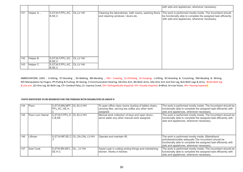|     |             |                                               |           |                                                                                            | with aids and applainces, whenever necessary.                                                                                                                                |
|-----|-------------|-----------------------------------------------|-----------|--------------------------------------------------------------------------------------------|------------------------------------------------------------------------------------------------------------------------------------------------------------------------------|
| 141 | Helper A, , | S, ST, W, F, PP, L, KC,<br>B, SE, C           | OL, LV HH | Cleaning the laboratories, bath rooms, washing floors<br>and cleaning windows / doors etc. | The work is performed mostly inside. The Incumbent should<br>be functionally able to complete the assigned task efficiently<br>with aids and applainces, whenever necessary. |
| 142 | Helper B    | S, ST, W, F, PP, L, KC,<br>B, SE, C           | OL,LV HH  |                                                                                            |                                                                                                                                                                              |
| 143 | Helper C    | S, ST, W, F, PP, L, KC, OL, LV HH<br>B, SE, C |           |                                                                                            |                                                                                                                                                                              |

| 144 | Peon             | S, ST, W, BN, MFF, OL.B. LV. HH<br>PP,L,KC,,SE,H, |                                           | To open office class rooms dusting of tables chairs,<br>carrying files, serving tea coffee any other work<br>assigned. | The work is performed mostly inside. The Incumbent should be<br>functionally able to complete the assigned task efficiently with<br>aids and applainces, whenever necessary.                                              |
|-----|------------------|---------------------------------------------------|-------------------------------------------|------------------------------------------------------------------------------------------------------------------------|---------------------------------------------------------------------------------------------------------------------------------------------------------------------------------------------------------------------------|
| 145 | Peon cum Hamal   | S, ST, W, F, PP, L, K   OL. B. LV. HH<br>C.B, SE  |                                           | Manual work collection of keys and open doors<br>serve water any other manual work assigned.                           | The work is performed mostly inside. The Incumbent should be<br>functionally able to complete the assigned task efficiently with<br>aids and applainces, whenever necessary.                                              |
| 146 | Liftman          |                                                   | S, ST, W, MF, SE, C   OL, OA, OAL. LV. HH | Operate and maintain lift.                                                                                             | The work is performed mostly inside. Bilatralhand<br>activitiesshouldbe adequate. The Incumbent should be<br>functionally able to complete the assigned task efficiently with<br>aids and applainces, whenever necessary. |
| 147 | <b>Asst Cook</b> | S,STW.BN.MF.L. OL, .LV HH<br>SE.H.C               |                                           | Assist cook in cutting sorting things and maintaining<br>İkitchen. Works in kitchen.                                   | The work is performed mostly inside. The Incumbent should be<br>functionally able to complete the assigned task efficiently with<br>aids and applainces, whenever necessary.                                              |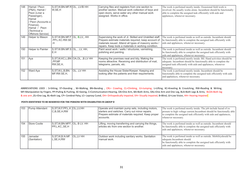| 148 | Hamal / Peon<br>(P&A), Hamal /<br>Peon (Liner a<br>Passenger),<br>Hamal<br>/ Peon (Accounts a<br>Finance),<br>Hamal / Peon<br>(Technical a<br>Offshore Service) | S, ST, W, BN.MF.R OL, LV/B HH<br>W,SE,H             |                                        | Carrying files and registers from one section to<br>another section. Manual work collection of keys and<br>open doors, serve water any other manual work<br>assigned. Works in office.                                             | The work is perfomed mostly inside. Ocassional field work is<br>involved. He usually works alone. Incumbent should be functionally<br>able to complete the assigned task efficiently with aids and<br>applainces, whenever necessary. |
|-----|-----------------------------------------------------------------------------------------------------------------------------------------------------------------|-----------------------------------------------------|----------------------------------------|------------------------------------------------------------------------------------------------------------------------------------------------------------------------------------------------------------------------------------|---------------------------------------------------------------------------------------------------------------------------------------------------------------------------------------------------------------------------------------|
| 149 | Helper to Mason                                                                                                                                                 | SST.W.BN.MF.F OL, B, LV, HH<br>.PP.L.KC.RW.SE<br>H. |                                        | Supervising the work of Jr. Skilled and Unskilled staff.<br>Prepare estimate materials required, keep account of<br>materials issued. Attend all types of masonry works /<br>repairs. Keep tools a materials in working condition. | The work is perfomed inside as well as outside. Incumbent should<br>be functionally able to complete the assigned task efficiently with<br>aids and applainces, whenever necessary.                                                   |
| 150 | Helper to Painter                                                                                                                                               | $ S.ST.W.BN.MF.S OL,$ , LV, HH,<br>E.H              |                                        | Paint wood work / walls / structures, varnishing,<br>polishing and painting.                                                                                                                                                       | The work is perfomed inside as well as outside. Incumbent should<br>be functionally able to complete the assigned task efficiently with<br>aids and applainces, whenever necessary.                                                   |
| 151 | Aya                                                                                                                                                             | ,PP,MF<br>RW, SE, H,                                | S, ST, W, KC, L, BN OA, OL, , B. LV HH | Keeping the premises neat and tidy. Making the<br>rooms attractive. Receiving and distribution of mail,<br>telegrams, parcels, etc.                                                                                                | The work is perfomed mostly inside. Bil. Hand activities should be<br>adequate. Incumbent should be functionally able to complete the<br>assigned task efficiently with aids and applainces, whenever<br>necessary.                   |
| 152 | Ward Aya                                                                                                                                                        | S, ST, W, L, B, BN.<br>MF.RW.SE.H.                  | OL, ,LV HH                             | Assisting the House Sister/Keeper. Keeping and<br>looking after the patients and their requirements.                                                                                                                               | The work is perfomed mostly inside. Incumbent should be<br>functionally able to complete the assigned task efficiently with aids<br>and applainces, whenever necessary.                                                               |

| 153 | Pump Attendant          | $S, ST, W, F, PP, L, K$ OL, LV, HH<br>C,B,SE,H,RW | Operate and maintain pump sets, including motors,<br>starters and switches. Carry out minor repairs.<br>Prepare estimate of materials required. Keep proper<br>Iaccounts. | The work is perfomed mostly inside. The job include hazad of ex<br>prosure to high voltage current. Incumbent should be functionally able<br>to complete the assigned task efficiently with aids and applainces,<br>whenever necessary. |
|-----|-------------------------|---------------------------------------------------|---------------------------------------------------------------------------------------------------------------------------------------------------------------------------|-----------------------------------------------------------------------------------------------------------------------------------------------------------------------------------------------------------------------------------------|
| 154 | Store Coolie            | S, ST, W, BN. MFF, OL, BLV. HH<br>PP,L,KC,,SE,H   | Lifting, moving transferring and carrying the things,<br>articles etc from one section to another.                                                                        | The work is perfomed inside as well as outside. Incumbent should<br>be functionally able to complete the assigned task efficiently with<br>aids and applainces, whenever necessary.                                                     |
| 155 | Jamadar<br>(Sanitation) | S,ST,W,B.N.MF. OL,LV HH<br>L, SE, H, RW           | Outdoor work including sanitary works. Sanitation<br>Imanual work.                                                                                                        | The work is perfomed inside as well as outside. Mobility should be<br>adequate.Incumbent should<br>be functionally able to complete the assigned task efficiently with<br>aids and applainces, whenever necessary.                      |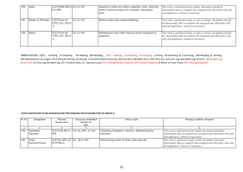| 156 | Tailor            | S, ST, W, MF, BN, S OL, LV HH<br>E.H.RW             |                  | Sewing of cloths and other materials, linen, stitching<br>cloths, making screens for windows, decoration<br>l work. | The work is perfomed mostly inside. Incumbent should be<br>functionally able to complete the assigned task efficiently with aids<br>and applainces, whenever necessary.             |
|-----|-------------------|-----------------------------------------------------|------------------|---------------------------------------------------------------------------------------------------------------------|-------------------------------------------------------------------------------------------------------------------------------------------------------------------------------------|
| 167 | Helper to Plumber | $\mathsf{S}$ , ST, W, bn. mf<br>F, PP, L, KC, SE, H | <b>IOL.LV HH</b> | Works inside and outside buildings.                                                                                 | The work is perfomed inside as well as outside. Incumbent should<br>be functionally able to complete the assigned task efficiently with<br>aids and applainces, whenever necessary. |
| 158 | Mistry            | S.ST.W.bn.mf<br> F,PP, L, KC, SE, H                 | <b>IOL.LV HH</b> | Maintenance and other manual works assigned by<br>superiors.                                                        | The work is perfomed inside as well as outside. Incumbent should<br>be functionally able to complete the assigned task efficiently with<br>aids and applainces, whenever necessary. |

| SI. No. | <b>Designation</b> | <b>Physical</b>                    | <b>Categories of Disabled</b>             | Nature of job                                | <b>Working condition/ Remarks</b>                                     |
|---------|--------------------|------------------------------------|-------------------------------------------|----------------------------------------------|-----------------------------------------------------------------------|
|         |                    | Requirement                        | suitable for                              |                                              |                                                                       |
|         |                    |                                    | jobs                                      |                                              |                                                                       |
|         |                    |                                    |                                           |                                              |                                                                       |
| 159     | Gestetner          |                                    | $ S, ST, W, B, SE, H,  OA. OL, OAL, LVHH$ | Operating Gestetner machine. Maintaining the | The work is perfomed mostly inside. Incumbent should be               |
|         | Operator           | <b>RW</b>                          |                                           | machine.                                     | functionally able to complete the assigned task efficiently with aids |
|         |                    |                                    |                                           |                                              | and applainces, whenever necessary.                                   |
| 160     | Chair              | S, ST, KC, MF, L, B  OL, ,B, LV HH |                                           | Rescanning works of chair, sofa sets etc.    | The work is perfomed mostly inside. Incumbent should be               |
|         | Recaner/Caner      | IN.PP.SE.H                         |                                           |                                              | functionally able to complete the assigned task efficiently with aids |
|         |                    |                                    |                                           |                                              | and applainces, whenever necessary.                                   |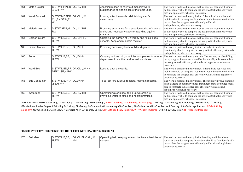| 161 | Mate / Beldar          | S, ST, W, F, PP, L, B OL, , LV HH<br>,SE,H,RW             |             | Assisting mason to carry out masonry work.<br>Maintenance of cleanliness of the tools used.                          | The work is perfomed inside as well as outside. Incumbent should<br>be functionally able to complete the assigned task efficiently with<br>aids and applainces, whenever necessary.                                                      |
|-----|------------------------|-----------------------------------------------------------|-------------|----------------------------------------------------------------------------------------------------------------------|------------------------------------------------------------------------------------------------------------------------------------------------------------------------------------------------------------------------------------------|
| 162 | Ward Sahayak           | S, ST, W, MF, PP, K OA, OL, , LV HH<br>C,L,BN,SE,H,R<br>W |             | Looking after the wards. Maintaining ward's<br>cleanliness.                                                          | The work is perfomed mostly inside. Bilatral hand activities and<br>mobility should be adequate. Incumbent should be functionally able<br>to complete the assigned task efficiently with aids<br>and applainces, whenever necessary.     |
| 163 | Malaria Worker         | S, ST, W, SE, B, H,<br><b>RW</b>                          | OL, ,LV HH  | Providing assistance for preveution curing of malaria<br>and taking necessary steps for guarding against<br>malaria. | The work is perfomed inside as well as outside. Incumbent should<br>be functionally able to complete the assigned task efficiently with<br>aids and applainces, whenever necessary.                                                      |
| 164 | Garden Guard           | S, ST, W, L, B, SE,<br>H,RW                               | OL, LV HH,  | Guarding the garden of University and its colleges,<br>schools. Keep and maintain register.                          | The work is perfomed inside as well as outside. Incumbent should<br>be functionally able to complete the assigned task efficiently with<br>aids and applainces, whenever necessary.                                                      |
| 165 | <b>Billiard Marker</b> | S, ST, W, L, B, SE,<br>IH.RW                              | OL, LV, HH  | Providing necessary tools for billiard games.                                                                        | The work is perfomed mostly inside. Incumbent should be<br>functionally able to complete the assigned task efficiently with aids<br>and applainces, whenever necessary.                                                                  |
| 166 | Porter                 | S, ST, W, L, B, SE,<br>H,RW                               | OL, LV, HH  | Carrying various things, articles and parcels from one<br>department to another and to various places.               | The work is perfomed mostly outside. The job may involve lifting<br>heavy weights. Incumbent should be functionally able to complete<br>the assigned task efficiently with aids and applainces, whenever<br>necessary.                   |
| 167 | Ward Boy               | S, ST, W, L, BN, PP, OA, OL, , LV HH<br>MF, KC, SE, H, RW |             | Looking after the wards.                                                                                             | The work is perfomed mostly inside. Bilatral hand activities and<br>mobility should be adequate Incumbent should be functionally able<br>to complete the assigned task efficiently with aids and applainces,<br>whenever necessary.      |
| 168 | <b>Bus Conductor</b>   | S, ST, W, L, B, PP, F OL, LV, HH<br>,SE,H,RW              |             | To collect fare & issue receipts, maintain records.                                                                  | The work is perfomed mostly inside. The job may involve standing<br>and balancing in moving vehicel. Incumbent should be functionally<br>able to complete the assigned task efficiently with aids and<br>applainces, whenever necessary. |
| 169 | Waterman               | S, ST, W, L, B, SE,<br>H,RW                               | OL, , LV HH | Operating water pipes, filling up water tanks.<br>Providing water to office and hostel premises.                     | The work is perfomed inside as well as outside. Incumbent should<br>be functionally able to complete the assigned task efficiently with<br>aids and applainces, whenever necessary.                                                      |

| 170 | <b>Bell Men</b> | S, ST, W, L, B, SE,<br>'H,RW | IOA.OL.BL.OAL.LV<br>ΗF | classes. | Operating bell, keeping in mind the time schedules of  The work is perfomed mostly inside.Mobility and bilatralhand<br>activities should be adequate. Incumbent should be functionally able<br>to complete the assigned task efficiently with aids and applainces. |
|-----|-----------------|------------------------------|------------------------|----------|--------------------------------------------------------------------------------------------------------------------------------------------------------------------------------------------------------------------------------------------------------------------|
|     |                 |                              |                        |          | whenever necessary.                                                                                                                                                                                                                                                |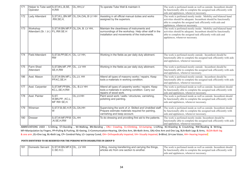| 171 | Helper to Tube well S, ST, W, L, B, SE,<br>Operator | <b>H.RW</b>                                     | OL,HH,LV                                | To operate Tube Well & maintain it.                                                                                                                    | The work is perfomed inside as well as outside. Incumbent should<br>be functionally able to complete the assigned task efficiently with<br>aids and applainces, whenever necessary.                                                    |
|-----|-----------------------------------------------------|-------------------------------------------------|-----------------------------------------|--------------------------------------------------------------------------------------------------------------------------------------------------------|----------------------------------------------------------------------------------------------------------------------------------------------------------------------------------------------------------------------------------------|
| 172 | Lady Attendant                                      | .RW,SE,H,                                       | S, ST, W, L, BN. MF OL, OA, OAL. BLV HH | Assisting in all official manual duties and works<br>assigned by the superiors.                                                                        | The work is perfomed mostly inside . Mobility and bilateral hand<br>activities should be adequate. Incumbent should be functionally<br>able to complete the assigned task efficiently with aids and<br>applainces, whenever necessary. |
| 173 | Workshop<br>Attendant (Sr. / Jr.) P.L.RW.SE.H       |                                                 | S.ST.W.BN.MF.P OL, OA, B. LV HH,        | Maintain the cleanliness of instruments and<br>surroundings of the workshop. Help other staff in the<br>installation and movements of the instruments. | The work is perfomed mostly inside . Mobility and bilateral hand<br>activities should be adequate. Incumbent should be functionally<br>able to complete the assigned task efficiently with aids and<br>applainces, whenever necessary. |
| 174 | Field Attendant                                     | S, ST, B, PP, SE, H, OL, LV HH,<br><b>IRW</b>   |                                         | Working in the fields as per daily duty allotment.                                                                                                     | The work is perfomed mostly outside . Incumbent should be<br>functionally able to complete the assigned task efficiently with aids<br>and applainces, whenever necessary.                                                              |
| 175 | <b>Farm Shed</b><br>Attendant                       | S, ST, BN.MF., PP, OL, , LV HH<br>SE, H, RW     |                                         | Working in the fields as per daily duty allotment.                                                                                                     | The work is perfomed mostly outside. Incumbent should be<br>functionally able to complete the assigned task efficiently with aids<br>and applainces, whenever necessary.                                                               |
| 186 | Asst. Mason                                         | S, ST, W.BN.MF.L OL, LV, HH<br>PP,KC,SE,H       |                                         | Attend all types of masonry works / repairs. Keep<br>tools a materials in working condition.                                                           | The work is perfomed mostly outside. Incumbent should be<br>functionally able to complete the assigned task efficiently with aids<br>and applainces, whenever necessary.                                                               |
| 177 | Asst. Carpenter                                     | S, ST, MF, PP, BN,, OL, B.LV HH<br>KC,L,SE,H,RW |                                         | Attend all types of carpentry works / repairs. Keep<br>tools a materials in working condition. Carry out<br>repairs of wood work.                      | The work is perfomed inside as well as outside. Incumbent should<br>be functionally able to complete the assigned task efficiently with<br>aids and applainces, whenever necessary.                                                    |
| 178 | Asst. Painter                                       | S,ST <br>W,BN,PP, ,KC,L,<br>MF RW SE,H.         | OL,LV.HH                                | Paint wood work / walls / structures, varnishing,<br>polishing and painting.                                                                           | The work is perfomed inside as well as outside. Incumbent should<br>be functionally able to complete the assigned task efficiently with<br>aids and applainces, whenever necessary.                                                    |
| 179 | Wireman                                             | S, ST, F, B, SE, H, R OL, OA, HH<br>W           |                                         | Supervising the work of Jr. Skilled and Unskilled staff.<br>Prepare estimate materials required for painting,<br>varnishing and keep account.          | The work is perfomed inside as well as outside. Incumbent should<br>be functionally able to complete the assigned task efficiently with<br>aids and applainces, whenever necessary.                                                    |
| 180 | <b>Dresser</b>                                      | S,ST,W.MF,PP,B OL,HH<br>,N.SE,H,RW              |                                         | To do dressing and providing first aid to the patients.                                                                                                | The work is perfomed mostly inside. Incumbent should be<br>functionally able to complete the assigned task efficiently with aids<br>and applainces, whenever necessary.                                                                |

| 181 | Domestic Servant   S.ST.W.BN.MF.K   OL., LV HH | IC.SE.H.C. | Lifting, moving transferring and carrying the things,<br>larticles etc from one section to another. | The work is perfomed inside as well as outside. Incumbent should<br>be functionally able to complete the assigned task efficiently with |
|-----|------------------------------------------------|------------|-----------------------------------------------------------------------------------------------------|-----------------------------------------------------------------------------------------------------------------------------------------|
|     |                                                |            |                                                                                                     | alds and applainces, whenever necessary.                                                                                                |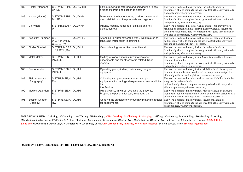| 182 | <b>Hostel Attendant</b>               | S, ST, W.MF.PP, L, OL, , LV HH<br>BN, SE, H   |             | Lifting, moving transferring and carrying the things,<br>articles etc from one section to another.                         | The work is perfomed mostly inside. Incumbent should be<br>functionally able to complete the assigned task efficiently with aids<br>and applainces, whenever necessary.                                                                                     |
|-----|---------------------------------------|-----------------------------------------------|-------------|----------------------------------------------------------------------------------------------------------------------------|-------------------------------------------------------------------------------------------------------------------------------------------------------------------------------------------------------------------------------------------------------------|
| 183 | Helper (Hostel)                       | S, ST, W.MF.PP, L, OL, LV.HH<br>BN,SE,H       |             | Maintaining the hostel rooms, corridors, clean and<br>neat. Maintain and keep records and registers.                       | The work is perfomed mostly inside. Incumbent should be<br>functionally able to complete the assigned task efficiently with aids<br>and applainces, whenever necessary.                                                                                     |
| 184 | Dairyman                              | S, ST, F, B, SE, H, R OL. LV. HH<br>W         |             | Milking, feeding, handling of animals and milk<br>distribution etc.                                                        | The work is perfomed inside as well as outside. Job may involve<br>handling of domestic animals carrying heavy weights. Incumbent<br>should be functionally able to complete the assigned task efficiently<br>with aids and applainces, whenever necessary. |
| 185 | <b>Assistant Plumber</b>              | S,ST,<br>WBN,PP,MF,K<br>C,L,SE, RW,H,         | OL, LV. HH, | Attending to water sewerage work. Work related to<br>tank, sink water outlet inlet fittings.                               | The work is perfomed inside as well as outside. Incumbent should<br>be functionally able to complete the assigned task efficiently with<br>aids and applainces, whenever necessary.                                                                         |
| 186 | <b>Binder Grade-II</b>                | S, ST, BN, MF PP, OL, LV. HH<br>,KC,L,SE,H,RW |             | Various binding works like books files etc.                                                                                | The work is perfomed mostly inside. Incumbent should be<br>functionally able to complete the assigned task efficiently with aids<br>and applainces, whenever necessary.                                                                                     |
| 187 | <b>Metal Melter</b>                   | S.ST.W.MF.BN.P OL, HH<br>P.KC.SE.C            |             | Melting of various metals, raw materials for<br>experiments and for other works related. Keep<br>records.                  | The work is perfomed mostly inside. Mobility should be adequate.<br>Incumbent should be<br>functionally able to complete the assigned task efficiently with aids<br>and applainces, whenever necessary.                                                     |
| 188 | <b>Gas Attendant</b>                  | S.ST.W.MF.BN.P OL,HH<br>IP.KC.SE.C            |             | Operating gas cylinders, maintaining the gas<br>equipments.                                                                | The work is perfomed mostly inside. Mobility should be adequate<br>Incumbent should be functionally able to complete the assigned task<br>efficiently with aids and applainces, whenever necessary.                                                         |
| 189 | <b>Field Attendant</b><br>(Geography) | S, ST, PP, B, SE, H, OL, HH<br>IRW            |             | Collecting samples, raw materials, carrying<br>equipments for geological experiments. Works allotted<br>by<br>the Seniors. | The work is perfomed inside as well as outside. Mobility should be<br>adequate Incumbent should<br>be functionally able to complete the assigned task efficiently with<br>aids and applainces, whenever necessary.                                          |
| 190 | <b>Medical Attendant</b>              | S, ST, PP, B, SE, H, OL, HH<br><b>RW</b>      |             | Manual works in wards, assisting the patients.<br>Prepare the patients for test, treatment etc.                            | The work is perfomed mostly inside. Mobility should be adequate<br>Incumbent should be functionally able to complete the assigned task<br>efficiently with aids and applainces, whenever necessary.                                                         |
| 191 | Section Grinder<br>(Geology)          | S,ST,PP,L,SE,H, OL,HH <br><b>IRW</b>          |             | Grinding the samples of various raw materials, articles<br>for experiments.                                                | The work is perfomed mostly inside. Incumbent should be<br>functionally able to complete the assigned task efficiently with aids<br>and applainces, whenever necessary.                                                                                     |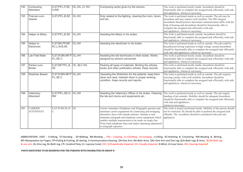| 192 | Composing<br>Attendant             | S, ST, PP, L, F, SE,<br>H,RW           | OL, OA, LV HH, | Composing works given by the seniors.                                                                                                                                                                                                                                                                                                                                                            | The work is perfomed mostly inside. Incumbent should be<br>functionally able to complete the assigned task efficiently with aids<br>and applainces, whenever necessary.                                                                                                                                                                                       |
|-----|------------------------------------|----------------------------------------|----------------|--------------------------------------------------------------------------------------------------------------------------------------------------------------------------------------------------------------------------------------------------------------------------------------------------------------------------------------------------------------------------------------------------|---------------------------------------------------------------------------------------------------------------------------------------------------------------------------------------------------------------------------------------------------------------------------------------------------------------------------------------------------------------|
| 193 | Fireman-cum-<br>cleaner            | S, ST, PP, L, B, SE                    | OL,HH          | Duty related to fire-fighting, cleaning the room, doors<br>and etc.                                                                                                                                                                                                                                                                                                                              | The work is perfomed inside as well as outside. The job may be<br>hazardous and may require swift mobility. The HH category<br>incumbant should possess functional communication skills with the<br>help of hearing aids. Incumbent should be functionally able to<br>complete the assigned task efficiently with aids<br>and applainces, whenever necessary. |
| 194 | <b>Helper to Mistry</b>            | S, ST, PP, L, B, SE                    | OL,HH          | Assisting the Mistry in his duties.                                                                                                                                                                                                                                                                                                                                                              | The work is perfomed mostly outside. Incumbent should be<br>functionally able to complete the assigned task efficiently with aids<br>and applainces, whenever necessary.                                                                                                                                                                                      |
| 195 | Helper to<br>Electrician           | S, ST, BN, PP, MF,<br>KC,L,W,B,SE      | OL,HH          | Assisting the electrician in his duties.                                                                                                                                                                                                                                                                                                                                                         | The work is perfomed inside as well as outside. The job could be<br>hazardourinvolving exprosure to high voltage currant. Incumbent<br>should be functionally able to complete the assigned task efficiently<br>with aids and applainces, whenever necessary.                                                                                                 |
| 196 | Lab Field Mate                     | S, ST, W.BN.MF.P OL, HH<br>P,L,SE.C    |                | Assisting the lab technicians in their duties. Works<br>assigned by seniors concerned.                                                                                                                                                                                                                                                                                                           | The work is perfomed mostly inside. Incumbent should be<br>functionally able to complete the assigned task efficiently with aids<br>and applainces, whenever necessary.                                                                                                                                                                                       |
| 197 | Packer-cum-<br><b>Binder</b>       | S, ST, MF.PP, L, B,<br>lse             | OL, BLV HH.    | Packing all types of materials. Binding the articles,<br>books and other publication articles. Keep records.                                                                                                                                                                                                                                                                                     | The work is perfomed mostly inside. Incumbent should be<br>functionally able to complete the assigned task efficiently with aids<br>and applainces, whenever necessary.                                                                                                                                                                                       |
| 198 | <b>Stretcher Bearer</b>            | $S,$ ST.W,BN.MF,P $O$ L,HH<br>P,L,SE.C |                | Operating the Stretchers for the patients, keep them<br>clean and neat, maintain them in proper working<br>condition. Keep records and reports.                                                                                                                                                                                                                                                  | The work is perfomed inside as well as outside. The job requires<br>carrying casulty with swift mobility. Incumbent should be<br>functionally able to complete the assigned task efficiently with aids<br>and applainces, whenever necessary.                                                                                                                 |
| 199 | Veterinary<br>Attendant            | S, ST, PP, L, SE, H, OL, HH<br>RW      |                | Assisting the Veterinary Officer in his duties. Cleaning<br>the lab and rooms and equipments etc.                                                                                                                                                                                                                                                                                                | The work is perfomed inside as well as outside. The job require<br>handing of pet animals. Mobility should be adequate. Incumbent<br>should be functionally able to complete the assigned task efficiently<br>with aids and applainces,<br>whenever necessary.                                                                                                |
| 200 | <b>CARRIER</b><br><b>ATTENDANT</b> | S.ST.W.MF.SE.H. OL<br>$\mathcal{C}.$   |                | Carrier Attendant (Telephone and Telegraph) operates and<br>maintains carrier equipment for connecting and arranging<br>alternative lines with outside stations. Attends to and<br>maintains telegraph and telephone career equipment which<br>enables multiple transmission to be made on single line.<br>Tests trunk telephone lines and makes operating adjustment<br>in telegraph repeaters. | The work is mostly performed inside. Mobility of the person should<br>not be restricted. He should be able to perform the assigned task<br>effiently. The neumbent should be considered with aids and<br>appliances.                                                                                                                                          |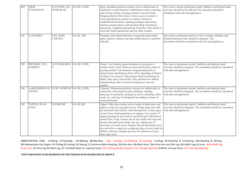| 201 | <b>SHOP</b><br><b>ATTENDANT</b>                             | S.ST.W.BN.L.KC. OA.OL.LV.HH<br>PP.MF.SE.HC |             | Shop Attendant performs number of low skilled tasks in<br>wholesale or retail business establishment such as opening<br>and closing of shop; keeping premises neat and clean;<br>bringing articles from stock or show cases to counter or<br>from manufacturers, dealers or railway stations to<br>establishment premises; opening packages and storing<br>articles at proper places and assisting Shop Assistant in<br>measuring, weighing and packing of articles. May attend to<br>local dak, bank transactions and run other errands.                                                                                                                             | The work is mostly performed inside. Mobility and bilatral hand<br>activities should not be affected. The incumbent should be<br>considered with aids and appliances.          |
|-----|-------------------------------------------------------------|--------------------------------------------|-------------|-----------------------------------------------------------------------------------------------------------------------------------------------------------------------------------------------------------------------------------------------------------------------------------------------------------------------------------------------------------------------------------------------------------------------------------------------------------------------------------------------------------------------------------------------------------------------------------------------------------------------------------------------------------------------|--------------------------------------------------------------------------------------------------------------------------------------------------------------------------------|
| 202 | <b>CLEANERS</b>                                             | S, ST, W.BN,<br>L.MF.SE.C                  | OA.OL. HH   | Sweepers and related labourers sweep and clean streets,<br>parks, airports, stations and other public places or perform<br>odd jobs.                                                                                                                                                                                                                                                                                                                                                                                                                                                                                                                                  | The work is performed inside as well as outside. Mobility and<br>bilateral hand activities should be adequate. The<br>incumbent should be considered with aids and appliances. |
| 203 | PRUNERS, TEA<br><b>GARDEN</b>                               | S.ST.W.BN.MF.S<br>Е.                       | OA.OL.LV.HH | Pruner, Tea Gardens prunes branches of tea plants to<br>produce better yield. Observes plant and decides extent of<br>pruning needed. Cuts branches using pruning knife at<br>desired point and disposes them off by spreading at bottom<br>of plant or by removal. May prepare land for planting tea<br>plants. May spray insecticides. May perform low skilled<br>manufacturing tasks in factory during heavy harvest<br>months.                                                                                                                                                                                                                                    | The work is performed outside. Mobility and bilateral hand<br>activities should be adequate. The incumbent should be considered<br>with aids and appliances.                   |
| 204 | LABOURER(PLAN ST.W.L.PP.MF.SE OA.OL.LV.HH,<br><b>TATION</b> |                                            |             | Labourer, Plantation performs various low skilled tasks in<br>connection with preparing land, planting, weeding,<br>spraying of insecticide, picking tea leaves, plucking coffee<br>seeds, etc. and may be designated according to nature of<br>work performed.                                                                                                                                                                                                                                                                                                                                                                                                       | The work is performed outside. Mobility and bilateral hand<br>activities should be adequate. The incumbent should be considered<br>with aids and appliances.                   |
| 205 | TAPPER, PALM<br>$\ensuremath{\mathsf{JUICE}}$               | S.ST.BN.MF                                 | OA.OL.HH    | Tapper, Palm Juice makes cuts in trunks of palm-trees and<br>gathers oozed out sap (palm juice). Climbs palm-tree with<br>pot and knife tied with his waist through belt. Cleans space<br>at top of tree-trunk preparatory to tapping. Cuts narrow 'V'<br>shaped opening in tree-trunk at specified spot with knife to<br>permit flow of sap. Fastens pot on tree trunk with rope and<br>ensures that palm-juice drops into pot. Adjusts pot, if<br>necessary, to avoid waste. Empties full pot into bucket next<br>day and refixes empty pot at adjacent place on tree trunk for<br>further collection. Repeats process for collection of juice<br>from other trees. | The work is performed outside. Mobility and bilateral hand<br>activities should be adequate. The incumbent should be considered<br>with aids and appliances.                   |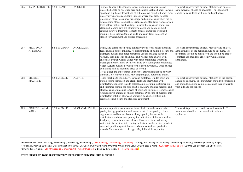| 206 | TAPPER, RUBBER S.ST.BN.MF             |                | OA.OL.HH           | Tapper, Rubber cuts channel grooves on trunk of rubber trees at<br>prescribed angle on specified area and gathers excluded latex. Fastens<br>spout and cup below lowest end of cut to collect oozed out latex. Adds<br>preservatives or anticoagulants into cup where specified. Repeats<br>process on other trees under his charge and empties cups when full or<br>when oozing stops, into bucket. Scraps coagulated latex from scars on<br>trees before making fresh cutting. Ensures that cups and spouts are<br>clean and tapping cuts are of uniform length and depth, without<br>causing injury to treetrunk. Repeats process on tapped trees next<br>morning. May sharpen tapping knife and carry latex to reception<br>station for weighment and further processing. | The work is performed outside. Mobility and bilateral<br>hand activities should be adequate. The incumbent<br>should be considered with aids and appliances.                                                                              |
|-----|---------------------------------------|----------------|--------------------|-------------------------------------------------------------------------------------------------------------------------------------------------------------------------------------------------------------------------------------------------------------------------------------------------------------------------------------------------------------------------------------------------------------------------------------------------------------------------------------------------------------------------------------------------------------------------------------------------------------------------------------------------------------------------------------------------------------------------------------------------------------------------------|-------------------------------------------------------------------------------------------------------------------------------------------------------------------------------------------------------------------------------------------|
| 207 | <b>MILK DAIRY</b><br><b>ATTENDENT</b> | S.ST.BN.PP.MF  | OA.OL.LV.HH,<br>B, | Milks, and cleans milch cattle collects various feeds mixes them and<br>feeds animals before milking. Regulates timing of milking. Cleans and<br>disinfects buckets and other containers used in milking in sun or<br>vacuum. Ties hind legs of animals and washes hind quarter with<br>chlorinated water. Cleans udder with plain chlorinated water and<br>messages them by hand. Disinfects hand by washing with chlorinated<br>water. Adjusts buckets between own legs below udder. Carries bucket<br>containing milk to specified place of storing.<br>Treats udder and other minor injuries by applying antiseptic powder,<br>ointment, etc. May sell milk. May prepare ghee, butter and cream.                                                                          | The work is performed outside. Mobility and bilateral<br>hand activities of the person should be adequate. The<br>incumbent should be considered and should be able to<br>complete assigned task efficiently with aids and<br>appliances. |
| 208 | MILKER,<br><b>MACHINE</b>             | S, ST, W.BN.SE | OL.LV.HH           | Tends machine to milk diary cows and buffaloes. Guides cows and<br>buffaloes into stanchion and cleans teats and their udder with<br>disinfectant. Squeezes teats to collect sample of milk in strainer cup<br>and examines sample for curd and blood. Starts milking machine and<br>attaches cups of machine to teats of cows and buffaloes. Removes cups<br>when required amount of milk is obtained. Dips cups of machine into<br>disinfectant solution after each animal is milched. Empties milk<br>receptacles and cleans and sterilizes equipment.                                                                                                                                                                                                                     | The work is performed outside. Mobolity of the person<br>should be adequate. The incumbent should be considered<br>and should be able to complete assigned task efficiently<br>with aids and appliances.                                  |
| 209 | <b>POULTRY FARM</b><br><b>WORKE</b>   | S, ST, W.BN.SE | OA.OL.OAL .LV.HH,  | Attends to poultry stock to raise hens, chickens, turkeys and other<br>poultry for egg production and sale as meat. Feeds poultry, cleans<br>cages, nests and brooder houses. Sprays poultry houses with<br>disinfectants and observes poultry for indications of diseases such as<br>fowl pox, bronchitis and coccidiosis. Places vaccines in drinking<br>water, injects vaccines into poultry or dusts air with vaccine powder to<br>vaccinate poultry against diseases. Maintains feed and production<br>records. May incubate fertile eggs. May kill and dress poultry.                                                                                                                                                                                                   | The work is performed inside as well as outside. The<br>incumbent should be considered with aids and<br>appliances.                                                                                                                       |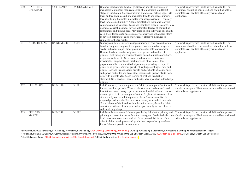| 210 | <b>HATCHERY</b><br><b>OPERATOR</b> | S.ST.BN.MF.SE   | OA.OL.OAL.LV.HH | Operates incubators to hatch eggs. Sets and adjusts mechanism of<br>incubators to maintain required degree of temperature at different<br>stages of incubation. Marks ownership and dates of setting eggs. Sets<br>them on tray and places it into incubator. Inserts and places nursery<br>tray after filling hot water into water channels provided in it (nursery<br>tray) for creating humidity. Adopts disinfections technique to avoid<br>contamination of hatchery. Keeps and maintains breeding records. May<br>operate electrical incubator having automatic devices of controlling<br>temperature and turning eggs. May raise select poultry and sell quality<br>eggs. May demonstrate operations of various types of hatchery plants<br>to develop hatching of eggs. May suggest effective measures to<br>employer for better results.                                                                                                        | The work is performed inside as well as outside. The<br>incumbent should be considered and should be able to<br>complete assigned task efficiently with aids and<br>appliances. |
|-----|------------------------------------|-----------------|-----------------|----------------------------------------------------------------------------------------------------------------------------------------------------------------------------------------------------------------------------------------------------------------------------------------------------------------------------------------------------------------------------------------------------------------------------------------------------------------------------------------------------------------------------------------------------------------------------------------------------------------------------------------------------------------------------------------------------------------------------------------------------------------------------------------------------------------------------------------------------------------------------------------------------------------------------------------------------------|---------------------------------------------------------------------------------------------------------------------------------------------------------------------------------|
| 211 | <b>NURSERY MAN</b>                 | BN, KC, MF, SE  | OL.LV.HH        | Nurseryman; Mali, Nursery manages nursery on own account, or on<br>behalf of employer to grow trees, plants, flowers, shrubs, creepers,<br>seeds, bulbs etc. in open air or green houses for sale to customers.<br>Decides kind and number of plants to be grown and method of<br>planting, cultivating and treatment based on soil, climatic conditions,<br>irrigation facilities etc. Selects and purchases seeds, fertilizers,<br>insecticide. Equipments and machinery and other items. Plans<br>preparation of beds and method of planting, depending on type of<br>plants to be grown. Watches growth of sapling, seedlings, grafts and<br>plants. Hoes and prunes excess growth and offshoots of plants, dusts<br>and sprays pesticides and takes other measures to protect plants from<br>pets, wild animals, etc. Keeps records of cost and production<br>statement. Sells seedling, seeds, bulbs etc. May specialise in landscape<br>planting. | The work is performed inside as well as outside. The<br>incumbent should be considered and should be able to<br>complete assigned task efficiently with aids and<br>appliances. |
| 212 | <b>FISH CURER</b>                  | <b>BN.MF.SE</b> | OL.HH           | Fish Curer salts, cures and preserves fish to prevent putrefication and<br>for use over long periods. Washes fish with water and cuts off head,<br>fins, tail etc. as necessary. Opens out stomach with knife and removes<br>viscera, gills etc. to prevent putrefication. Applies salt to cleaned fish<br>either one by one or in lot to preserve them. Stacks salted fish for<br>required period and shuffles them as necessary at specified intervals.<br>Takes fish out of stack and washes them if necessary. May dry fish in<br>sun with or without cleaning and salting particularly in case of seeds<br>and small fingerlings.                                                                                                                                                                                                                                                                                                                   | The work is performed outside. Mobility of the person<br>should be adequate. The incumbent should be considered<br>with aids and appliances.                                    |
| 213 | <b>FISH MEAL</b><br><b>MAKER</b>   | <b>BN.MF.SE</b> | OL.HH           | Fish Meal Maker makes fish meal powder by dehydration, drying and<br>grinding processes for use as food for poultry, etc. Feeds fresh fish into<br>hand press to remove water and oil. Dries pressed fish in sun. Cuts<br>dried fis h into small pieces and grinds them to powder by machine.<br>Packs fish meal powder in containers.                                                                                                                                                                                                                                                                                                                                                                                                                                                                                                                                                                                                                   | The work is performed outside. Mobility of the person<br>should be adequate. The incumbent should be considered<br>with aids and appliances.                                    |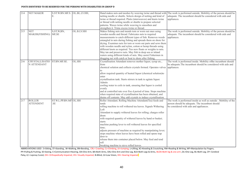| 214 | <b>NET MAKER</b>                     | S.ST.W.BN.MF.S. OL.BL.LV.HH,<br>Е. |            | netting needle or shuttle. Selects design of netting and kind of<br>twine or thread required. Plaits (interweaves) and knots twine<br>or thread with netting needle or shuttle to prepare selected<br>patterns. Waxes twine while weaving to smoothen and                                                                                                                                                                                                                                                                                                                                                                                        | Hand makes nets and meshes by weaving twine and thread with The work is performed outside. Mobility of the person should be<br>adequate. The incumbent should be considered with aids and<br>appliances. |
|-----|--------------------------------------|------------------------------------|------------|--------------------------------------------------------------------------------------------------------------------------------------------------------------------------------------------------------------------------------------------------------------------------------------------------------------------------------------------------------------------------------------------------------------------------------------------------------------------------------------------------------------------------------------------------------------------------------------------------------------------------------------------------|----------------------------------------------------------------------------------------------------------------------------------------------------------------------------------------------------------|
|     |                                      |                                    |            | strengthen it. Trims excess twine or thread.                                                                                                                                                                                                                                                                                                                                                                                                                                                                                                                                                                                                     |                                                                                                                                                                                                          |
| 215 | <b>NET</b><br>MAKER(FISHING)         | S, ST, W, BN,<br>MF, SE            | OL.B.LV.HH | Makes fishing nets and mends torn or worn out ones using<br>wooden needle and thread. Fabricates nets to required<br>measurements to catch different types of fish. Removes weeds<br>entangled in nets during fishing and spreads them on shore for<br>drying. Examines nets for torn or worn out parts and sews them<br>with wooden needle and nylon, cotton or hemp threads using<br>different knots as required. Ties new floats or weights to nets.<br>May tan and preserve nets. May fish in deep sea or inland<br>waters using different kinds of nets. May assist Fishermen in<br>dragging net with catch or boat to shore after fishing. | The work is performed outside. Mobility of the person should be<br>adequate. The incumbent should be considered with aids and<br>appliances.                                                             |
| 216 | <b>CRYSTALLISATIO</b><br>N ATTENDANT | ST.BN.MF.SE.                       | OL.HH      | Crystallisation Attendant removes mother liquor, syrup etc.,<br>from<br>chemical solution and collects crystals formed. Operates valves<br>allow required quantity of heated liquor (chemical solution)to<br>enter<br>crystallisation tank. Starts stirrers in tank to agitate liquor.<br>Admits<br>cooling water to coils in tank, ensuring that liquor is cooled<br>evenly<br>and at controlled rate over fixe d period of time. Stops machine<br>when required state of crystallisation has been obtained, and<br>drains off contents. May add crystals to induce crystallisation.                                                            | The work is performed inside. Mobility of the incumbent should<br>be adequate. The incumbent should be considered with aids and<br>appliances.                                                           |
| 217 | <b>ROLLER</b><br><b>ATTENDENT</b>    | ST.W.L.PP.BN.MF OL.HH<br>.SE       |            | Roller Attendant; Rolling Machine Attendant(Tea) feeds and<br>tends<br>rolling machine to roll withered tea leaves. Signals Withering<br>Loft<br>Attendant to supply withered leaves for rolling; charges roller<br>drum<br>with required quantity of withered leaves by hand or basket;<br>starts<br>machine pushing lever to roll withered leaves for specified<br>time:<br>adjusts pressure of machine as required by manipulating lever;<br>stops machine when leaves have been rolled and opens trap<br>door to<br>release them into container placed below. May feed and tend<br>roll<br>breaking machine to sieve rolled leaves.          | The work is performed inside as well as outside . Mobility of the<br>person should be adequate. The incumbent should<br>be considered with aids and appliances.                                          |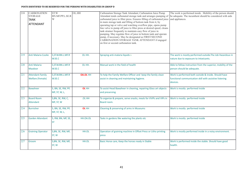| 218 | <b>CARBONATION</b><br><b>STORAGE</b><br><b>TANK</b><br><b>ATTENDANT</b> | ST.W<br><b>BN.MF.PP.L.SE.R</b><br>W | OL.HH           | Carbonation Storage Tank Attendant; Carbonation Juice Pump<br>Attendant tends carbonated storage tank and arranges pumping of<br>carbonated juice to filter press. Ensures filling of carbonated juice<br>in main storage tank and filling of bottom tank from it, by<br>operating tap or valve and watching overflow pipe, opens pump<br>line valve to pump off juice to filter press at desired speed; cleans<br>tank strainer frequently to maintain easy flow of juice in<br>pumping. May regulate flow of juice in bottom tank and operate<br>pump, if necessary. May be designated as FIRST/SECOND<br>CARBONATION STORAGE TANK ATTENDANT if engaged<br>on first or second carbonation tank. | The work is performed inside . Mobility of the person should<br>be adequate. The incumbent should be considered with aids<br>and appliances. |
|-----|-------------------------------------------------------------------------|-------------------------------------|-----------------|---------------------------------------------------------------------------------------------------------------------------------------------------------------------------------------------------------------------------------------------------------------------------------------------------------------------------------------------------------------------------------------------------------------------------------------------------------------------------------------------------------------------------------------------------------------------------------------------------------------------------------------------------------------------------------------------------|----------------------------------------------------------------------------------------------------------------------------------------------|
| 219 | Anti Malaria Coolie                                                     | S, ST.W.BN.L.MF.R<br>W.SE.C         | OL HH.          | Spraying anti-malaria liquids s                                                                                                                                                                                                                                                                                                                                                                                                                                                                                                                                                                                                                                                                   | The work is mostly performed outside. The Job Hazardous in<br>nature due to exposure to intoxicants.                                         |
| 220 | Anti Malaria<br>Mazdoor                                                 | S, ST.W.BN.L.MF.R<br>W.SE.C         | OL HH.          | Manual work in the field of health                                                                                                                                                                                                                                                                                                                                                                                                                                                                                                                                                                                                                                                                | Able to follow instruction from the superior, mobility of the<br>person should be adequate.                                                  |
| 221 | <b>Attendant-Family</b><br><b>Welfare (Female)</b>                      | S, ST.W.BN.L.MF.R<br>W.SE.C         | <b>OA.OL HH</b> | To help the Family Welfare Officer and keep the family clean<br>assist in cleaning and maintaining hygiene.                                                                                                                                                                                                                                                                                                                                                                                                                                                                                                                                                                                       | Work is performed both outside & inside. Should have<br>functional communication skill with assistive listening<br>devices.                  |
| 222 | <b>Bawaheer</b>                                                         | S, BN, SE, RW, PP,<br>MF, ST, W, L, | OL HH           | To assist Head Bawaheer in cleaning, repairing Glass art objects<br>and preserving                                                                                                                                                                                                                                                                                                                                                                                                                                                                                                                                                                                                                | Work is mostly performed inside                                                                                                              |
| 223 | <b>Board Room</b><br>Attendant                                          | S, BN, SE, RW, C,<br>MF, ST, W      | .OL HH          | To organize & prepare, serve snacks, meals for VVIPs and VIPs in<br>Board room.                                                                                                                                                                                                                                                                                                                                                                                                                                                                                                                                                                                                                   | Work is mostly performed inside                                                                                                              |
| 224 | <b>Burnisher</b>                                                        | S, BN, SE, RW, PP,<br>MF, ST, W, L, | OL HH           | Cleaning & preserving of arms in Museums                                                                                                                                                                                                                                                                                                                                                                                                                                                                                                                                                                                                                                                          | Work is mostly performed inside                                                                                                              |
| 225 | <b>Garden Attendant</b>                                                 | S, RW, BN, MF, SE,<br><b>ST</b>     | HH.OA.OL        | Tasks in gardens like watering the plants etc                                                                                                                                                                                                                                                                                                                                                                                                                                                                                                                                                                                                                                                     | Work is mostly performed inside                                                                                                              |
| 226 | <b>Graining Operator</b>                                                | S, BN, SE, RW, MF,<br>ST, W         | HH.OL           | Operation of graining machine in Offset Press or Litho printing<br>press                                                                                                                                                                                                                                                                                                                                                                                                                                                                                                                                                                                                                          | Work is mostly performed inside in a noisy environment.                                                                                      |
| 227 | Groom                                                                   | S, BN, SE, RW, MF,<br>ST, W         | HH.OL           | Basic Horse care, Keep the horses ready in Stable                                                                                                                                                                                                                                                                                                                                                                                                                                                                                                                                                                                                                                                 | Work is performed inside the stable. Should have good<br>health.                                                                             |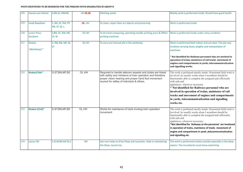| 228 | Hamal-cum-Sticher                | S, BN, SE, RW, MF,                  | HH OL.BL  | <b>Stitching works</b>                                                                                                                                                                                                     | Mostly work is performed inside. Should have good health.                                                                                                                                                                                                                                                                                                                                                                                                            |
|-----|----------------------------------|-------------------------------------|-----------|----------------------------------------------------------------------------------------------------------------------------------------------------------------------------------------------------------------------------|----------------------------------------------------------------------------------------------------------------------------------------------------------------------------------------------------------------------------------------------------------------------------------------------------------------------------------------------------------------------------------------------------------------------------------------------------------------------|
| 229 | <b>Head Bawaheer</b>             | S, BN, SE, RW, PP,<br>MF, ST, W, L, | OL .HH    | To clean, repair Glass art objects and preserving                                                                                                                                                                          | Work is performed inside                                                                                                                                                                                                                                                                                                                                                                                                                                             |
| 230 | <b>Junior Press</b><br>Assistant | S, BN, SE, RW, MF,<br>ST, W         | OL.HH     | To do hand composing, operating treadle printing press & Offset<br>printing machines                                                                                                                                       | Work is performed inside under noisy condition.                                                                                                                                                                                                                                                                                                                                                                                                                      |
| 231 | <b>Khalasi</b><br>(Workshop) *   | S, RW, BN, MF, SE,<br><b>ST</b>     | OL.HH     | To carry out manual job in the workshop.                                                                                                                                                                                   | Work is performed both indoor and out door. The job may<br>involove carrying heavy weights and manipulation of<br>machines.<br>Not identified for Railways personnel who are involved in<br>operation of trains, maintence of rail tracks movement of<br>engines and compartments in yards, telecommunicatication<br>and signalling works.                                                                                                                           |
| 232 | Khalasi/Tele*                    | S, ST, BN, MF, SE                   | OL.HH     | Required to handle telecom assests and duties are linked<br>with safety and mintance of train operation and therefore<br>proper vision hearing and proper hand foot movement<br>reuired for saftey of individuls & others. | The work is perfomed mostly inside. Ocassional field work is<br>involved. he usually works alone.I ncumbent should be<br>functionally able to complete the assigned task efficiently<br>with aids and<br>applainces, whenever necessary.<br>* Not identified for Railways personnel who are<br>involved in operation of trains, maintence of rail<br>tracks and movement of engines and compartments<br>in yards, telecommunicatication and signalling<br>works etc. |
| 233 | Khalasi (Civil)*                 | S, ST, BN, MF, SE                   | OL.HH     | Works for maintance of track involoig train operation<br>movement                                                                                                                                                          | The work is perfomed mostly inside. Ocassional field work is<br>involved. he usually works alone.I ncumbent should be<br>functionally able to complete the assigned task efficiently<br>with aids and<br>applainces, whenever necessary.<br>*Not identified for Railways as the personnel are involoved<br>in operation of trains, maintence of tracks movement of<br>engine and compartment in yards , telecommunicatication<br>and signalling etc.                 |
| 234 | <b>Lascar OD</b>                 | S.ST.W.BN.MF.SE.C                   | <b>HH</b> | Sea man helps to drive Ships and Launches. Help in maintaining<br>the Ships, launch etc.                                                                                                                                   | The work is performed mostly outside especially in the deep<br>waters. The incumbents must know swimming                                                                                                                                                                                                                                                                                                                                                             |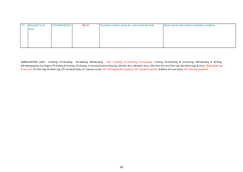| 235 | Masalchi/ Cook | S.ST.W.BN.MF.SE.C | OL HH | To prepare masala, spices etc. and to help the Cook | Work is performed inside in hazardous condition. |
|-----|----------------|-------------------|-------|-----------------------------------------------------|--------------------------------------------------|
|     | Mate           |                   |       |                                                     |                                                  |
|     |                |                   |       |                                                     |                                                  |
|     |                |                   |       |                                                     |                                                  |
|     |                |                   |       |                                                     |                                                  |
|     |                |                   |       |                                                     |                                                  |
|     |                |                   |       |                                                     |                                                  |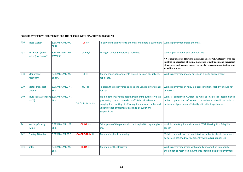| 236 | <b>Mess Waiter</b>                               | S.ST.W.BN.MF.RW.<br>SE.H          | OL HH                  | To serve drinking water to the mess members & customers                                                                                                                                                                                                    | Work is performed inside the mess.                                                                                                                                                                                                                                              |  |
|-----|--------------------------------------------------|-----------------------------------|------------------------|------------------------------------------------------------------------------------------------------------------------------------------------------------------------------------------------------------------------------------------------------------|---------------------------------------------------------------------------------------------------------------------------------------------------------------------------------------------------------------------------------------------------------------------------------|--|
| 237 | Millwright (Semi-<br>skilled) Artisans *         | S.ST.W.L.PP.BN.MF.<br>RW.SE.C.    | OL HH,*                | Lifting of goods & operating machines                                                                                                                                                                                                                      | Work is performed inside and out side<br>* Not identified for Railways personnel (except OL Category) who are<br>involved in operation of trains, maintence of rail tracks and movement<br>of engines and compartments in yards, telecommunicatication and<br>signalling works. |  |
| 238 | Monument<br>Attendant                            | S.ST.W.BN.MF.RW.<br>SE.H.C        | OL HH                  | Maintenance of monuments related to cleaning, upkeep,<br>repair etc.                                                                                                                                                                                       | Work is performed mostly outside in a dusty environment.                                                                                                                                                                                                                        |  |
| 239 | <b>Motor Transport</b><br><b>Cleaner</b>         | S.ST.W.BN.MF.L.PP.<br>SE.C        | OL HH                  | To clean the motor vehicles, keep the vehicle always ready<br>for use                                                                                                                                                                                      | Work is performed in noisy & dusty condition. Mobility should not<br>be restrict.                                                                                                                                                                                               |  |
| 240 | Multi-Task-Attendant S.ST.W.BN.MF.L.PP.<br>(MTA) | SE.C                              | OA.OL.BL.B. LV HH.     | Help in catering/house keeping/gardening & forestry data<br>processing .Day to day tasks in official work related to<br>carrying files drafting of office equipments and tables and<br>various other official tasks assigned by superiors<br>/supervisors. | Work is performed Outside as well as inside job accomplished<br>under supervision. Of seniors. Incumbents should be able to<br>perform assigned work efficiently with aids & appliances.                                                                                        |  |
| 241 | <b>Nursing Orderly</b><br>(Male)                 | S.ST.W.BN.MF.L.PP.<br><b>SE.C</b> | <b>OL.OA HH</b>        | etc.                                                                                                                                                                                                                                                       | Taking care of the patients in the Hospital & preparing beds Work in calm & quite environment. With Hearing Aids & legible<br>speech                                                                                                                                            |  |
| 242 | <b>Poultry Attendant</b>                         | S.ST.W.BN.MF.SE.C                 | <b>OA.OL.OAL.LV HH</b> | <b>Maintaining Poultry farming</b>                                                                                                                                                                                                                         | Mobility should not be restricted incumbents should be able to<br>performed assigned work efficiently with aids & appliances.                                                                                                                                                   |  |
| 243 | Sifter                                           | S.ST.W.BN.MF.RW.<br>SE.C,         | <b>OL.OA HH</b>        | <b>Maintaining the Registers</b>                                                                                                                                                                                                                           | Work is performed inside with good light condition in mobility<br>should not be restricted incumbents should be able to performed                                                                                                                                               |  |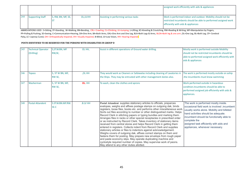|      |                         |                                    |            |                                       | assigned work efficiently with aids & appliances                |  |
|------|-------------------------|------------------------------------|------------|---------------------------------------|-----------------------------------------------------------------|--|
|      |                         |                                    |            |                                       |                                                                 |  |
|      |                         |                                    |            |                                       |                                                                 |  |
| 1244 | <b>Supporting Staff</b> | $\vert$ S, RW, BN, MF, SE, $\vert$ | OL, LV. HH | Assisting in performing various tasks | Work is performed indoor and outdoor. Mobility should not be    |  |
|      |                         |                                    |            |                                       | restricted incumbents should be able to performed assigned work |  |
|      |                         |                                    |            |                                       | efficiently with aids & appliances                              |  |
|      |                         |                                    |            |                                       |                                                                 |  |

| 245 | <b>Technical Operator</b><br>(Drilling) | S, ST.W.BN, MF<br>RW, SE,        | OL HH,   | Assist in different operations of Ground water drilling.                                                                                                                                                                                                                                                                                                                                                                                                                                                                                                                                                                                                                                                                                                                                                                                                                                                                                                                                                                                                                           | Mostly work is performed outside Mobility<br>should not be restricted incumbents should be<br>able to performed assigned work efficiently with<br>aids & appliances                                                                                                                                                 |
|-----|-----------------------------------------|----------------------------------|----------|------------------------------------------------------------------------------------------------------------------------------------------------------------------------------------------------------------------------------------------------------------------------------------------------------------------------------------------------------------------------------------------------------------------------------------------------------------------------------------------------------------------------------------------------------------------------------------------------------------------------------------------------------------------------------------------------------------------------------------------------------------------------------------------------------------------------------------------------------------------------------------------------------------------------------------------------------------------------------------------------------------------------------------------------------------------------------------|---------------------------------------------------------------------------------------------------------------------------------------------------------------------------------------------------------------------------------------------------------------------------------------------------------------------|
| 246 | <b>Topass</b>                           | S, ST W BN, MF,<br>RW SE,        | ,OL HH   | They would work as Cleaners or Safaiwalas including cleaning of Lavatories in<br>the Ships. They may be entrusted with other management duties also.                                                                                                                                                                                                                                                                                                                                                                                                                                                                                                                                                                                                                                                                                                                                                                                                                                                                                                                               | The work is performed mostly outside on aship<br>the incumbents must know swimming.                                                                                                                                                                                                                                 |
| 247 | Washerman                               | S, ST W BN, MF,<br><b>RW SE,</b> | OL. HH   | To wash, clean the clothes and aprons                                                                                                                                                                                                                                                                                                                                                                                                                                                                                                                                                                                                                                                                                                                                                                                                                                                                                                                                                                                                                                              | Work performed outside in hazardous<br>condition. Incumbents should be able to<br>performed assigned job efficiently with aids &<br>appliances.                                                                                                                                                                     |
| 248 | <b>Postal Attandent</b>                 | S.ST.W.BN.MF.RW.<br><b>SE.C</b>  | .B.LV HH | Postal Attandent supplies stationery articles to officials, preparces<br>evelopes, weighs and affixes postage stamps on outgoing dak, binds<br>registers, loose files, books etc. and performs other miscellaneous work<br>Sorts out files according to number or other distinguished marks. Helps<br>Record Clerk in stitching papers or typing bundles and marking them.<br>Arranges files in racks or other special receptacles in prescribed order<br>or as instructed by Record Clerk. Takes inventory of stationery items<br>received from central stores and helps Record Clerk in getting them<br>entered in registers. Collects indent from Record Clerk and supplies<br>stationery articles or files to indentors against acknowledgement.<br>Weighs covers of outgoing dak, affixes correct stamps on them and<br>fastens them for posting. May prepare new envelops from rough paper<br>and paste economy slips. May operate duplicating machine and<br>cyclostyle required number of copies. May supervise work of peons.<br>May attend to any other duties allotted. | The work is performed mostly inside.<br>occasional field work is involved .incumbent<br>usually works alone. Mobility and billeted<br>hand activities should be adequate.<br>incumbent should be functionally able to<br>complete the<br>assigned task efficiently with aids and<br>appliances, whenever necessary. |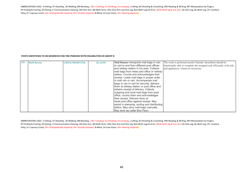### **POSTS IDENTIFIED TO BE RESERVED FOR THE PERSONS WITH DISABILITIES IN GROUP D**

ABBREVIATIONS USED: S=Sitting, ST=Standing, W=Walking, BN=Bending, CRL= Crawling, CL=Climbing, JU=Jumping, L=Lifting, KC=Kneeling & Croutching, RW=Reading & Writing, MF=Manipulation by Fingers, PP=Pulling & Pushing, SE=Seeing, C=Communication=Hearing, OA=One Arm, BA=Both Arms, OAL=One Arm and One Leg, BLA=Both Legs & Arms, BLOA=Both leg & one arm ,OL=One Leg, BL=Both Leg, CP= Cerebral Palsy, LC= Leprosy Cured, OH= Orthopedically Impaired, VH= Visually Impaired, B=Blind, LV=Low Vision, HH= Hearing Impaired